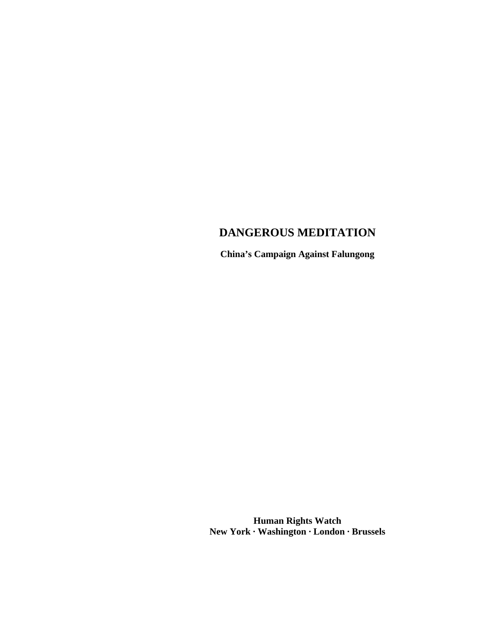# **DANGEROUS MEDITATION**

**China's Campaign Against Falungong**

**Human Rights Watch New York · Washington · London · Brussels**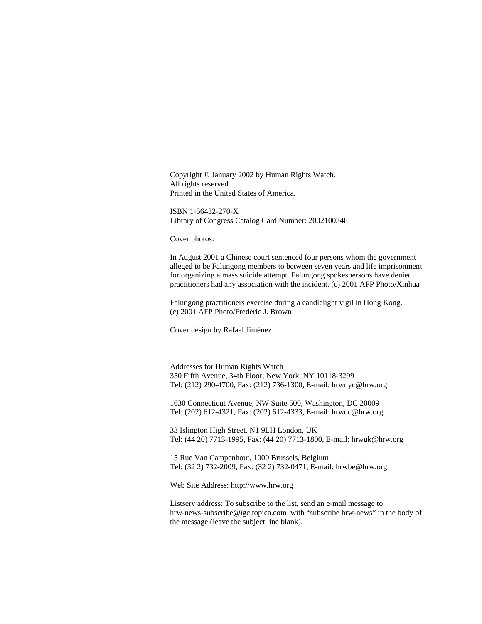Copyright © January 2002 by Human Rights Watch. All rights reserved. Printed in the United States of America.

ISBN 1-56432-270-X Library of Congress Catalog Card Number: 2002100348

Cover photos:

In August 2001 a Chinese court sentenced four persons whom the government alleged to be Falungong members to between seven years and life imprisonment for organizing a mass suicide attempt. Falungong spokespersons have denied practitioners had any association with the incident. (c) 2001 AFP Photo/Xinhua

Falungong practitioners exercise during a candlelight vigil in Hong Kong. (c) 2001 AFP Photo/Frederic J. Brown

Cover design by Rafael Jiménez

Addresses for Human Rights Watch 350 Fifth Avenue, 34th Floor, New York, NY 10118-3299 Tel: (212) 290-4700, Fax: (212) 736-1300, E-mail: hrwnyc@hrw.org

1630 Connecticut Avenue, NW Suite 500, Washington, DC 20009 Tel: (202) 612-4321, Fax: (202) 612-4333, E-mail: hrwdc@hrw.org

33 Islington High Street, N1 9LH London, UK Tel: (44 20) 7713-1995, Fax: (44 20) 7713-1800, E-mail: hrwuk@hrw.org

15 Rue Van Campenhout, 1000 Brussels, Belgium Tel: (32 2) 732-2009, Fax: (32 2) 732-0471, E-mail: hrwbe@hrw.org

Web Site Address: http://www.hrw.org

Listserv address: To subscribe to the list, send an e-mail message to hrw-news-subscribe@igc.topica.com with "subscribe hrw-news" in the body of the message (leave the subject line blank).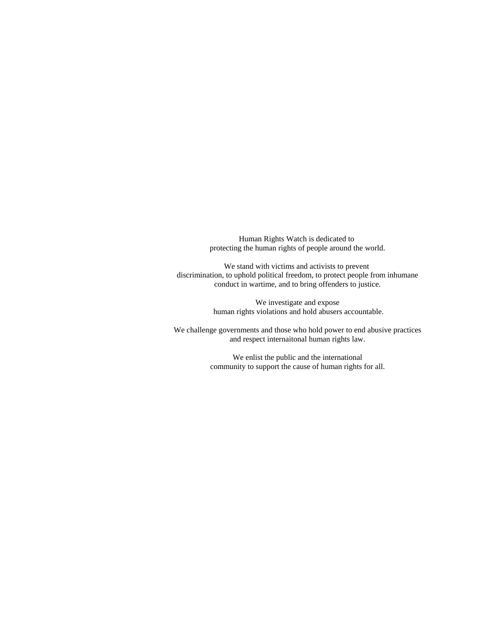Human Rights Watch is dedicated to protecting the human rights of people around the world.

We stand with victims and activists to prevent discrimination, to uphold political freedom, to protect people from inhumane conduct in wartime, and to bring offenders to justice.

> We investigate and expose human rights violations and hold abusers accountable.

We challenge governments and those who hold power to end abusive practices and respect internaitonal human rights law.

> We enlist the public and the international community to support the cause of human rights for all.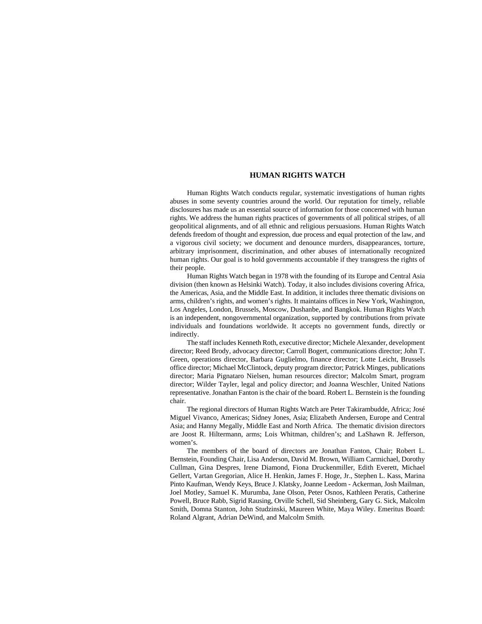#### **HUMAN RIGHTS WATCH**

Human Rights Watch conducts regular, systematic investigations of human rights abuses in some seventy countries around the world. Our reputation for timely, reliable disclosures has made us an essential source of information for those concerned with human rights. We address the human rights practices of governments of all political stripes, of all geopolitical alignments, and of all ethnic and religious persuasions. Human Rights Watch defends freedom of thought and expression, due process and equal protection of the law, and a vigorous civil society; we document and denounce murders, disappearances, torture, arbitrary imprisonment, discrimination, and other abuses of internationally recognized human rights. Our goal is to hold governments accountable if they transgress the rights of their people.

Human Rights Watch began in 1978 with the founding of its Europe and Central Asia division (then known as Helsinki Watch). Today, it also includes divisions covering Africa, the Americas, Asia, and the Middle East. In addition, it includes three thematic divisions on arms, children's rights, and women's rights. It maintains offices in New York, Washington, Los Angeles, London, Brussels, Moscow, Dushanbe, and Bangkok. Human Rights Watch is an independent, nongovernmental organization, supported by contributions from private individuals and foundations worldwide. It accepts no government funds, directly or indirectly.

The staff includes Kenneth Roth, executive director; Michele Alexander, development director; Reed Brody, advocacy director; Carroll Bogert, communications director; John T. Green, operations director, Barbara Guglielmo, finance director; Lotte Leicht, Brussels office director; Michael McClintock, deputy program director; Patrick Minges, publications director; Maria Pignataro Nielsen, human resources director; Malcolm Smart, program director; Wilder Tayler, legal and policy director; and Joanna Weschler, United Nations representative. Jonathan Fanton is the chair of the board. Robert L. Bernstein is the founding chair.

The regional directors of Human Rights Watch are Peter Takirambudde, Africa; José Miguel Vivanco, Americas; Sidney Jones, Asia; Elizabeth Andersen, Europe and Central Asia; and Hanny Megally, Middle East and North Africa. The thematic division directors are Joost R. Hiltermann, arms; Lois Whitman, children's; and LaShawn R. Jefferson, women's.

The members of the board of directors are Jonathan Fanton, Chair; Robert L. Bernstein, Founding Chair, Lisa Anderson, David M. Brown, William Carmichael, Dorothy Cullman, Gina Despres, Irene Diamond, Fiona Druckenmiller, Edith Everett, Michael Gellert, Vartan Gregorian, Alice H. Henkin, James F. Hoge, Jr., Stephen L. Kass, Marina Pinto Kaufman, Wendy Keys, Bruce J. Klatsky, Joanne Leedom - Ackerman, Josh Mailman, Joel Motley, Samuel K. Murumba, Jane Olson, Peter Osnos, Kathleen Peratis, Catherine Powell, Bruce Rabb, Sigrid Rausing, Orville Schell, Sid Sheinberg, Gary G. Sick, Malcolm Smith, Domna Stanton, John Studzinski, Maureen White, Maya Wiley. Emeritus Board: Roland Algrant, Adrian DeWind, and Malcolm Smith.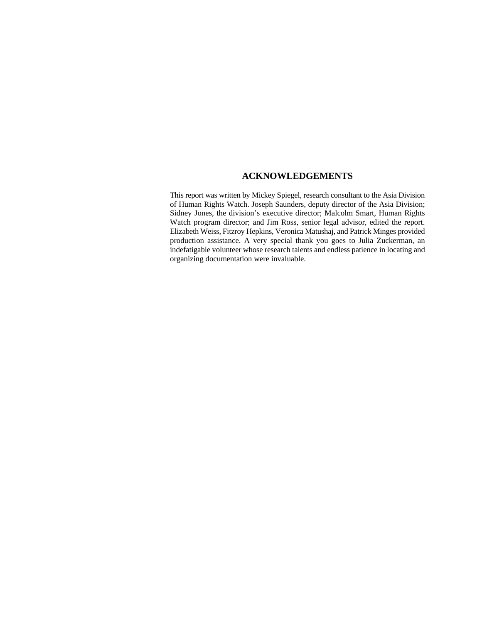## **ACKNOWLEDGEMENTS**

This report was written by Mickey Spiegel, research consultant to the Asia Division of Human Rights Watch. Joseph Saunders, deputy director of the Asia Division; Sidney Jones, the division's executive director; Malcolm Smart, Human Rights Watch program director; and Jim Ross, senior legal advisor, edited the report. Elizabeth Weiss, Fitzroy Hepkins, Veronica Matushaj, and Patrick Minges provided production assistance. A very special thank you goes to Julia Zuckerman, an indefatigable volunteer whose research talents and endless patience in locating and organizing documentation were invaluable.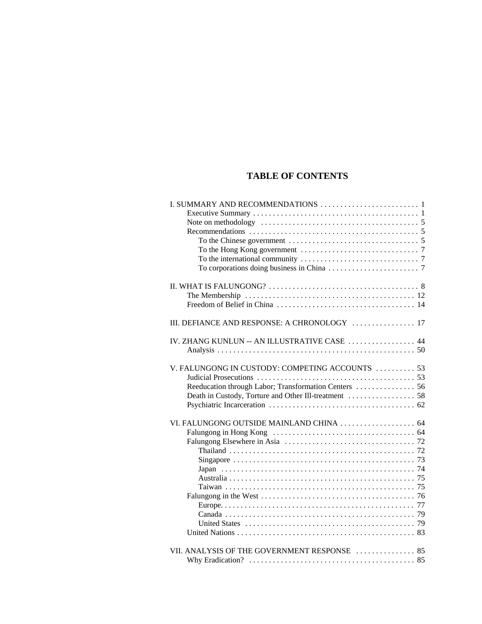## **TABLE OF CONTENTS**

| To the international community $\dots \dots \dots \dots \dots \dots \dots \dots \dots$ |
|----------------------------------------------------------------------------------------|
|                                                                                        |
|                                                                                        |
|                                                                                        |
|                                                                                        |
|                                                                                        |
| III. DEFIANCE AND RESPONSE: A CHRONOLOGY  17                                           |
|                                                                                        |
| IV. ZHANG KUNLUN -- AN ILLUSTRATIVE CASE  44                                           |
|                                                                                        |
|                                                                                        |
| V. FALUNGONG IN CUSTODY: COMPETING ACCOUNTS  53                                        |
|                                                                                        |
| Reeducation through Labor; Transformation Centers  56                                  |
|                                                                                        |
|                                                                                        |
| VI. FALUNGONG OUTSIDE MAINLAND CHINA  64                                               |
|                                                                                        |
|                                                                                        |
|                                                                                        |
|                                                                                        |
|                                                                                        |
|                                                                                        |
|                                                                                        |
|                                                                                        |
|                                                                                        |
|                                                                                        |
|                                                                                        |
|                                                                                        |
|                                                                                        |
| VII. ANALYSIS OF THE GOVERNMENT RESPONSE  85                                           |
|                                                                                        |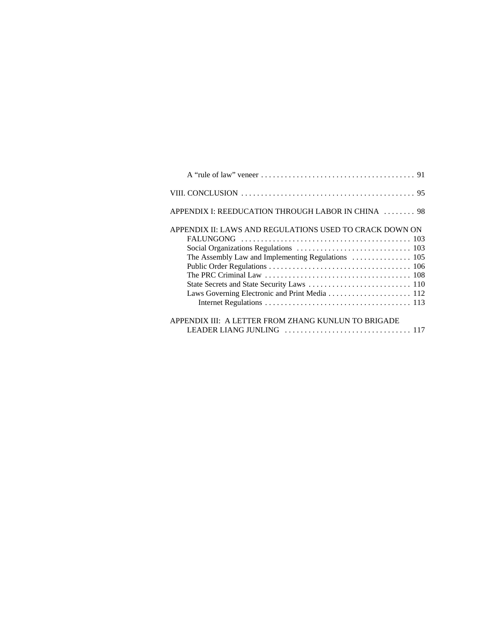| APPENDIX I: REEDUCATION THROUGH LABOR IN CHINA  98      |  |
|---------------------------------------------------------|--|
| APPENDIX II: LAWS AND REGULATIONS USED TO CRACK DOWN ON |  |
| APPENDIX III: A LETTER FROM ZHANG KUNLUN TO BRIGADE     |  |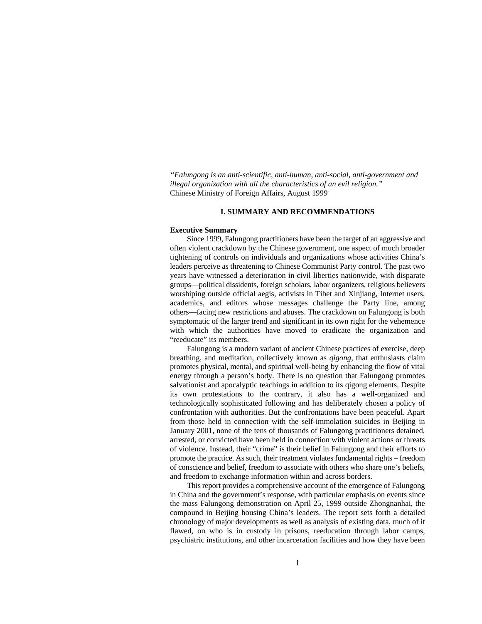*"Falungong is an anti-scientific, anti-human, anti-social, anti-government and illegal organization with all the characteristics of an evil religion."* Chinese Ministry of Foreign Affairs, August 1999

#### **I. SUMMARY AND RECOMMENDATIONS**

#### **Executive Summary**

Since 1999, Falungong practitioners have been the target of an aggressive and often violent crackdown by the Chinese government, one aspect of much broader tightening of controls on individuals and organizations whose activities China's leaders perceive as threatening to Chinese Communist Party control. The past two years have witnessed a deterioration in civil liberties nationwide, with disparate groups—political dissidents, foreign scholars, labor organizers, religious believers worshiping outside official aegis, activists in Tibet and Xinjiang, Internet users, academics, and editors whose messages challenge the Party line, among others—facing new restrictions and abuses. The crackdown on Falungong is both symptomatic of the larger trend and significant in its own right for the vehemence with which the authorities have moved to eradicate the organization and "reeducate" its members.

Falungong is a modern variant of ancient Chinese practices of exercise, deep breathing, and meditation, collectively known as *qigong,* that enthusiasts claim promotes physical, mental, and spiritual well-being by enhancing the flow of vital energy through a person's body. There is no question that Falungong promotes salvationist and apocalyptic teachings in addition to its qigong elements. Despite its own protestations to the contrary, it also has a well-organized and technologically sophisticated following and has deliberately chosen a policy of confrontation with authorities. But the confrontations have been peaceful. Apart from those held in connection with the self-immolation suicides in Beijing in January 2001, none of the tens of thousands of Falungong practitioners detained, arrested, or convicted have been held in connection with violent actions or threats of violence. Instead, their "crime" is their belief in Falungong and their efforts to promote the practice. As such, their treatment violates fundamental rights – freedom of conscience and belief, freedom to associate with others who share one's beliefs, and freedom to exchange information within and across borders.

This report provides a comprehensive account of the emergence of Falungong in China and the government's response, with particular emphasis on events since the mass Falungong demonstration on April 25, 1999 outside Zhongnanhai, the compound in Beijing housing China's leaders. The report sets forth a detailed chronology of major developments as well as analysis of existing data, much of it flawed, on who is in custody in prisons, reeducation through labor camps, psychiatric institutions, and other incarceration facilities and how they have been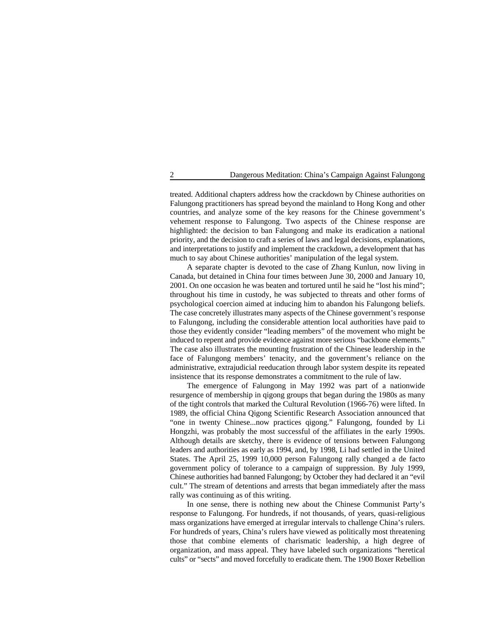treated. Additional chapters address how the crackdown by Chinese authorities on Falungong practitioners has spread beyond the mainland to Hong Kong and other countries, and analyze some of the key reasons for the Chinese government's vehement response to Falungong. Two aspects of the Chinese response are highlighted: the decision to ban Falungong and make its eradication a national priority, and the decision to craft a series of laws and legal decisions, explanations, and interpretations to justify and implement the crackdown, a development that has much to say about Chinese authorities' manipulation of the legal system.

A separate chapter is devoted to the case of Zhang Kunlun, now living in Canada, but detained in China four times between June 30, 2000 and January 10, 2001. On one occasion he was beaten and tortured until he said he "lost his mind"; throughout his time in custody, he was subjected to threats and other forms of psychological coercion aimed at inducing him to abandon his Falungong beliefs. The case concretely illustrates many aspects of the Chinese government's response to Falungong, including the considerable attention local authorities have paid to those they evidently consider "leading members" of the movement who might be induced to repent and provide evidence against more serious "backbone elements." The case also illustrates the mounting frustration of the Chinese leadership in the face of Falungong members' tenacity, and the government's reliance on the administrative, extrajudicial reeducation through labor system despite its repeated insistence that its response demonstrates a commitment to the rule of law.

The emergence of Falungong in May 1992 was part of a nationwide resurgence of membership in qigong groups that began during the 1980s as many of the tight controls that marked the Cultural Revolution (1966-76) were lifted. In 1989, the official China Qigong Scientific Research Association announced that "one in twenty Chinese...now practices qigong." Falungong, founded by Li Hongzhi, was probably the most successful of the affiliates in the early 1990s. Although details are sketchy, there is evidence of tensions between Falungong leaders and authorities as early as 1994, and, by 1998, Li had settled in the United States. The April 25, 1999 10,000 person Falungong rally changed a de facto government policy of tolerance to a campaign of suppression. By July 1999, Chinese authorities had banned Falungong; by October they had declared it an "evil cult." The stream of detentions and arrests that began immediately after the mass rally was continuing as of this writing.

In one sense, there is nothing new about the Chinese Communist Party's response to Falungong. For hundreds, if not thousands, of years, quasi-religious mass organizations have emerged at irregular intervals to challenge China's rulers. For hundreds of years, China's rulers have viewed as politically most threatening those that combine elements of charismatic leadership, a high degree of organization, and mass appeal. They have labeled such organizations "heretical cults" or "sects" and moved forcefully to eradicate them. The 1900 Boxer Rebellion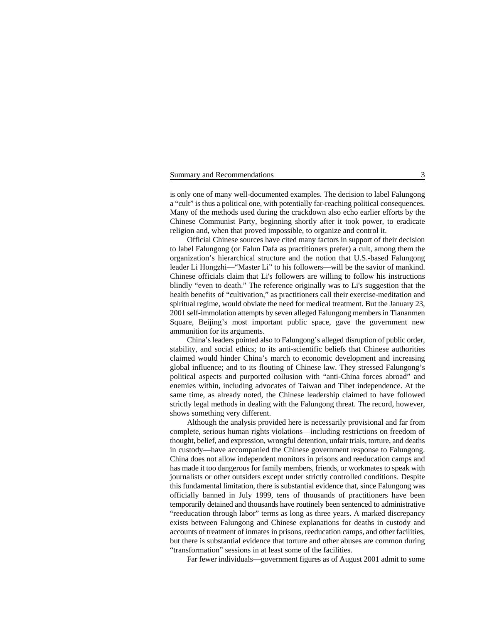#### Summary and Recommendations 3

is only one of many well-documented examples. The decision to label Falungong a "cult" is thus a political one, with potentially far-reaching political consequences. Many of the methods used during the crackdown also echo earlier efforts by the Chinese Communist Party, beginning shortly after it took power, to eradicate religion and, when that proved impossible, to organize and control it.

Official Chinese sources have cited many factors in support of their decision to label Falungong (or Falun Dafa as practitioners prefer) a cult, among them the organization's hierarchical structure and the notion that U.S.-based Falungong leader Li Hongzhi—"Master Li" to his followers—will be the savior of mankind. Chinese officials claim that Li's followers are willing to follow his instructions blindly "even to death." The reference originally was to Li's suggestion that the health benefits of "cultivation," as practitioners call their exercise-meditation and spiritual regime, would obviate the need for medical treatment. But the January 23, 2001 self-immolation attempts by seven alleged Falungong members in Tiananmen Square, Beijing's most important public space, gave the government new ammunition for its arguments.

China's leaders pointed also to Falungong's alleged disruption of public order, stability, and social ethics; to its anti-scientific beliefs that Chinese authorities claimed would hinder China's march to economic development and increasing global influence; and to its flouting of Chinese law. They stressed Falungong's political aspects and purported collusion with "anti-China forces abroad" and enemies within, including advocates of Taiwan and Tibet independence. At the same time, as already noted, the Chinese leadership claimed to have followed strictly legal methods in dealing with the Falungong threat. The record, however, shows something very different.

Although the analysis provided here is necessarily provisional and far from complete, serious human rights violations—including restrictions on freedom of thought, belief, and expression, wrongful detention, unfair trials, torture, and deaths in custody—have accompanied the Chinese government response to Falungong. China does not allow independent monitors in prisons and reeducation camps and has made it too dangerous for family members, friends, or workmates to speak with journalists or other outsiders except under strictly controlled conditions. Despite this fundamental limitation, there is substantial evidence that, since Falungong was officially banned in July 1999, tens of thousands of practitioners have been temporarily detained and thousands have routinely been sentenced to administrative "reeducation through labor" terms as long as three years. A marked discrepancy exists between Falungong and Chinese explanations for deaths in custody and accounts of treatment of inmates in prisons, reeducation camps, and other facilities, but there is substantial evidence that torture and other abuses are common during "transformation" sessions in at least some of the facilities.

Far fewer individuals—government figures as of August 2001 admit to some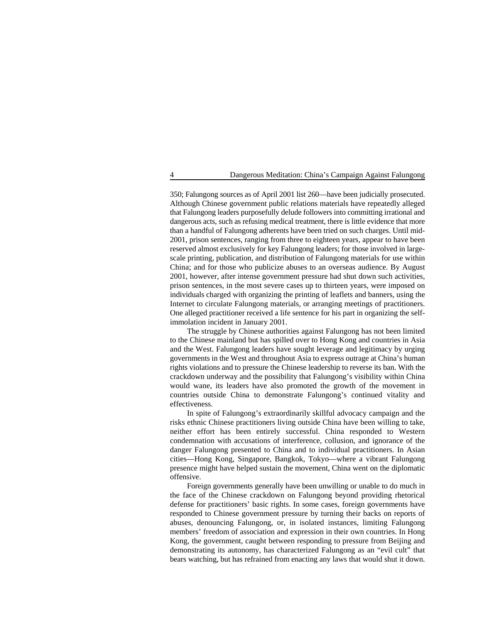350; Falungong sources as of April 2001 list 260—have been judicially prosecuted. Although Chinese government public relations materials have repeatedly alleged that Falungong leaders purposefully delude followers into committing irrational and dangerous acts, such as refusing medical treatment, there is little evidence that more than a handful of Falungong adherents have been tried on such charges. Until mid-2001, prison sentences, ranging from three to eighteen years, appear to have been reserved almost exclusively for key Falungong leaders; for those involved in largescale printing, publication, and distribution of Falungong materials for use within China; and for those who publicize abuses to an overseas audience. By August 2001, however, after intense government pressure had shut down such activities, prison sentences, in the most severe cases up to thirteen years, were imposed on individuals charged with organizing the printing of leaflets and banners, using the Internet to circulate Falungong materials, or arranging meetings of practitioners. One alleged practitioner received a life sentence for his part in organizing the selfimmolation incident in January 2001.

The struggle by Chinese authorities against Falungong has not been limited to the Chinese mainland but has spilled over to Hong Kong and countries in Asia and the West. Falungong leaders have sought leverage and legitimacy by urging governments in the West and throughout Asia to express outrage at China's human rights violations and to pressure the Chinese leadership to reverse its ban. With the crackdown underway and the possibility that Falungong's visibility within China would wane, its leaders have also promoted the growth of the movement in countries outside China to demonstrate Falungong's continued vitality and effectiveness.

In spite of Falungong's extraordinarily skillful advocacy campaign and the risks ethnic Chinese practitioners living outside China have been willing to take, neither effort has been entirely successful. China responded to Western condemnation with accusations of interference, collusion, and ignorance of the danger Falungong presented to China and to individual practitioners. In Asian cities—Hong Kong, Singapore, Bangkok, Tokyo—where a vibrant Falungong presence might have helped sustain the movement, China went on the diplomatic offensive.

Foreign governments generally have been unwilling or unable to do much in the face of the Chinese crackdown on Falungong beyond providing rhetorical defense for practitioners' basic rights. In some cases, foreign governments have responded to Chinese government pressure by turning their backs on reports of abuses, denouncing Falungong, or, in isolated instances, limiting Falungong members' freedom of association and expression in their own countries. In Hong Kong, the government, caught between responding to pressure from Beijing and demonstrating its autonomy, has characterized Falungong as an "evil cult" that bears watching, but has refrained from enacting any laws that would shut it down.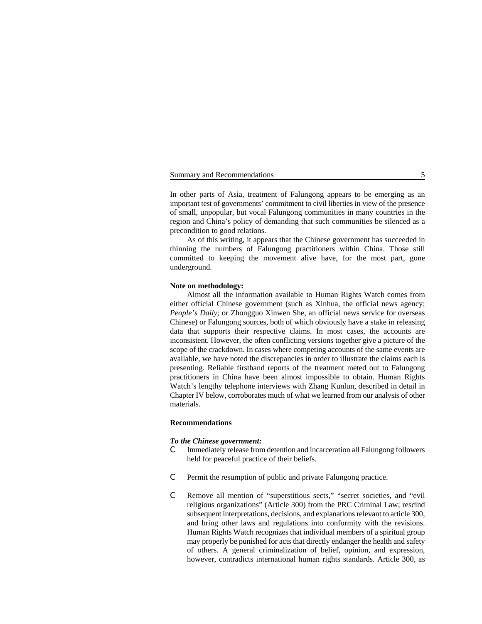#### Summary and Recommendations 5

In other parts of Asia, treatment of Falungong appears to be emerging as an important test of governments' commitment to civil liberties in view of the presence of small, unpopular, but vocal Falungong communities in many countries in the region and China's policy of demanding that such communities be silenced as a precondition to good relations.

As of this writing, it appears that the Chinese government has succeeded in thinning the numbers of Falungong practitioners within China. Those still committed to keeping the movement alive have, for the most part, gone underground.

## **Note on methodology:**

Almost all the information available to Human Rights Watch comes from either official Chinese government (such as Xinhua, the official news agency; *People's Daily*; or Zhongguo Xinwen She, an official news service for overseas Chinese) or Falungong sources, both of which obviously have a stake in releasing data that supports their respective claims. In most cases, the accounts are inconsistent. However, the often conflicting versions together give a picture of the scope of the crackdown. In cases where competing accounts of the same events are available, we have noted the discrepancies in order to illustrate the claims each is presenting. Reliable firsthand reports of the treatment meted out to Falungong practitioners in China have been almost impossible to obtain. Human Rights Watch's lengthy telephone interviews with Zhang Kunlun, described in detail in Chapter IV below, corroborates much of what we learned from our analysis of other materials.

#### **Recommendations**

#### *To the Chinese government:*

- C Immediately release from detention and incarceration all Falungong followers held for peaceful practice of their beliefs.
- C Permit the resumption of public and private Falungong practice.
- C Remove all mention of "superstitious sects," "secret societies, and "evil religious organizations" (Article 300) from the PRC Criminal Law; rescind subsequent interpretations, decisions, and explanations relevant to article 300, and bring other laws and regulations into conformity with the revisions. Human Rights Watch recognizes that individual members of a spiritual group may properly be punished for acts that directly endanger the health and safety of others. A general criminalization of belief, opinion, and expression, however, contradicts international human rights standards. Article 300, as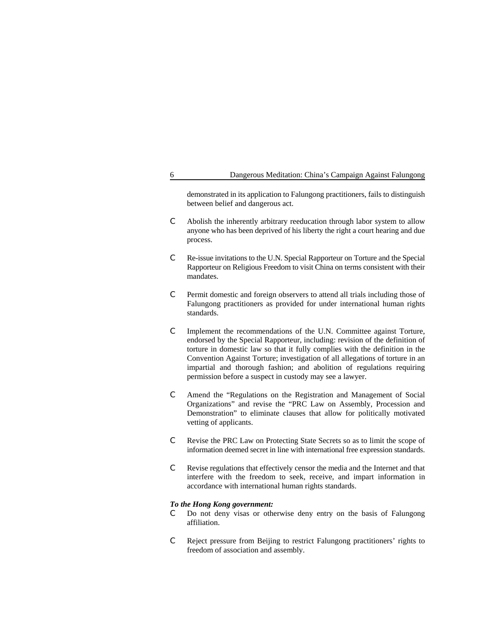demonstrated in its application to Falungong practitioners, fails to distinguish between belief and dangerous act.

- C Abolish the inherently arbitrary reeducation through labor system to allow anyone who has been deprived of his liberty the right a court hearing and due process.
- C Re-issue invitations to the U.N. Special Rapporteur on Torture and the Special Rapporteur on Religious Freedom to visit China on terms consistent with their mandates.
- C Permit domestic and foreign observers to attend all trials including those of Falungong practitioners as provided for under international human rights standards.
- C Implement the recommendations of the U.N. Committee against Torture, endorsed by the Special Rapporteur, including: revision of the definition of torture in domestic law so that it fully complies with the definition in the Convention Against Torture; investigation of all allegations of torture in an impartial and thorough fashion; and abolition of regulations requiring permission before a suspect in custody may see a lawyer.
- C Amend the "Regulations on the Registration and Management of Social Organizations" and revise the "PRC Law on Assembly, Procession and Demonstration" to eliminate clauses that allow for politically motivated vetting of applicants.
- C Revise the PRC Law on Protecting State Secrets so as to limit the scope of information deemed secret in line with international free expression standards.
- C Revise regulations that effectively censor the media and the Internet and that interfere with the freedom to seek, receive, and impart information in accordance with international human rights standards.

#### *To the Hong Kong government:*

- C Do not deny visas or otherwise deny entry on the basis of Falungong affiliation.
- C Reject pressure from Beijing to restrict Falungong practitioners' rights to freedom of association and assembly.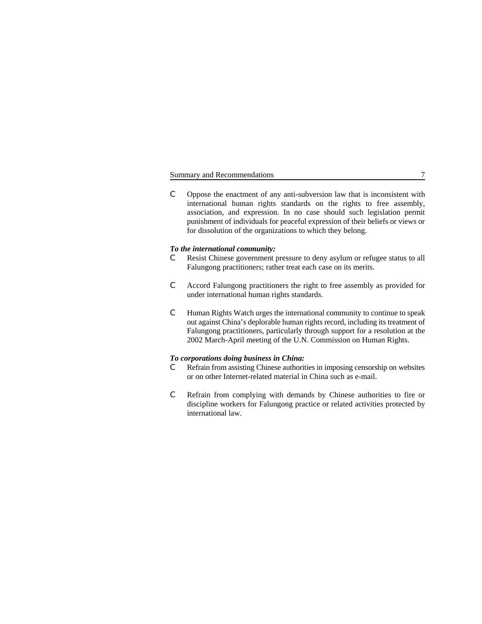## Summary and Recommendations 7

C Oppose the enactment of any anti-subversion law that is inconsistent with international human rights standards on the rights to free assembly, association, and expression. In no case should such legislation permit punishment of individuals for peaceful expression of their beliefs or views or for dissolution of the organizations to which they belong.

#### *To the international community:*

- C Resist Chinese government pressure to deny asylum or refugee status to all Falungong practitioners; rather treat each case on its merits.
- C Accord Falungong practitioners the right to free assembly as provided for under international human rights standards.
- C Human Rights Watch urges the international community to continue to speak out against China's deplorable human rights record, including its treatment of Falungong practitioners, particularly through support for a resolution at the 2002 March-April meeting of the U.N. Commission on Human Rights.

## *To corporations doing business in China:*

- C Refrain from assisting Chinese authorities in imposing censorship on websites or on other Internet-related material in China such as e-mail.
- C Refrain from complying with demands by Chinese authorities to fire or discipline workers for Falungong practice or related activities protected by international law.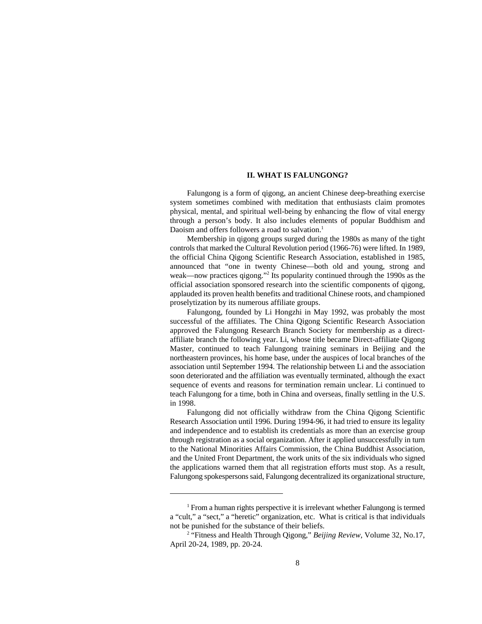#### **II. WHAT IS FALUNGONG?**

Falungong is a form of qigong, an ancient Chinese deep-breathing exercise system sometimes combined with meditation that enthusiasts claim promotes physical, mental, and spiritual well-being by enhancing the flow of vital energy through a person's body. It also includes elements of popular Buddhism and Daoism and offers followers a road to salvation.<sup>1</sup>

Membership in qigong groups surged during the 1980s as many of the tight controls that marked the Cultural Revolution period (1966-76) were lifted. In 1989, the official China Qigong Scientific Research Association, established in 1985, announced that "one in twenty Chinese—both old and young, strong and weak—now practices qigong."<sup>2</sup> Its popularity continued through the 1990s as the official association sponsored research into the scientific components of qigong, applauded its proven health benefits and traditional Chinese roots, and championed proselytization by its numerous affiliate groups.

Falungong, founded by Li Hongzhi in May 1992, was probably the most successful of the affiliates. The China Qigong Scientific Research Association approved the Falungong Research Branch Society for membership as a directaffiliate branch the following year. Li, whose title became Direct-affiliate Qigong Master, continued to teach Falungong training seminars in Beijing and the northeastern provinces, his home base, under the auspices of local branches of the association until September 1994. The relationship between Li and the association soon deteriorated and the affiliation was eventually terminated, although the exact sequence of events and reasons for termination remain unclear. Li continued to teach Falungong for a time, both in China and overseas, finally settling in the U.S. in 1998.

Falungong did not officially withdraw from the China Qigong Scientific Research Association until 1996. During 1994-96, it had tried to ensure its legality and independence and to establish its credentials as more than an exercise group through registration as a social organization. After it applied unsuccessfully in turn to the National Minorities Affairs Commission, the China Buddhist Association, and the United Front Department, the work units of the six individuals who signed the applications warned them that all registration efforts must stop. As a result, Falungong spokespersons said, Falungong decentralized its organizational structure,

 $<sup>1</sup>$  From a human rights perspective it is irrelevant whether Falungong is termed</sup> a "cult," a "sect," a "heretic" organization, etc. What is critical is that individuals not be punished for the substance of their beliefs.

<sup>&</sup>lt;sup>2</sup> "Fitness and Health Through Qigong," *Beijing Review*, Volume 32, No.17, April 20-24, 1989, pp. 20-24.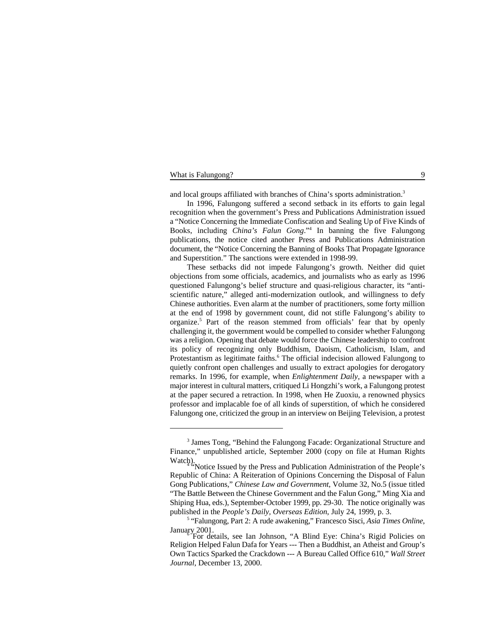#### What is Falungong? 9

and local groups affiliated with branches of China's sports administration.<sup>3</sup>

In 1996, Falungong suffered a second setback in its efforts to gain legal recognition when the government's Press and Publications Administration issued a "Notice Concerning the Immediate Confiscation and Sealing Up of Five Kinds of Books, including *China's Falun Gong*."<sup>4</sup> In banning the five Falungong publications, the notice cited another Press and Publications Administration document, the "Notice Concerning the Banning of Books That Propagate Ignorance and Superstition." The sanctions were extended in 1998-99.

These setbacks did not impede Falungong's growth. Neither did quiet objections from some officials, academics, and journalists who as early as 1996 questioned Falungong's belief structure and quasi-religious character, its "antiscientific nature," alleged anti-modernization outlook, and willingness to defy Chinese authorities. Even alarm at the number of practitioners, some forty million at the end of 1998 by government count, did not stifle Falungong's ability to organize.<sup>5</sup> Part of the reason stemmed from officials' fear that by openly challenging it, the government would be compelled to consider whether Falungong was a religion. Opening that debate would force the Chinese leadership to confront its policy of recognizing only Buddhism, Daoism, Catholicism, Islam, and Protestantism as legitimate faiths.<sup>6</sup> The official indecision allowed Falungong to quietly confront open challenges and usually to extract apologies for derogatory remarks. In 1996, for example, when *Enlightenment Daily*, a newspaper with a major interest in cultural matters, critiqued Li Hongzhi's work, a Falungong protest at the paper secured a retraction. In 1998, when He Zuoxiu, a renowned physics professor and implacable foe of all kinds of superstition, of which he considered Falungong one, criticized the group in an interview on Beijing Television, a protest

<sup>&</sup>lt;sup>3</sup> James Tong, "Behind the Falungong Facade: Organizational Structure and Finance," unpublished article, September 2000 (copy on file at Human Rights

Watch).<br>"Notice Issued by the Press and Publication Administration of the People's Republic of China: A Reiteration of Opinions Concerning the Disposal of Falun Gong Publications," *Chinese Law and Government*, Volume 32, No.5 (issue titled "The Battle Between the Chinese Government and the Falun Gong," Ming Xia and Shiping Hua, eds.), September-October 1999, pp. 29-30. The notice originally was published in the *People's Daily, Overseas Edition*, July 24, 1999, p. 3.

<sup>&</sup>lt;sup>5</sup> "Falungong, Part 2: A rude awakening," Francesco Sisci, *Asia Times Online*, January 2001.<br>For details, see Ian Johnson, "A Blind Eye: China's Rigid Policies on

Religion Helped Falun Dafa for Years --- Then a Buddhist, an Atheist and Group's Own Tactics Sparked the Crackdown --- A Bureau Called Office 610," *Wall Street Journal*, December 13, 2000.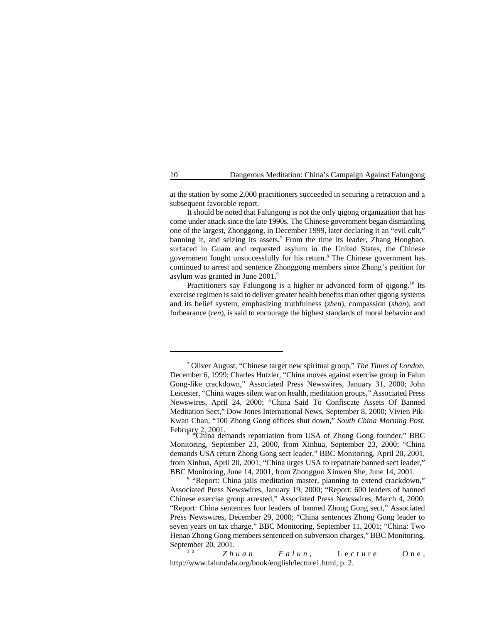at the station by some 2,000 practitioners succeeded in securing a retraction and a subsequent favorable report.

It should be noted that Falungong is not the only qigong organization that has come under attack since the late 1990s. The Chinese government began dismantling one of the largest, Zhonggong, in December 1999, later declaring it an "evil cult," banning it, and seizing its assets.<sup>7</sup> From the time its leader, Zhang Hongbao, surfaced in Guam and requested asylum in the United States, the Chinese government fought unsuccessfully for his return.<sup>8</sup> The Chinese government has continued to arrest and sentence Zhonggong members since Zhang's petition for asylum was granted in June 2001.<sup>9</sup>

Practitioners say Falungong is a higher or advanced form of qigong.<sup>10</sup> Its exercise regimen is said to deliver greater health benefits than other qigong systems and its belief system, emphasizing truthfulness (*zhen*), compassion (*shan*), and forbearance (*ren*), is said to encourage the highest standards of moral behavior and

Zhuan Falun, Lecture One, http://www.falundafa.org/book/english/lecture1.html, p. 2.

Oliver August, "Chinese target new spiritual group," *The Times of London*, <sup>7</sup> December 6, 1999; Charles Hutzler, "China moves against exercise group in Falun Gong-like crackdown," Associated Press Newswires, January 31, 2000; John Leicester, "China wages silent war on health, meditation groups," Associated Press Newswires, April 24, 2000; "China Said To Confiscate Assets Of Banned Meditation Sect," Dow Jones International News, September 8, 2000; Vivien Pik-Kwan Chan, "100 Zhong Gong offices shut down," *South China Morning Post*, February 2, 2001.<br>"China demands repatriation from USA of Zhong Gong founder," BBC

Monitoring, September 23, 2000, from Xinhua, September 23, 2000; "China demands USA return Zhong Gong sect leader," BBC Monitoring, April 20, 2001, from Xinhua, April 20, 2001; "China urges USA to repatriate banned sect leader," BBC Monitoring, June 14, 2001, from Zhongguo Xinwen She, June 14, 2001.

<sup>&</sup>lt;sup>9</sup> "Report: China jails meditation master, planning to extend crackdown," Associated Press Newswires, January 19, 2000; "Report: 600 leaders of banned Chinese exercise group arrested," Associated Press Newswires, March 4, 2000; "Report: China sentences four leaders of banned Zhong Gong sect," Associated Press Newswires, December 29, 2000; "China sentences Zhong Gong leader to seven years on tax charge," BBC Monitoring, September 11, 2001; "China: Two Henan Zhong Gong members sentenced on subversion charges," BBC Monitoring, September 20, 2001.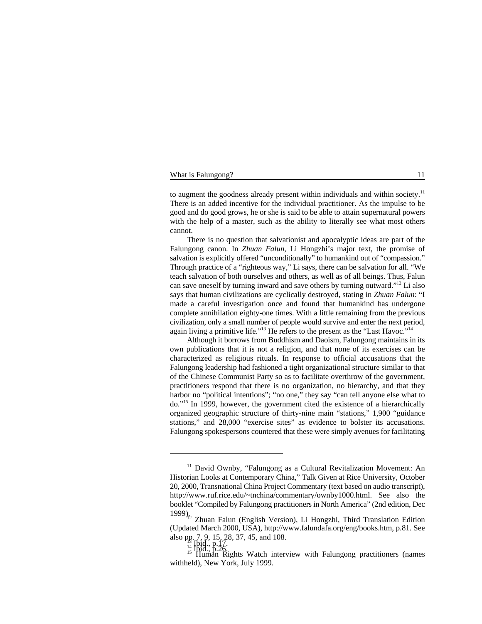#### What is Falungong? 11

to augment the goodness already present within individuals and within society.<sup>11</sup> There is an added incentive for the individual practitioner. As the impulse to be good and do good grows, he or she is said to be able to attain supernatural powers with the help of a master, such as the ability to literally see what most others cannot.

There is no question that salvationist and apocalyptic ideas are part of the Falungong canon. In *Zhuan Falun*, Li Hongzhi's major text, the promise of salvation is explicitly offered "unconditionally" to humankind out of "compassion." Through practice of a "righteous way," Li says, there can be salvation for all. "We teach salvation of both ourselves and others, as well as of all beings. Thus, Falun can save oneself by turning inward and save others by turning outward."<sup>12</sup> Li also says that human civilizations are cyclically destroyed, stating in *Zhuan Falun*: "I made a careful investigation once and found that humankind has undergone complete annihilation eighty-one times. With a little remaining from the previous civilization, only a small number of people would survive and enter the next period, again living a primitive life."<sup>13</sup> He refers to the present as the "Last Havoc."<sup>14</sup>

Although it borrows from Buddhism and Daoism, Falungong maintains in its own publications that it is not a religion, and that none of its exercises can be characterized as religious rituals. In response to official accusations that the Falungong leadership had fashioned a tight organizational structure similar to that of the Chinese Communist Party so as to facilitate overthrow of the government, practitioners respond that there is no organization, no hierarchy, and that they harbor no "political intentions"; "no one," they say "can tell anyone else what to do."<sup>15</sup> In 1999, however, the government cited the existence of a hierarchically organized geographic structure of thirty-nine main "stations," 1,900 "guidance stations," and 28,000 "exercise sites" as evidence to bolster its accusations. Falungong spokespersons countered that these were simply avenues for facilitating

 $11$  David Ownby, "Falungong as a Cultural Revitalization Movement: An Historian Looks at Contemporary China," Talk Given at Rice University, October 20, 2000, Transnational China Project Commentary (text based on audio transcript), http://www.ruf.rice.edu/~tnchina/commentary/ownby1000.html. See also the booklet "Compiled by Falungong practitioners in North America" (2nd edition, Dec

<sup>1999)&</sup>lt;sup>12</sup> Zhuan Falun (English Version), Li Hongzhi, Third Translation Edition (Updated March 2000, USA), http://www.falundafa.org/eng/books.htm, p.81. See also pp. 7, 9, 15, 28, 37, 45, and 108.

<sup>14</sup> Hett; P.26.<br><sup>15</sup> Human Rights Watch interview with Falungong practitioners (names withheld), New York, July 1999.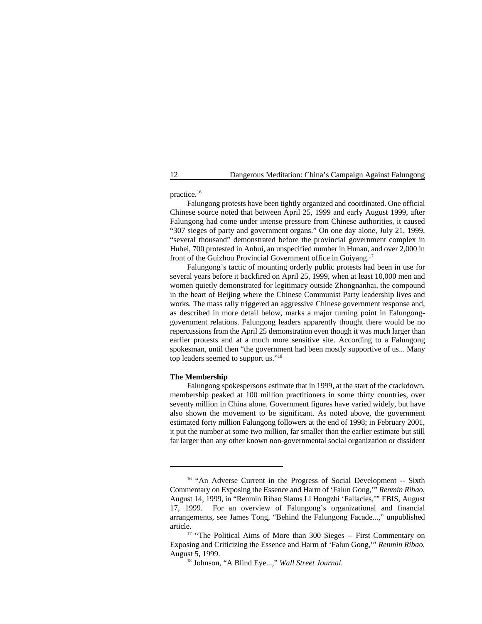practice.16

Falungong protests have been tightly organized and coordinated. One official Chinese source noted that between April 25, 1999 and early August 1999, after Falungong had come under intense pressure from Chinese authorities, it caused "307 sieges of party and government organs." On one day alone, July 21, 1999, "several thousand" demonstrated before the provincial government complex in Hubei, 700 protested in Anhui, an unspecified number in Hunan, and over 2,000 in front of the Guizhou Provincial Government office in Guiyang. 17

Falungong's tactic of mounting orderly public protests had been in use for several years before it backfired on April 25, 1999, when at least 10,000 men and women quietly demonstrated for legitimacy outside Zhongnanhai, the compound in the heart of Beijing where the Chinese Communist Party leadership lives and works. The mass rally triggered an aggressive Chinese government response and, as described in more detail below, marks a major turning point in Falungonggovernment relations. Falungong leaders apparently thought there would be no repercussions from the April 25 demonstration even though it was much larger than earlier protests and at a much more sensitive site. According to a Falungong spokesman, until then "the government had been mostly supportive of us... Many top leaders seemed to support us."<sup>18</sup>

#### **The Membership**

Falungong spokespersons estimate that in 1999, at the start of the crackdown, membership peaked at 100 million practitioners in some thirty countries, over seventy million in China alone. Government figures have varied widely, but have also shown the movement to be significant. As noted above, the government estimated forty million Falungong followers at the end of 1998; in February 2001, it put the number at some two million, far smaller than the earlier estimate but still far larger than any other known non-governmental social organization or dissident

 $16$  "An Adverse Current in the Progress of Social Development -- Sixth Commentary on Exposing the Essence and Harm of 'Falun Gong,'" *Renmin Ribao*, August 14, 1999, in "Renmin Ribao Slams Li Hongzhi 'Fallacies,'" FBIS, August 17, 1999. For an overview of Falungong's organizational and financial arrangements, see James Tong, "Behind the Falungong Facade...," unpublished article.

<sup>&</sup>lt;sup>17</sup> "The Political Aims of More than 300 Sieges -- First Commentary on Exposing and Criticizing the Essence and Harm of 'Falun Gong,'" *Renmin Ribao*, August 5, 1999.

<sup>&</sup>lt;sup>18</sup> Johnson, "A Blind Eye...," *Wall Street Journal*.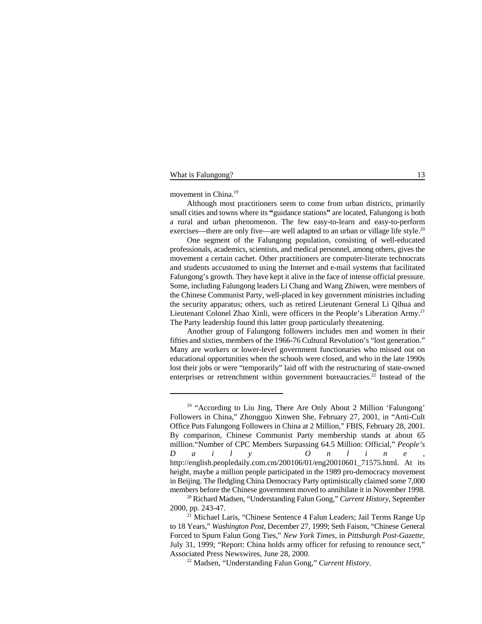## What is Falungong? 13

movement in China.<sup>19</sup>

Although most practitioners seem to come from urban districts, primarily small cities and towns where its **"**guidance stations**"** are located, Falungong is both a rural and urban phenomenon. The few easy-to-learn and easy-to-perform exercises—there are only five—are well adapted to an urban or village life style.<sup>20</sup>

One segment of the Falungong population, consisting of well-educated professionals, academics, scientists, and medical personnel, among others, gives the movement a certain cachet. Other practitioners are computer-literate technocrats and students accustomed to using the Internet and e-mail systems that facilitated Falungong's growth. They have kept it alive in the face of intense official pressure. Some, including Falungong leaders Li Chang and Wang Zhiwen, were members of the Chinese Communist Party, well-placed in key government ministries including the security apparatus; others, such as retired Lieutenant General Li Qihua and Lieutenant Colonel Zhao Xinli, were officers in the People's Liberation Army.<sup>21</sup> The Party leadership found this latter group particularly threatening.

Another group of Falungong followers includes men and women in their fifties and sixties, members of the 1966-76 Cultural Revolution's "lost generation." Many are workers or lower-level government functionaries who missed out on educational opportunities when the schools were closed, and who in the late 1990s lost their jobs or were "temporarily" laid off with the restructuring of state-owned enterprises or retrenchment within government bureaucracies.<sup>22</sup> Instead of the

 $19$  "According to Liu Jing, There Are Only About 2 Million 'Falungong' Followers in China," Zhongguo Xinwen She, February 27, 2001, in "Anti-Cult Office Puts Falungong Followers in China at 2 Million," FBIS, February 28, 2001. By comparison, Chinese Communist Party membership stands at about 65 million."Number of CPC Members Surpassing 64.5 Million: Official," *People's Daily Online* , http://english.peopledaily.com.cm/200106/01/eng20010601\_71575.html. At its height, maybe a million people participated in the 1989 pro-democracy movement in Beijing. The fledgling China Democracy Party optimistically claimed some 7,000 members before the Chinese government moved to annihilate it in November 1998.

<sup>&</sup>lt;sup>20</sup> Richard Madsen, "Understanding Falun Gong," *Current History*, September 2000, pp. 243-47.

 $^{21}$  Michael Laris, "Chinese Sentence 4 Falun Leaders; Jail Terms Range Up to 18 Years," *Washington Post*, December 27, 1999; Seth Faison, "Chinese General Forced to Spurn Falun Gong Ties," *New York Times*, in *Pittsburgh Post-Gazette,* July 31, 1999; "Report: China holds army officer for refusing to renounce sect," Associated Press Newswires, June 28, 2000.

<sup>&</sup>lt;sup>22</sup> Madsen, "Understanding Falun Gong," *Current History*.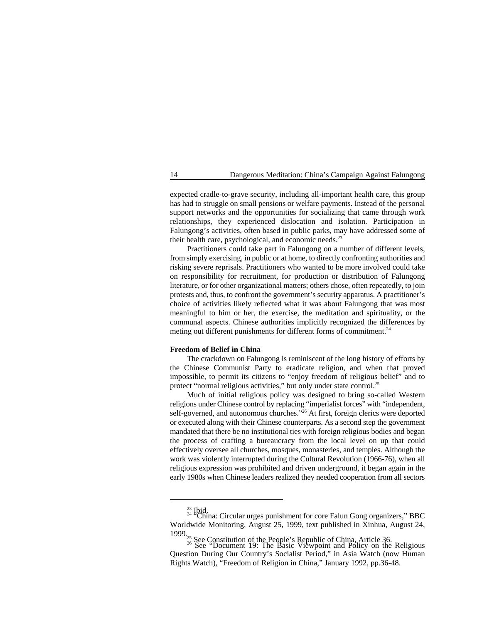expected cradle-to-grave security, including all-important health care, this group has had to struggle on small pensions or welfare payments. Instead of the personal support networks and the opportunities for socializing that came through work relationships, they experienced dislocation and isolation. Participation in Falungong's activities, often based in public parks, may have addressed some of their health care, psychological, and economic needs.<sup>23</sup>

Practitioners could take part in Falungong on a number of different levels, from simply exercising, in public or at home, to directly confronting authorities and risking severe reprisals. Practitioners who wanted to be more involved could take on responsibility for recruitment, for production or distribution of Falungong literature, or for other organizational matters; others chose, often repeatedly, to join protests and, thus, to confront the government's security apparatus. A practitioner's choice of activities likely reflected what it was about Falungong that was most meaningful to him or her, the exercise, the meditation and spirituality, or the communal aspects. Chinese authorities implicitly recognized the differences by meting out different punishments for different forms of commitment. 24

## **Freedom of Belief in China**

The crackdown on Falungong is reminiscent of the long history of efforts by the Chinese Communist Party to eradicate religion, and when that proved impossible, to permit its citizens to "enjoy freedom of religious belief" and to protect "normal religious activities," but only under state control.<sup>25</sup>

Much of initial religious policy was designed to bring so-called Western religions under Chinese control by replacing "imperialist forces" with "independent, self-governed, and autonomous churches."<sup>26</sup> At first, foreign clerics were deported or executed along with their Chinese counterparts. As a second step the government mandated that there be no institutional ties with foreign religious bodies and began the process of crafting a bureaucracy from the local level on up that could effectively oversee all churches, mosques, monasteries, and temples. Although the work was violently interrupted during the Cultural Revolution (1966-76), when all religious expression was prohibited and driven underground, it began again in the early 1980s when Chinese leaders realized they needed cooperation from all sectors

<sup>&</sup>lt;sup>23</sup> Ibid.<br><sup>24</sup> "China: Circular urges punishment for core Falun Gong organizers," BBC Worldwide Monitoring, August 25, 1999, text published in Xinhua, August 24,

<sup>1999.&</sup>lt;sup>25</sup> See Constitution of the People's Republic of China, Article 36.<br><sup>26</sup> See "Document 19: The Basic Viewpoint and Policy on the Religious Question During Our Country's Socialist Period," in Asia Watch (now Human Rights Watch), "Freedom of Religion in China," January 1992, pp.36-48.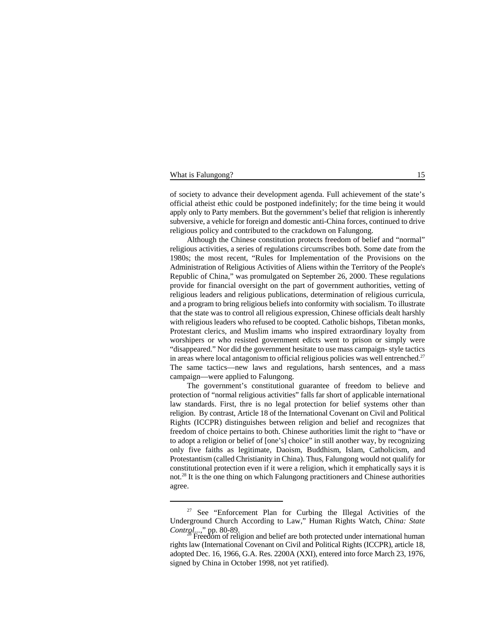#### What is Falungong? 15

of society to advance their development agenda. Full achievement of the state's official atheist ethic could be postponed indefinitely; for the time being it would apply only to Party members. But the government's belief that religion is inherently subversive, a vehicle for foreign and domestic anti-China forces, continued to drive religious policy and contributed to the crackdown on Falungong.

Although the Chinese constitution protects freedom of belief and "normal" religious activities, a series of regulations circumscribes both. Some date from the 1980s; the most recent, "Rules for Implementation of the Provisions on the Administration of Religious Activities of Aliens within the Territory of the People's Republic of China," was promulgated on September 26, 2000. These regulations provide for financial oversight on the part of government authorities, vetting of religious leaders and religious publications, determination of religious curricula, and a program to bring religious beliefs into conformity with socialism. To illustrate that the state was to control all religious expression, Chinese officials dealt harshly with religious leaders who refused to be coopted. Catholic bishops, Tibetan monks, Protestant clerics, and Muslim imams who inspired extraordinary loyalty from worshipers or who resisted government edicts went to prison or simply were "disappeared." Nor did the government hesitate to use mass campaign- style tactics in areas where local antagonism to official religious policies was well entrenched.<sup>27</sup> The same tactics—new laws and regulations, harsh sentences, and a mass campaign—were applied to Falungong.

The government's constitutional guarantee of freedom to believe and protection of "normal religious activities" falls far short of applicable international law standards. First, thre is no legal protection for belief systems other than religion. By contrast, Article 18 of the International Covenant on Civil and Political Rights (ICCPR) distinguishes between religion and belief and recognizes that freedom of choice pertains to both. Chinese authorities limit the right to "have or to adopt a religion or belief of [one's] choice" in still another way, by recognizing only five faiths as legitimate, Daoism, Buddhism, Islam, Catholicism, and Protestantism (called Christianity in China). Thus, Falungong would not qualify for constitutional protection even if it were a religion, which it emphatically says it is not.<sup>28</sup> It is the one thing on which Falungong practitioners and Chinese authorities agree.

<sup>&</sup>lt;sup>27</sup> See "Enforcement Plan for Curbing the Illegal Activities of the Underground Church According to Law," Human Rights Watch, *China: State*

Freedom of religion and belief are both protected under international human rights law (International Covenant on Civil and Political Rights (ICCPR), article 18, adopted Dec. 16, 1966, G.A. Res. 2200A (XXI), entered into force March 23, 1976, signed by China in October 1998, not yet ratified).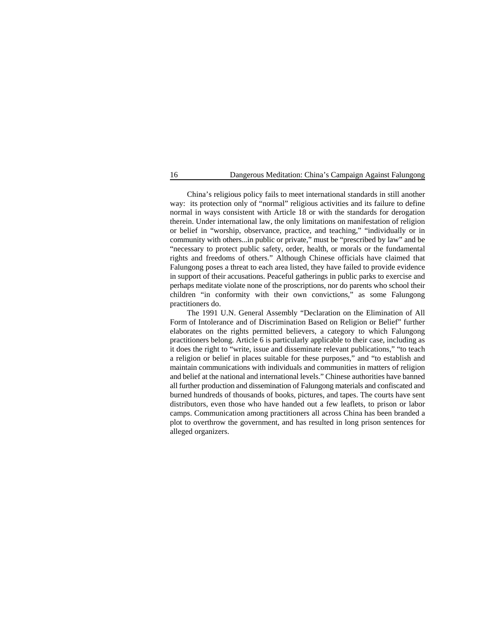China's religious policy fails to meet international standards in still another way: its protection only of "normal" religious activities and its failure to define normal in ways consistent with Article 18 or with the standards for derogation therein. Under international law, the only limitations on manifestation of religion or belief in "worship, observance, practice, and teaching," "individually or in community with others...in public or private," must be "prescribed by law" and be "necessary to protect public safety, order, health, or morals or the fundamental rights and freedoms of others." Although Chinese officials have claimed that Falungong poses a threat to each area listed, they have failed to provide evidence in support of their accusations. Peaceful gatherings in public parks to exercise and perhaps meditate violate none of the proscriptions, nor do parents who school their children "in conformity with their own convictions," as some Falungong practitioners do.

The 1991 U.N. General Assembly "Declaration on the Elimination of All Form of Intolerance and of Discrimination Based on Religion or Belief" further elaborates on the rights permitted believers, a category to which Falungong practitioners belong. Article 6 is particularly applicable to their case, including as it does the right to "write, issue and disseminate relevant publications," "to teach a religion or belief in places suitable for these purposes," and "to establish and maintain communications with individuals and communities in matters of religion and belief at the national and international levels." Chinese authorities have banned all further production and dissemination of Falungong materials and confiscated and burned hundreds of thousands of books, pictures, and tapes. The courts have sent distributors, even those who have handed out a few leaflets, to prison or labor camps. Communication among practitioners all across China has been branded a plot to overthrow the government, and has resulted in long prison sentences for alleged organizers.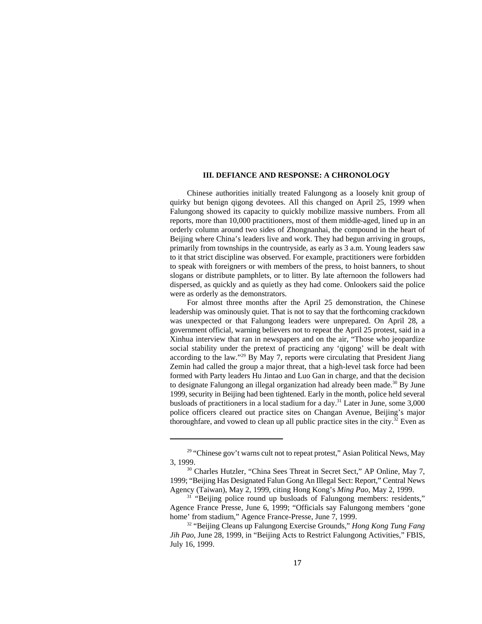#### **III. DEFIANCE AND RESPONSE: A CHRONOLOGY**

Chinese authorities initially treated Falungong as a loosely knit group of quirky but benign qigong devotees. All this changed on April 25, 1999 when Falungong showed its capacity to quickly mobilize massive numbers. From all reports, more than 10,000 practitioners, most of them middle-aged, lined up in an orderly column around two sides of Zhongnanhai, the compound in the heart of Beijing where China's leaders live and work. They had begun arriving in groups, primarily from townships in the countryside, as early as 3 a.m. Young leaders saw to it that strict discipline was observed. For example, practitioners were forbidden to speak with foreigners or with members of the press, to hoist banners, to shout slogans or distribute pamphlets, or to litter. By late afternoon the followers had dispersed, as quickly and as quietly as they had come. Onlookers said the police were as orderly as the demonstrators.

For almost three months after the April 25 demonstration, the Chinese leadership was ominously quiet. That is not to say that the forthcoming crackdown was unexpected or that Falungong leaders were unprepared. On April 28, a government official, warning believers not to repeat the April 25 protest, said in a Xinhua interview that ran in newspapers and on the air, "Those who jeopardize social stability under the pretext of practicing any 'qigong' will be dealt with according to the law."<sup>29</sup> By May 7, reports were circulating that President Jiang Zemin had called the group a major threat, that a high-level task force had been formed with Party leaders Hu Jintao and Luo Gan in charge, and that the decision to designate Falungong an illegal organization had already been made.<sup>30</sup> By June 1999, security in Beijing had been tightened. Early in the month, police held several busloads of practitioners in a local stadium for a day.<sup>31</sup> Later in June, some 3,000 police officers cleared out practice sites on Changan Avenue, Beijing's major thoroughfare, and vowed to clean up all public practice sites in the city.<sup> $32$ </sup> Even as

 $29$  "Chinese gov't warns cult not to repeat protest," Asian Political News, May 3, 1999.

<sup>&</sup>lt;sup>30</sup> Charles Hutzler, "China Sees Threat in Secret Sect," AP Online, May 7, 1999; "Beijing Has Designated Falun Gong An Illegal Sect: Report," Central News Agency (Taiwan), May 2, 1999, citing Hong Kong's *Ming Pao*, May 2, 1999.

<sup>&</sup>lt;sup>31</sup> "Beijing police round up busloads of Falungong members: residents," Agence France Presse, June 6, 1999; "Officials say Falungong members 'gone home' from stadium," Agence France-Presse, June 7, 1999.

<sup>&</sup>lt;sup>32</sup> "Beijing Cleans up Falungong Exercise Grounds," *Hong Kong Tung Fang Jih Pao*, June 28, 1999, in "Beijing Acts to Restrict Falungong Activities," FBIS, July 16, 1999.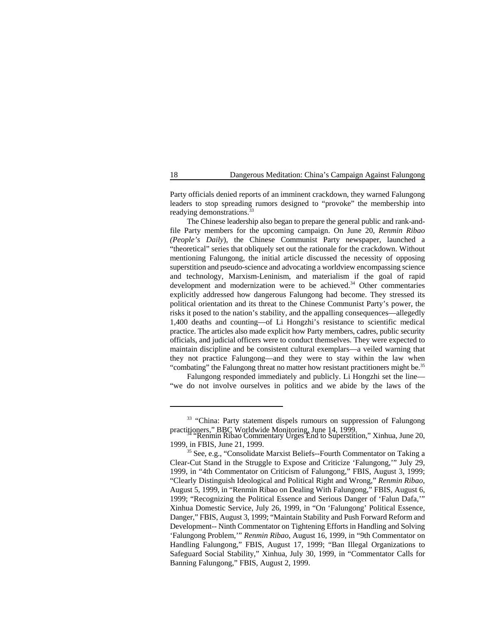Party officials denied reports of an imminent crackdown, they warned Falungong leaders to stop spreading rumors designed to "provoke" the membership into readying demonstrations.<sup>33</sup>

The Chinese leadership also began to prepare the general public and rank-andfile Party members for the upcoming campaign. On June 20, *Renmin Ribao (People's Daily*), the Chinese Communist Party newspaper, launched a "theoretical" series that obliquely set out the rationale for the crackdown. Without mentioning Falungong, the initial article discussed the necessity of opposing superstition and pseudo-science and advocating a worldview encompassing science and technology, Marxism-Leninism, and materialism if the goal of rapid development and modernization were to be achieved.<sup>34</sup> Other commentaries explicitly addressed how dangerous Falungong had become. They stressed its political orientation and its threat to the Chinese Communist Party's power, the risks it posed to the nation's stability, and the appalling consequences—allegedly 1,400 deaths and counting—of Li Hongzhi's resistance to scientific medical practice. The articles also made explicit how Party members, cadres, public security officials, and judicial officers were to conduct themselves. They were expected to maintain discipline and be consistent cultural exemplars—a veiled warning that they not practice Falungong—and they were to stay within the law when "combating" the Falungong threat no matter how resistant practitioners might be.<sup>35</sup>

Falungong responded immediately and publicly. Li Hongzhi set the line— "we do not involve ourselves in politics and we abide by the laws of the

<sup>&</sup>lt;sup>33</sup> "China: Party statement dispels rumours on suppression of Falungong practitioners," BBC Worldwide Monitoring, June 14, 1999.<br>"Renmin Ribao Commentary Urges End to Superstition," Xinhua, June 20,

<sup>1999,</sup> in FBIS, June 21, 1999.

<sup>&</sup>lt;sup>35</sup> See, e.g., "Consolidate Marxist Beliefs--Fourth Commentator on Taking a Clear-Cut Stand in the Struggle to Expose and Criticize 'Falungong,'" July 29, 1999, in "4th Commentator on Criticism of Falungong," FBIS, August 3, 1999; "Clearly Distinguish Ideological and Political Right and Wrong," *Renmin Ribao,* August 5, 1999, in "Renmin Ribao on Dealing With Falungong," FBIS, August 6, 1999; "Recognizing the Political Essence and Serious Danger of 'Falun Dafa,'" Xinhua Domestic Service, July 26, 1999, in "On 'Falungong' Political Essence, Danger," FBIS, August 3, 1999; "Maintain Stability and Push Forward Reform and Development-- Ninth Commentator on Tightening Efforts in Handling and Solving 'Falungong Problem,'" *Renmin Ribao*, August 16, 1999, in "9th Commentator on Handling Falungong," FBIS, August 17, 1999; "Ban Illegal Organizations to Safeguard Social Stability," Xinhua, July 30, 1999, in "Commentator Calls for Banning Falungong," FBIS, August 2, 1999.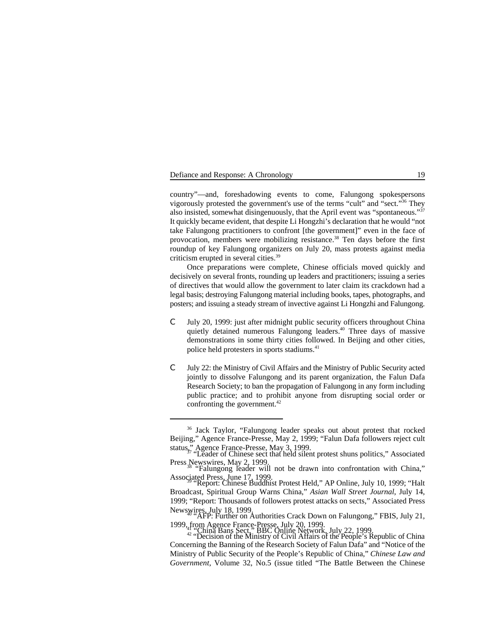| Defiance and Response: A Chronology |  |  |
|-------------------------------------|--|--|
|-------------------------------------|--|--|

country"—and, foreshadowing events to come, Falungong spokespersons vigorously protested the government's use of the terms "cult" and "sect. $36\%$  They also insisted, somewhat disingenuously, that the April event was "spontaneous."<sup>37</sup> It quickly became evident, that despite Li Hongzhi's declaration that he would "not take Falungong practitioners to confront [the government]" even in the face of provocation, members were mobilizing resistance.<sup>38</sup> Ten days before the first roundup of key Falungong organizers on July 20, mass protests against media criticism erupted in several cities. 39

Once preparations were complete, Chinese officials moved quickly and decisively on several fronts, rounding up leaders and practitioners; issuing a series of directives that would allow the government to later claim its crackdown had a legal basis; destroying Falungong material including books, tapes, photographs, and posters; and issuing a steady stream of invective against Li Hongzhi and Falungong.

- C July 20, 1999: just after midnight public security officers throughout China quietly detained numerous Falungong leaders.<sup>40</sup> Three days of massive demonstrations in some thirty cities followed. In Beijing and other cities, police held protesters in sports stadiums.41
- C July 22: the Ministry of Civil Affairs and the Ministry of Public Security acted jointly to dissolve Falungong and its parent organization, the Falun Dafa Research Society; to ban the propagation of Falungong in any form including public practice; and to prohibit anyone from disrupting social order or confronting the government.<sup>42</sup>

<sup>&</sup>lt;sup>36</sup> Jack Taylor, "Falungong leader speaks out about protest that rocked Beijing," Agence France-Presse, May 2, 1999; "Falun Dafa followers reject cult status," Agence France-Presse, May 3, 1999.<br>"Leader of Chinese sect that held silent protest shuns politics," Associated

Press Newswires, May 2, 1999.<br>
"Falungong leader will not be drawn into confrontation with China,"

Associated Press, June 17, 1999.<br>"Report: Chinese Buddhist Protest Held," AP Online, July 10, 1999; "Halt

Broadcast, Spiritual Group Warns China," *Asian Wall Street Journal*, July 14, 1999; "Report: Thousands of followers protest attacks on sects," Associated Press Newswires, July 18, 1999.<br>"AFP: Further on Authorities Crack Down on Falungong," FBIS, July 21,

<sup>1999,</sup> from Agence France-Presse, July 20, 1999.<br><sup>42</sup> "China Bans Sect," BBC Online Network, July 22, 1999.<br><sup>42</sup> "Decision of the Ministry of Civil Affairs of the People's Republic of China

Concerning the Banning of the Research Society of Falun Dafa" and "Notice of the Ministry of Public Security of the People's Republic of China," *Chinese Law and Government*, Volume 32, No.5 (issue titled "The Battle Between the Chinese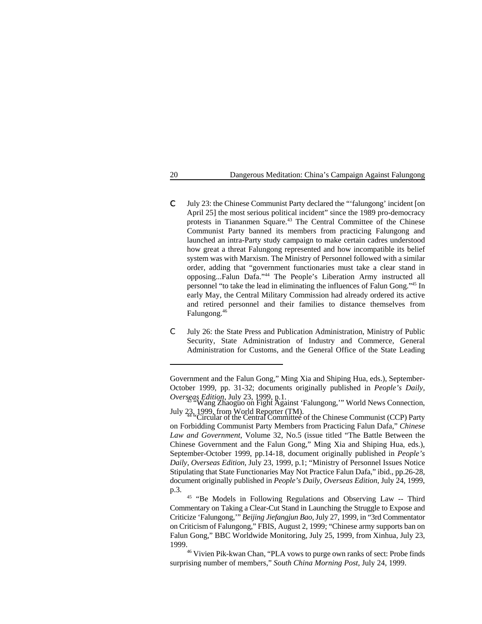- C July 23: the Chinese Communist Party declared the "'falungong' incident [on April 25] the most serious political incident" since the 1989 pro-democracy protests in Tiananmen Square.<sup>43</sup> The Central Committee of the Chinese Communist Party banned its members from practicing Falungong and launched an intra-Party study campaign to make certain cadres understood how great a threat Falungong represented and how incompatible its belief system was with Marxism. The Ministry of Personnel followed with a similar order, adding that "government functionaries must take a clear stand in opposing...Falun Dafa."<sup>44</sup> The People's Liberation Army instructed all personnel "to take the lead in eliminating the influences of Falun Gong."<sup>45</sup> In early May, the Central Military Commission had already ordered its active and retired personnel and their families to distance themselves from Falungong.46
- C July 26: the State Press and Publication Administration, Ministry of Public Security, State Administration of Industry and Commerce, General Administration for Customs, and the General Office of the State Leading

<sup>45</sup> "Be Models in Following Regulations and Observing Law -- Third Commentary on Taking a Clear-Cut Stand in Launching the Struggle to Expose and Criticize 'Falungong,'" *Beijing Jiefangjun Bao*, July 27, 1999, in "3rd Commentator on Criticism of Falungong," FBIS, August 2, 1999; "Chinese army supports ban on Falun Gong," BBC Worldwide Monitoring, July 25, 1999, from Xinhua, July 23, 1999.

<sup>46</sup> Vivien Pik-kwan Chan, "PLA vows to purge own ranks of sect: Probe finds surprising number of members," *South China Morning Post*, July 24, 1999.

Government and the Falun Gong," Ming Xia and Shiping Hua, eds.), September-October 1999, pp. 31-32; documents originally published in *People's Daily, Overseas Edition*, July 23, 1999, p.1.<br>"Wang Zhaoguo on Fight Against 'Falungong,'" World News Connection,

July 23, 1999, from World Reporter (TM).<br>"Circular of the Central Committee of the Chinese Communist (CCP) Party

on Forbidding Communist Party Members from Practicing Falun Dafa," *Chinese Law and Government*, Volume 32, No.5 (issue titled "The Battle Between the Chinese Government and the Falun Gong," Ming Xia and Shiping Hua, eds.), September-October 1999, pp.14-18, document originally published in *People's Daily, Overseas Edition*, July 23, 1999, p.1; "Ministry of Personnel Issues Notice Stipulating that State Functionaries May Not Practice Falun Dafa," ibid., pp.26-28, document originally published in *People's Daily, Overseas Edition*, July 24, 1999, p.3.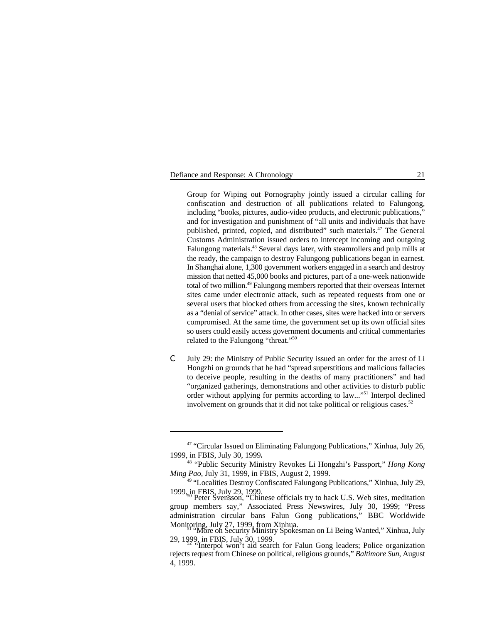#### Defiance and Response: A Chronology 21

Group for Wiping out Pornography jointly issued a circular calling for confiscation and destruction of all publications related to Falungong, including "books, pictures, audio-video products, and electronic publications," and for investigation and punishment of "all units and individuals that have published, printed, copied, and distributed" such materials.<sup>47</sup> The General Customs Administration issued orders to intercept incoming and outgoing Falungong materials.<sup>48</sup> Several days later, with steamrollers and pulp mills at the ready, the campaign to destroy Falungong publications began in earnest. In Shanghai alone, 1,300 government workers engaged in a search and destroy mission that netted 45,000 books and pictures, part of a one-week nationwide total of two million.<sup>49</sup> Falungong members reported that their overseas Internet sites came under electronic attack, such as repeated requests from one or several users that blocked others from accessing the sites, known technically as a "denial of service" attack. In other cases, sites were hacked into or servers compromised. At the same time, the government set up its own official sites so users could easily access government documents and critical commentaries related to the Falungong "threat." <sup>50</sup>

C July 29: the Ministry of Public Security issued an order for the arrest of Li Hongzhi on grounds that he had "spread superstitious and malicious fallacies to deceive people, resulting in the deaths of many practitioners" and had "organized gatherings, demonstrations and other activities to disturb public order without applying for permits according to law..."<sup>51</sup> Interpol declined involvement on grounds that it did not take political or religious cases. 52

<sup>&</sup>lt;sup>47</sup> "Circular Issued on Eliminating Falungong Publications," Xinhua, July 26, 1999, in FBIS, July 30, 1999**.**

<sup>&</sup>lt;sup>48</sup> "Public Security Ministry Revokes Li Hongzhi's Passport," *Hong Kong Ming Pao*, July 31, 1999, in FBIS, August 2, 1999.

<sup>&</sup>lt;sup>49</sup> "Localities Destroy Confiscated Falungong Publications," Xinhua, July 29, 1999<sub>re</sub> FBIS<sub>2</sub> July 29, 1999.

<sup>11999,</sup> in FBIS,  $\frac{1}{2}$ 9,  $\frac{1}{2}$ ,  $\frac{1}{2}$ . Chinese officials try to hack U.S. Web sites, meditation group members say," Associated Press Newswires, July 30, 1999; "Press administration circular bans Falun Gong publications," BBC Worldwide Monitoring, July 27, 1999, from Xinhua.<br>"More on Security Ministry Spokesman on Li Being Wanted," Xinhua, July

<sup>29, 1999,</sup> in FBIS, July 30, 1999. "Interpol won't aid search for Falun Gong leaders; Police organization <sup>52</sup>

rejects request from Chinese on political, religious grounds," *Baltimore Sun*, August 4, 1999.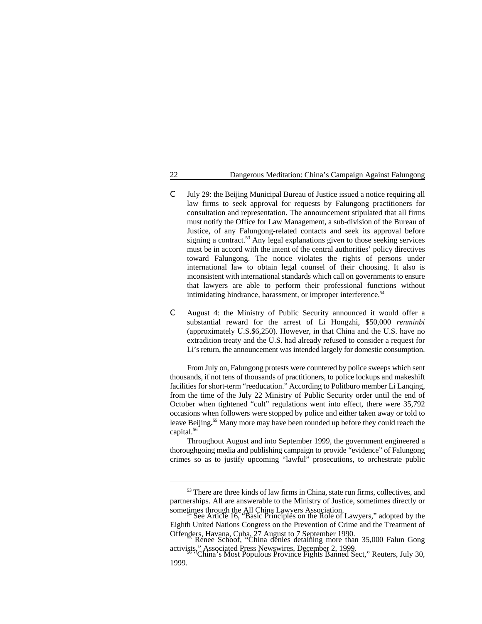- C July 29: the Beijing Municipal Bureau of Justice issued a notice requiring all law firms to seek approval for requests by Falungong practitioners for consultation and representation. The announcement stipulated that all firms must notify the Office for Law Management, a sub-division of the Bureau of Justice, of any Falungong-related contacts and seek its approval before signing a contract.<sup>53</sup> Any legal explanations given to those seeking services must be in accord with the intent of the central authorities' policy directives toward Falungong. The notice violates the rights of persons under international law to obtain legal counsel of their choosing. It also is inconsistent with international standards which call on governments to ensure that lawyers are able to perform their professional functions without intimidating hindrance, harassment, or improper interference.<sup>54</sup>
- C August 4: the Ministry of Public Security announced it would offer a substantial reward for the arrest of Li Hongzhi, \$50,000 *renminbi* (approximately U.S.\$6,250). However, in that China and the U.S. have no extradition treaty and the U.S. had already refused to consider a request for Li's return, the announcement was intended largely for domestic consumption.

From July on, Falungong protests were countered by police sweeps which sent thousands, if not tens of thousands of practitioners, to police lockups and makeshift facilities for short-term "reeducation." According to Politburo member Li Lanqing, from the time of the July 22 Ministry of Public Security order until the end of October when tightened "cult" regulations went into effect, there were 35,792 occasions when followers were stopped by police and either taken away or told to leave Beijing.<sup>55</sup> Many more may have been rounded up before they could reach the capital.<sup>56</sup>

Throughout August and into September 1999, the government engineered a thoroughgoing media and publishing campaign to provide "evidence" of Falungong crimes so as to justify upcoming "lawful" prosecutions, to orchestrate public

<sup>&</sup>lt;sup>53</sup> There are three kinds of law firms in China, state run firms, collectives, and partnerships. All are answerable to the Ministry of Justice, sometimes directly or

sometimes through the All China Lawyers Association. See Article 16, "Basic Principles on the Role of Lawyers," adopted by the Eighth United Nations Congress on the Prevention of Crime and the Treatment of Offenders, Havana, Cuba, 27 August to 7 September 1990.<br>Renee Schoof, "China denies detaining more than 35,000 Falun Gong

activists," Associated Press Newswires, December 2, 1999.<br>"China's Most Populous Province Fights Banned Sect," Reuters, July 30,

<sup>1999.</sup>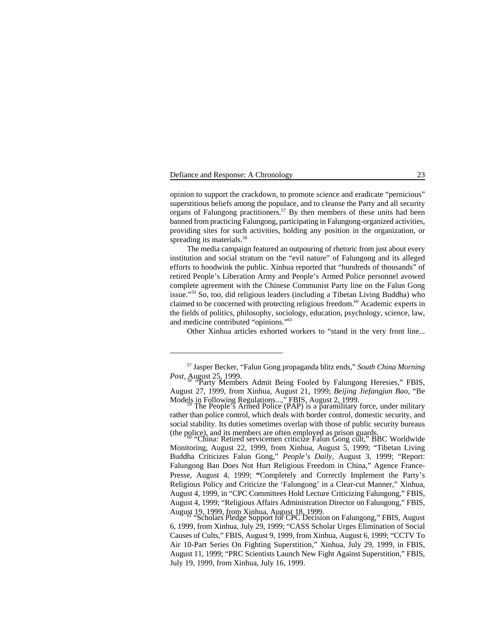## Defiance and Response: A Chronology 23

opinion to support the crackdown, to promote science and eradicate "pernicious" superstitious beliefs among the populace, and to cleanse the Party and all security organs of Falungong practitioners.<sup>57</sup> By then members of these units had been banned from practicing Falungong, participating in Falungong-organized activities, providing sites for such activities, holding any position in the organization, or spreading its materials.<sup>58</sup>

The media campaign featured an outpouring of rhetoric from just about every institution and social stratum on the "evil nature" of Falungong and its alleged efforts to hoodwink the public. Xinhua reported that "hundreds of thousands" of retired People's Liberation Army and People's Armed Police personnel avowed complete agreement with the Chinese Communist Party line on the Falun Gong issue."<sup>59</sup> So, too, did religious leaders (including a Tibetan Living Buddha) who claimed to be concerned with protecting religious freedom.<sup>60</sup> Academic experts in the fields of politics, philosophy, sociology, education, psychology, science, law, and medicine contributed "opinions."<sup>61</sup>

Other Xinhua articles exhorted workers to "stand in the very front line...

Monitoring, August 22, 1999, from Xinhua, August 5, 1999; "Tibetan Living Buddha Criticizes Falun Gong," *People's Daily*, August 3, 1999; "Report: Falungong Ban Does Not Hurt Religious Freedom in China," Agence France-Presse, August 4, 1999; **"**Completely and Correctly Implement the Party's Religious Policy and Criticize the 'Falungong' in a Clear-cut Manner," Xinhua, August 4, 1999, in "CPC Committees Hold Lecture Criticizing Falungong," FBIS, August 4, 1999; "Religious Affairs Administration Director on Falungong," FBIS, August 19, 1999, from Xinhua, August 18, 1999.<br>"Scholars Pledge Support for CPC Decision on Falungong," FBIS, August

6, 1999, from Xinhua, July 29, 1999; "CASS Scholar Urges Elimination of Social Causes of Cults," FBIS, August 9, 1999, from Xinhua, August 6, 1999; "CCTV To Air 10-Part Series On Fighting Superstition," Xinhua, July 29, 1999, in FBIS, August 11, 1999; "PRC Scientists Launch New Fight Against Superstition," FBIS, July 19, 1999, from Xinhua, July 16, 1999.

<sup>&</sup>lt;sup>57</sup> Jasper Becker, "Falun Gong propaganda blitz ends," *South China Morning Post*, August 25, 1999.<br>"Party Members Admit Being Fooled by Falungong Heresies," FBIS,

August 27, 1999, from Xinhua, August 21, 1999; *Beijing Jiefangjun Bao*, "Be Models in Following Regulations...," FBIS, August 2, 1999.<br>The People's Armed Police (PAP) is a paramilitary force, under military

rather than police control, which deals with border control, domestic security, and social stability. Its duties sometimes overlap with those of public security bureaus (the police), and its members are often employed as prison guards. "China: Retired servicemen criticize Falun Gong cult," BBC Worldwide <sup>60</sup>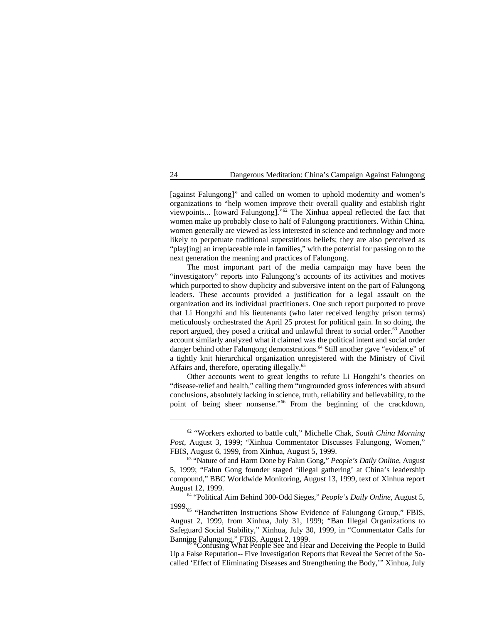[against Falungong]" and called on women to uphold modernity and women's organizations to "help women improve their overall quality and establish right viewpoints... [toward Falungong]." $62$  The Xinhua appeal reflected the fact that women make up probably close to half of Falungong practitioners. Within China, women generally are viewed as less interested in science and technology and more likely to perpetuate traditional superstitious beliefs; they are also perceived as "play[ing] an irreplaceable role in families," with the potential for passing on to the next generation the meaning and practices of Falungong.

The most important part of the media campaign may have been the "investigatory" reports into Falungong's accounts of its activities and motives which purported to show duplicity and subversive intent on the part of Falungong leaders. These accounts provided a justification for a legal assault on the organization and its individual practitioners. One such report purported to prove that Li Hongzhi and his lieutenants (who later received lengthy prison terms) meticulously orchestrated the April 25 protest for political gain. In so doing, the report argued, they posed a critical and unlawful threat to social order.<sup>63</sup> Another account similarly analyzed what it claimed was the political intent and social order danger behind other Falungong demonstrations.<sup>64</sup> Still another gave "evidence" of a tightly knit hierarchical organization unregistered with the Ministry of Civil Affairs and, therefore, operating illegally.<sup>65</sup>

Other accounts went to great lengths to refute Li Hongzhi's theories on "disease-relief and health," calling them "ungrounded gross inferences with absurd conclusions, absolutely lacking in science, truth, reliability and believability, to the point of being sheer nonsense."<sup>66</sup> From the beginning of the crackdown,

<sup>&</sup>lt;sup>62</sup> "Workers exhorted to battle cult," Michelle Chak, *South China Morning Post*, August 3, 1999; "Xinhua Commentator Discusses Falungong, Women," FBIS, August 6, 1999, from Xinhua, August 5, 1999.

<sup>&</sup>lt;sup>63</sup> "Nature of and Harm Done by Falun Gong," *People's Daily Online*, August 5, 1999; "Falun Gong founder staged 'illegal gathering' at China's leadership compound," BBC Worldwide Monitoring, August 13, 1999, text of Xinhua report August 12, 1999.

<sup>&</sup>lt;sup>64</sup> "Political Aim Behind 300-Odd Sieges," People's Daily Online, August 5,

<sup>1999.&</sup>lt;sup>65</sup> "Handwritten Instructions Show Evidence of Falungong Group," FBIS, August 2, 1999, from Xinhua, July 31, 1999; "Ban Illegal Organizations to Safeguard Social Stability," Xinhua, July 30, 1999, in "Commentator Calls for Banning Falungong," FBIS, August 2, 1999.<br>"Confusing What People See and Hear and Deceiving the People to Build

Up a False Reputation-- Five Investigation Reports that Reveal the Secret of the Socalled 'Effect of Eliminating Diseases and Strengthening the Body,'" Xinhua, July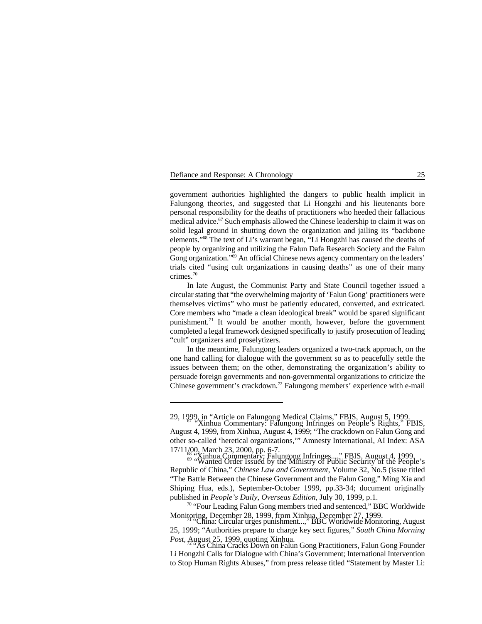## Defiance and Response: A Chronology 25

government authorities highlighted the dangers to public health implicit in Falungong theories, and suggested that Li Hongzhi and his lieutenants bore personal responsibility for the deaths of practitioners who heeded their fallacious medical advice.<sup>67</sup> Such emphasis allowed the Chinese leadership to claim it was on solid legal ground in shutting down the organization and jailing its "backbone elements."<sup>68</sup> The text of Li's warrant began, "Li Hongzhi has caused the deaths of people by organizing and utilizing the Falun Dafa Research Society and the Falun Gong organization."<sup>69</sup> An official Chinese news agency commentary on the leaders' trials cited "using cult organizations in causing deaths" as one of their many crimes.70

In late August, the Communist Party and State Council together issued a circular stating that "the overwhelming majority of 'Falun Gong' practitioners were themselves victims" who must be patiently educated, converted, and extricated. Core members who "made a clean ideological break" would be spared significant punishment.<sup>71</sup> It would be another month, however, before the government completed a legal framework designed specifically to justify prosecution of leading "cult" organizers and proselytizers.

In the meantime, Falungong leaders organized a two-track approach, on the one hand calling for dialogue with the government so as to peacefully settle the issues between them; on the other, demonstrating the organization's ability to persuade foreign governments and non-governmental organizations to criticize the Chinese government's crackdown.<sup>72</sup> Falungong members' experience with e-mail

<sup>29, 1999,</sup> in "Article on Falungong Medical Claims," FBIS, August 5, 1999.<br>"Xinhua Commentary: Falungong Infringes on People's Rights," FBIS,

August 4, 1999, from Xinhua, August 4, 1999; "The crackdown on Falun Gong and other so-called 'heretical organizations,'" Amnesty International, AI Index: ASA

<sup>17/11/00,</sup> March 23, 2000, pp. 6-7.<br>
<sup>69</sup> "Wanted Order Issued by the Ministry of Public Security of the People's<br>
<sup>69</sup> "Wanted Order Issued by the Ministry of Public Security of the People's Republic of China," *Chinese Law and Government*, Volume 32, No.5 (issue titled "The Battle Between the Chinese Government and the Falun Gong," Ming Xia and Shiping Hua, eds.), September-October 1999, pp.33-34; document originally published in *People's Daily, Overseas Edition*, July 30, 1999, p.1.

 $70$  "Four Leading Falun Gong members tried and sentenced," BBC Worldwide Monitoring, December 28, 1999, from Xinhua, December 27, 1999. "China: Circular urges punishment...," BBC Worldwide Monitoring, August <sup>71</sup>

<sup>25, 1999; &</sup>quot;Authorities prepare to charge key sect figures," *South China Morning Post*, August 25, 1999, quoting Xinhua.<br>"As China Cracks Down on Falun Gong Practitioners, Falun Gong Founder

Li Hongzhi Calls for Dialogue with China's Government; International Intervention to Stop Human Rights Abuses," from press release titled "Statement by Master Li: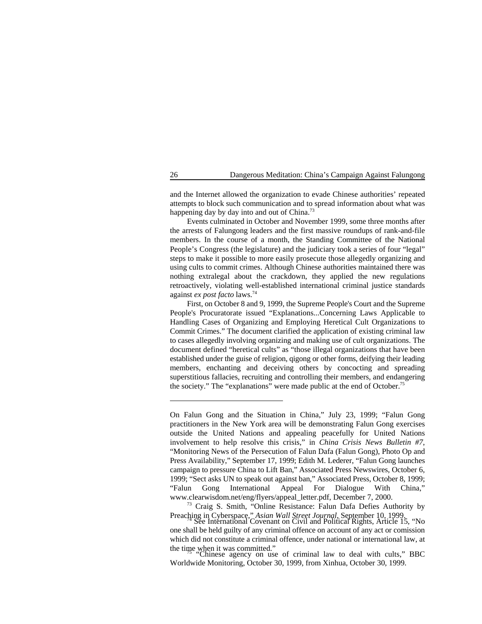and the Internet allowed the organization to evade Chinese authorities' repeated attempts to block such communication and to spread information about what was happening day by day into and out of China.<sup>73</sup>

Events culminated in October and November 1999, some three months after the arrests of Falungong leaders and the first massive roundups of rank-and-file members. In the course of a month, the Standing Committee of the National People's Congress (the legislature) and the judiciary took a series of four "legal" steps to make it possible to more easily prosecute those allegedly organizing and using cults to commit crimes. Although Chinese authorities maintained there was nothing extralegal about the crackdown, they applied the new regulations retroactively, violating well-established international criminal justice standards against *ex post facto* laws.74

First, on October 8 and 9, 1999, the Supreme People's Court and the Supreme People's Procuratorate issued "Explanations...Concerning Laws Applicable to Handling Cases of Organizing and Employing Heretical Cult Organizations to Commit Crimes." The document clarified the application of existing criminal law to cases allegedly involving organizing and making use of cult organizations. The document defined "heretical cults" as "those illegal organizations that have been established under the guise of religion, qigong or other forms, deifying their leading members, enchanting and deceiving others by concocting and spreading superstitious fallacies, recruiting and controlling their members, and endangering the society." The "explanations" were made public at the end of October.<sup>75</sup>

<sup>73</sup> Craig S. Smith, "Online Resistance: Falun Dafa Defies Authority by Preaching in Cyberspace," *Asian Wall Street Journal*, September 10, 1999.<br>See International Covenant on Civil and Political Rights, Article 15, "No

Worldwide Monitoring, October 30, 1999, from Xinhua, October 30, 1999.

On Falun Gong and the Situation in China," July 23, 1999; "Falun Gong practitioners in the New York area will be demonstrating Falun Gong exercises outside the United Nations and appealing peacefully for United Nations involvement to help resolve this crisis," in *China Crisis News Bulletin #7*, "Monitoring News of the Persecution of Falun Dafa (Falun Gong), Photo Op and Press Availability," September 17, 1999; Edith M. Lederer, "Falun Gong launches campaign to pressure China to Lift Ban," Associated Press Newswires, October 6, 1999; "Sect asks UN to speak out against ban," Associated Press, October 8, 1999; "Falun Gong International Appeal For Dialogue With China," www.clearwisdom.net/eng/flyers/appeal\_letter.pdf, December 7, 2000.

one shall be held guilty of any criminal offence on account of any act or comission which did not constitute a criminal offence, under national or international law, at the time when it was committed."<br>"Chinese agency on use of criminal law to deal with cults," BBC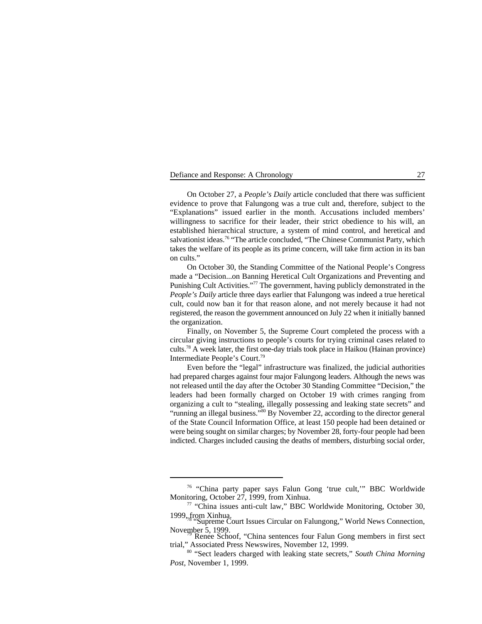On October 27, a *People's Daily* article concluded that there was sufficient evidence to prove that Falungong was a true cult and, therefore, subject to the "Explanations" issued earlier in the month. Accusations included members' willingness to sacrifice for their leader, their strict obedience to his will, an established hierarchical structure, a system of mind control, and heretical and salvationist ideas.<sup>76</sup> "The article concluded, "The Chinese Communist Party, which takes the welfare of its people as its prime concern, will take firm action in its ban on cults."

On October 30, the Standing Committee of the National People's Congress made a "Decision...on Banning Heretical Cult Organizations and Preventing and Punishing Cult Activities."<sup>77</sup> The government, having publicly demonstrated in the *People's Daily* article three days earlier that Falungong was indeed a true heretical cult, could now ban it for that reason alone, and not merely because it had not registered, the reason the government announced on July 22 when it initially banned the organization.

Finally, on November 5, the Supreme Court completed the process with a circular giving instructions to people's courts for trying criminal cases related to cults.<sup>78</sup> A week later, the first one-day trials took place in Haikou (Hainan province) Intermediate People's Court.79

Even before the "legal" infrastructure was finalized, the judicial authorities had prepared charges against four major Falungong leaders. Although the news was not released until the day after the October 30 Standing Committee "Decision," the leaders had been formally charged on October 19 with crimes ranging from organizing a cult to "stealing, illegally possessing and leaking state secrets" and "running an illegal business."<sup>80</sup> By November 22, according to the director general of the State Council Information Office, at least 150 people had been detained or were being sought on similar charges; by November 28, forty-four people had been indicted. Charges included causing the deaths of members, disturbing social order,

<sup>&</sup>lt;sup>76</sup> "China party paper says Falun Gong 'true cult," BBC Worldwide Monitoring, October 27, 1999, from Xinhua.

 $17$  "China issues anti-cult law," BBC Worldwide Monitoring, October 30, 1999, from Xinhua.<br><sup>78</sup> "Supreme Court Issues Circular on Falungong," World News Connection,

November 5, 1999.<br><sup>79</sup> Renee Schoof, "China sentences four Falun Gong members in first sect

trial," Associated Press Newswires, November 12, 1999.

<sup>&</sup>lt;sup>80</sup> "Sect leaders charged with leaking state secrets," South China Morning *Post*, November 1, 1999.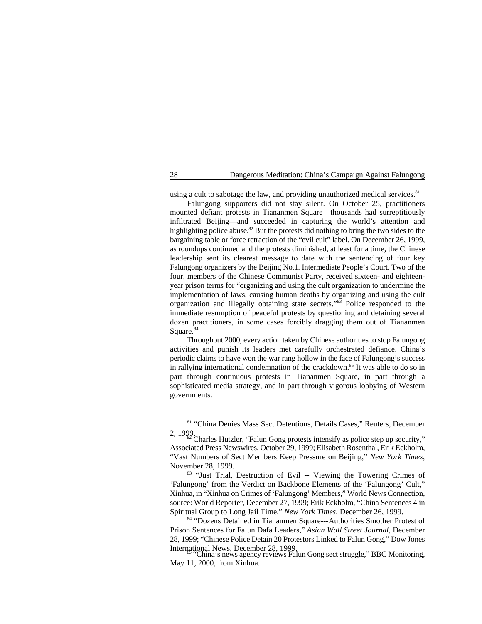using a cult to sabotage the law, and providing unauthorized medical services. $81$ 

Falungong supporters did not stay silent. On October 25, practitioners mounted defiant protests in Tiananmen Square—thousands had surreptitiously infiltrated Beijing—and succeeded in capturing the world's attention and highlighting police abuse.<sup>82</sup> But the protests did nothing to bring the two sides to the bargaining table or force retraction of the "evil cult" label. On December 26, 1999, as roundups continued and the protests diminished, at least for a time, the Chinese leadership sent its clearest message to date with the sentencing of four key Falungong organizers by the Beijing No.1. Intermediate People's Court. Two of the four, members of the Chinese Communist Party, received sixteen- and eighteenyear prison terms for "organizing and using the cult organization to undermine the implementation of laws, causing human deaths by organizing and using the cult organization and illegally obtaining state secrets." $\frac{33}{8}$  Police responded to the immediate resumption of peaceful protests by questioning and detaining several dozen practitioners, in some cases forcibly dragging them out of Tiananmen Square. 84

Throughout 2000, every action taken by Chinese authorities to stop Falungong activities and punish its leaders met carefully orchestrated defiance. China's periodic claims to have won the war rang hollow in the face of Falungong's success in rallying international condemnation of the crackdown.<sup>85</sup> It was able to do so in part through continuous protests in Tiananmen Square, in part through a sophisticated media strategy, and in part through vigorous lobbying of Western governments.

<sup>&</sup>lt;sup>81</sup> "China Denies Mass Sect Detentions, Details Cases," Reuters, December

<sup>2, 1999.</sup> Charles Hutzler, "Falun Gong protests intensify as police step up security," Associated Press Newswires, October 29, 1999; Elisabeth Rosenthal, Erik Eckholm, "Vast Numbers of Sect Members Keep Pressure on Beijing," *New York Times*, November 28, 1999.

<sup>&</sup>lt;sup>83</sup> "Just Trial, Destruction of Evil -- Viewing the Towering Crimes of 'Falungong' from the Verdict on Backbone Elements of the 'Falungong' Cult," Xinhua, in "Xinhua on Crimes of 'Falungong' Members," World News Connection, source: World Reporter, December 27, 1999; Erik Eckholm, "China Sentences 4 in Spiritual Group to Long Jail Time," *New York Times*, December 26, 1999.

<sup>&</sup>lt;sup>84</sup> "Dozens Detained in Tiananmen Square---Authorities Smother Protest of Prison Sentences for Falun Dafa Leaders," *Asian Wall Street Journal*, December 28, 1999; "Chinese Police Detain 20 Protestors Linked to Falun Gong," Dow Jones

China's news agency reviews Falun Gong sect struggle," BBC Monitoring, May 11, 2000, from Xinhua.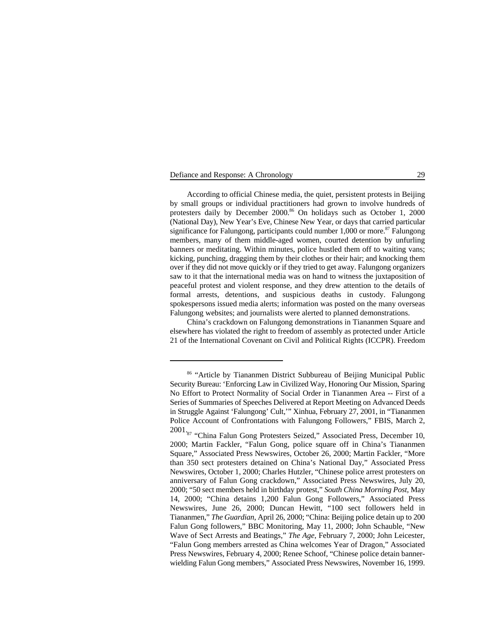According to official Chinese media, the quiet, persistent protests in Beijing by small groups or individual practitioners had grown to involve hundreds of protesters daily by December 2000.<sup>86</sup> On holidays such as October 1, 2000 (National Day), New Year's Eve, Chinese New Year, or days that carried particular significance for Falungong, participants could number 1,000 or more.<sup>87</sup> Falungong members, many of them middle-aged women, courted detention by unfurling banners or meditating. Within minutes, police hustled them off to waiting vans; kicking, punching, dragging them by their clothes or their hair; and knocking them over if they did not move quickly or if they tried to get away. Falungong organizers saw to it that the international media was on hand to witness the juxtaposition of peaceful protest and violent response, and they drew attention to the details of formal arrests, detentions, and suspicious deaths in custody. Falungong spokespersons issued media alerts; information was posted on the many overseas Falungong websites; and journalists were alerted to planned demonstrations.

China's crackdown on Falungong demonstrations in Tiananmen Square and elsewhere has violated the right to freedom of assembly as protected under Article 21 of the International Covenant on Civil and Political Rights (ICCPR). Freedom

<sup>&</sup>lt;sup>86</sup> "Article by Tiananmen District Subbureau of Beijing Municipal Public Security Bureau: 'Enforcing Law in Civilized Way, Honoring Our Mission, Sparing No Effort to Protect Normality of Social Order in Tiananmen Area -- First of a Series of Summaries of Speeches Delivered at Report Meeting on Advanced Deeds in Struggle Against 'Falungong' Cult,'" Xinhua, February 27, 2001, in "Tiananmen Police Account of Confrontations with Falungong Followers," FBIS, March 2,

<sup>2001&</sup>lt;sub>'87</sub> "China Falun Gong Protesters Seized," Associated Press, December 10, 2000; Martin Fackler, "Falun Gong, police square off in China's Tiananmen Square," Associated Press Newswires, October 26, 2000; Martin Fackler, "More than 350 sect protesters detained on China's National Day," Associated Press Newswires, October 1, 2000; Charles Hutzler, "Chinese police arrest protesters on anniversary of Falun Gong crackdown," Associated Press Newswires, July 20, 2000; "50 sect members held in birthday protest," *South China Morning Post*, May 14, 2000; "China detains 1,200 Falun Gong Followers," Associated Press Newswires, June 26, 2000; Duncan Hewitt, "100 sect followers held in Tiananmen," *The Guardian*, April 26, 2000; "China: Beijing police detain up to 200 Falun Gong followers," BBC Monitoring, May 11, 2000; John Schauble, "New Wave of Sect Arrests and Beatings," *The Age*, February 7, 2000; John Leicester, "Falun Gong members arrested as China welcomes Year of Dragon," Associated Press Newswires, February 4, 2000; Renee Schoof, "Chinese police detain bannerwielding Falun Gong members," Associated Press Newswires, November 16, 1999.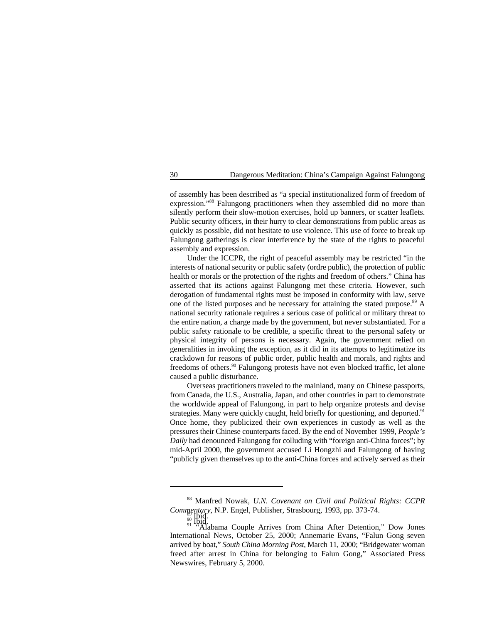of assembly has been described as "a special institutionalized form of freedom of expression."<sup>88</sup> Falungong practitioners when they assembled did no more than silently perform their slow-motion exercises, hold up banners, or scatter leaflets. Public security officers, in their hurry to clear demonstrations from public areas as quickly as possible, did not hesitate to use violence. This use of force to break up Falungong gatherings is clear interference by the state of the rights to peaceful assembly and expression.

Under the ICCPR, the right of peaceful assembly may be restricted "in the interests of national security or public safety (ordre public), the protection of public health or morals or the protection of the rights and freedom of others." China has asserted that its actions against Falungong met these criteria. However, such derogation of fundamental rights must be imposed in conformity with law, serve one of the listed purposes and be necessary for attaining the stated purpose.<sup>89</sup> A national security rationale requires a serious case of political or military threat to the entire nation, a charge made by the government, but never substantiated. For a public safety rationale to be credible, a specific threat to the personal safety or physical integrity of persons is necessary. Again, the government relied on generalities in invoking the exception, as it did in its attempts to legitimatize its crackdown for reasons of public order, public health and morals, and rights and freedoms of others.<sup>90</sup> Falungong protests have not even blocked traffic, let alone caused a public disturbance.

Overseas practitioners traveled to the mainland, many on Chinese passports, from Canada, the U.S., Australia, Japan, and other countries in part to demonstrate the worldwide appeal of Falungong, in part to help organize protests and devise strategies. Many were quickly caught, held briefly for questioning, and deported.<sup>91</sup> Once home, they publicized their own experiences in custody as well as the pressures their Chinese counterparts faced. By the end of November 1999, *People's Daily* had denounced Falungong for colluding with "foreign anti-China forces"; by mid-April 2000, the government accused Li Hongzhi and Falungong of having "publicly given themselves up to the anti-China forces and actively served as their

<sup>&</sup>lt;sup>88</sup> Manfred Nowak, *U.N. Covenant on Civil and Political Rights: CCPR Commentary*, N.P. Engel, Publisher, Strasbourg, 1993, pp. 373-74.

<sup>&</sup>lt;sup>90</sup><br><sup>91</sup> "Alabama Couple Arrives from China After Detention," Dow Jones International News, October 25, 2000; Annemarie Evans, "Falun Gong seven arrived by boat," *South China Morning Post*, March 11, 2000; "Bridgewater woman freed after arrest in China for belonging to Falun Gong," Associated Press Newswires, February 5, 2000.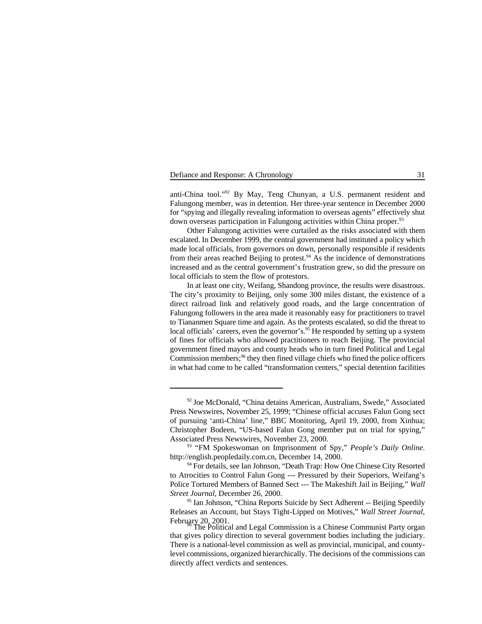anti-China tool."<sup>92</sup> By May, Teng Chunyan, a U.S. permanent resident and Falungong member, was in detention. Her three-year sentence in December 2000 for "spying and illegally revealing information to overseas agents" effectively shut down overseas participation in Falungong activities within China proper.<sup>93</sup>

Other Falungong activities were curtailed as the risks associated with them escalated. In December 1999, the central government had instituted a policy which made local officials, from governors on down, personally responsible if residents from their areas reached Beijing to protest. $94$  As the incidence of demonstrations increased and as the central government's frustration grew, so did the pressure on local officials to stem the flow of protestors.

In at least one city, Weifang, Shandong province, the results were disastrous. The city's proximity to Beijing, only some 300 miles distant, the existence of a direct railroad link and relatively good roads, and the large concentration of Falungong followers in the area made it reasonably easy for practitioners to travel to Tiananmen Square time and again. As the protests escalated, so did the threat to local officials' careers, even the governor's.<sup>95</sup> He responded by setting up a system of fines for officials who allowed practitioners to reach Beijing. The provincial government fined mayors and county heads who in turn fined Political and Legal Commission members; $<sup>96</sup>$  they then fined village chiefs who fined the police officers</sup> in what had come to be called "transformation centers," special detention facilities

<sup>&</sup>lt;sup>92</sup> Joe McDonald, "China detains American, Australians, Swede," Associated Press Newswires, November 25, 1999; "Chinese official accuses Falun Gong sect of pursuing 'anti-China' line," BBC Monitoring, April 19, 2000, from Xinhua; Christopher Bodeen, "US-based Falun Gong member put on trial for spying," Associated Press Newswires, November 23, 2000.

<sup>&</sup>lt;sup>93</sup> "FM Spokeswoman on Imprisonment of Spy," *People's Daily Online*. http://english.peopledaily.com.cn, December 14, 2000.

<sup>&</sup>lt;sup>94</sup> For details, see Ian Johnson, "Death Trap: How One Chinese City Resorted to Atrocities to Control Falun Gong --- Pressured by their Superiors, Weifang's Police Tortured Members of Banned Sect --- The Makeshift Jail in Beijing," *Wall Street Journal*, December 26, 2000.

<sup>&</sup>lt;sup>95</sup> Ian Johnson, "China Reports Suicide by Sect Adherent -- Beijing Speedily Releases an Account, but Stays Tight-Lipped on Motives," *Wall Street Journal*, February 20, 2001.<br>The Political and Legal Commission is a Chinese Communist Party organ

that gives policy direction to several government bodies including the judiciary. There is a national-level commission as well as provincial, municipal, and countylevel commissions, organized hierarchically. The decisions of the commissions can directly affect verdicts and sentences.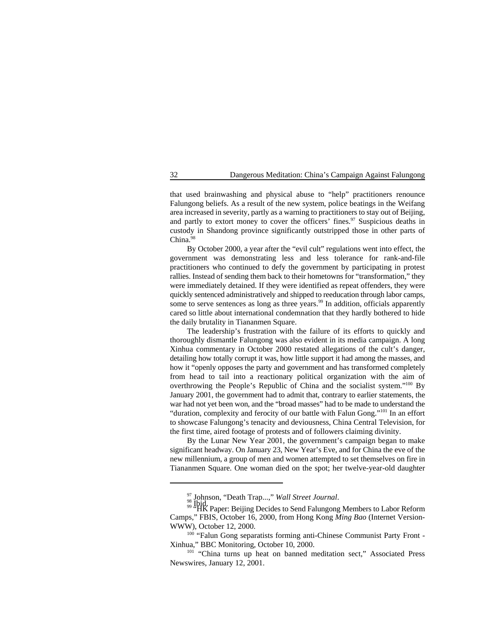that used brainwashing and physical abuse to "help" practitioners renounce Falungong beliefs. As a result of the new system, police beatings in the Weifang area increased in severity, partly as a warning to practitioners to stay out of Beijing, and partly to extort money to cover the officers' fines.<sup>97</sup> Suspicious deaths in custody in Shandong province significantly outstripped those in other parts of China.<sup>98</sup>

By October 2000, a year after the "evil cult" regulations went into effect, the government was demonstrating less and less tolerance for rank-and-file practitioners who continued to defy the government by participating in protest rallies. Instead of sending them back to their hometowns for "transformation," they were immediately detained. If they were identified as repeat offenders, they were quickly sentenced administratively and shipped to reeducation through labor camps, some to serve sentences as long as three years. <sup>99</sup> In addition, officials apparently cared so little about international condemnation that they hardly bothered to hide the daily brutality in Tiananmen Square.

The leadership's frustration with the failure of its efforts to quickly and thoroughly dismantle Falungong was also evident in its media campaign. A long Xinhua commentary in October 2000 restated allegations of the cult's danger, detailing how totally corrupt it was, how little support it had among the masses, and how it "openly opposes the party and government and has transformed completely from head to tail into a reactionary political organization with the aim of overthrowing the People's Republic of China and the socialist system." $100$  By January 2001, the government had to admit that, contrary to earlier statements, the war had not yet been won, and the "broad masses" had to be made to understand the "duration, complexity and ferocity of our battle with Falun Gong."<sup>101</sup> In an effort to showcase Falungong's tenacity and deviousness, China Central Television, for the first time, aired footage of protests and of followers claiming divinity.

By the Lunar New Year 2001, the government's campaign began to make significant headway. On January 23, New Year's Eve, and for China the eve of the new millennium, a group of men and women attempted to set themselves on fire in Tiananmen Square. One woman died on the spot; her twelve-year-old daughter

<sup>&</sup>lt;sup>97</sup> Johnson, ''Death Trap…,'' *Wall Street Journal.*<br><sup>98</sup> Ibid.<br><sup>99 ''</sup>HK Paper: Beijing Decides to Send Falungong Members to Labor Reform Camps," FBIS, October 16, 2000, from Hong Kong *Ming Bao* (Internet Version-WWW), October 12, 2000.

 $100$  "Falun Gong separatists forming anti-Chinese Communist Party Front -Xinhua," BBC Monitoring, October 10, 2000.

<sup>&</sup>lt;sup>101</sup> "China turns up heat on banned meditation sect," Associated Press Newswires, January 12, 2001.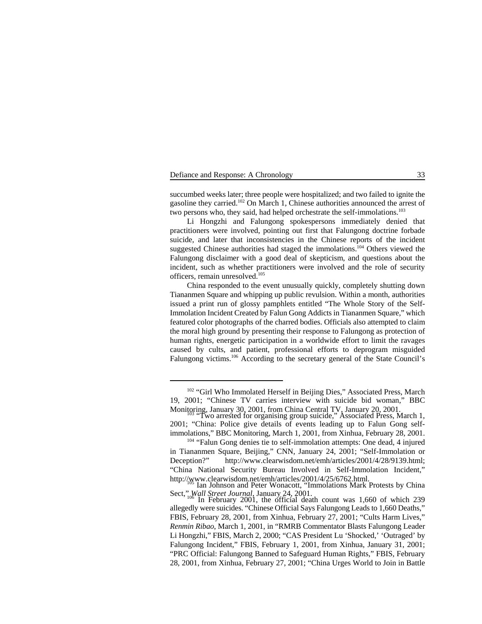succumbed weeks later; three people were hospitalized; and two failed to ignite the gasoline they carried.<sup>102</sup> On March 1, Chinese authorities announced the arrest of two persons who, they said, had helped orchestrate the self-immolations.<sup>103</sup>

Li Hongzhi and Falungong spokespersons immediately denied that practitioners were involved, pointing out first that Falungong doctrine forbade suicide, and later that inconsistencies in the Chinese reports of the incident suggested Chinese authorities had staged the immolations.<sup>104</sup> Others viewed the Falungong disclaimer with a good deal of skepticism, and questions about the incident, such as whether practitioners were involved and the role of security officers, remain unresolved.<sup>105</sup>

China responded to the event unusually quickly, completely shutting down Tiananmen Square and whipping up public revulsion. Within a month, authorities issued a print run of glossy pamphlets entitled "The Whole Story of the Self-Immolation Incident Created by Falun Gong Addicts in Tiananmen Square," which featured color photographs of the charred bodies. Officials also attempted to claim the moral high ground by presenting their response to Falungong as protection of human rights, energetic participation in a worldwide effort to limit the ravages caused by cults, and patient, professional efforts to deprogram misguided Falungong victims. $106$  According to the secretary general of the State Council's

<sup>&</sup>lt;sup>102</sup> "Girl Who Immolated Herself in Beijing Dies," Associated Press, March 19, 2001; "Chinese TV carries interview with suicide bid woman," BBC Monitoring, January 30, 2001, from China Central TV, January 20, 2001.<br>"Two arrested for organising group suicide," Associated Press, March 1,

<sup>2001; &</sup>quot;China: Police give details of events leading up to Falun Gong selfimmolations," BBC Monitoring, March 1, 2001, from Xinhua, February 28, 2001.

<sup>&</sup>lt;sup>104</sup> "Falun Gong denies tie to self-immolation attempts: One dead, 4 injured in Tiananmen Square, Beijing," CNN, January 24, 2001; "Self-Immolation or Deception?" http://www.clearwisdom.net/emh/articles/2001/4/28/9139.html; "China National Security Bureau Involved in Self-Immolation Incident," http://www.clearwisdom.net/emh/articles/2001/4/25/6762.html.<br>Ian Johnson and Peter Wonacott, "Immolations Mark Protests by China

Sect," *Wall Street Journal*, January 24, 2001.<br>In February 2001, the official death count was 1,660 of which 239 allegedly were suicides. "Chinese Official Says Falungong Leads to 1,660 Deaths," FBIS, February 28, 2001, from Xinhua, February 27, 2001; "Cults Harm Lives," *Renmin Ribao*, March 1, 2001, in "RMRB Commentator Blasts Falungong Leader Li Hongzhi," FBIS, March 2, 2000; "CAS President Lu 'Shocked,' 'Outraged' by Falungong Incident," FBIS, February 1, 2001, from Xinhua, January 31, 2001; "PRC Official: Falungong Banned to Safeguard Human Rights," FBIS, February 28, 2001, from Xinhua, February 27, 2001; "China Urges World to Join in Battle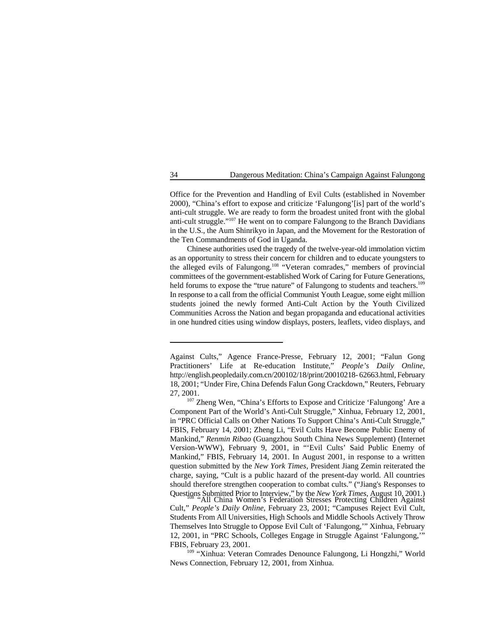Office for the Prevention and Handling of Evil Cults (established in November 2000), "China's effort to expose and criticize 'Falungong'[is] part of the world's anti-cult struggle. We are ready to form the broadest united front with the global anti-cult struggle." $107$  He went on to compare Falungong to the Branch Davidians in the U.S., the Aum Shinrikyo in Japan, and the Movement for the Restoration of the Ten Commandments of God in Uganda.

Chinese authorities used the tragedy of the twelve-year-old immolation victim as an opportunity to stress their concern for children and to educate youngsters to the alleged evils of Falungong.<sup>108</sup> "Veteran comrades," members of provincial committees of the government-established Work of Caring for Future Generations, held forums to expose the "true nature" of Falungong to students and teachers.<sup>109</sup> In response to a call from the official Communist Youth League, some eight million students joined the newly formed Anti-Cult Action by the Youth Civilized Communities Across the Nation and began propaganda and educational activities in one hundred cities using window displays, posters, leaflets, video displays, and

<sup>109</sup> "Xinhua: Veteran Comrades Denounce Falungong, Li Hongzhi," World News Connection, February 12, 2001, from Xinhua.

FBIS, February 23, 2001.

Against Cults," Agence France-Presse, February 12, 2001; "Falun Gong Practitioners' Life at Re-education Institute," *People's Daily Online*, http://english.peopledaily.com.cn/200102/18/print/20010218- 62663.html, February 18, 2001; "Under Fire, China Defends Falun Gong Crackdown," Reuters, February 27, 2001.

<sup>&</sup>lt;sup>107</sup> Zheng Wen, "China's Efforts to Expose and Criticize 'Falungong' Are a Component Part of the World's Anti-Cult Struggle," Xinhua, February 12, 2001, in "PRC Official Calls on Other Nations To Support China's Anti-Cult Struggle," FBIS, February 14, 2001; Zheng Li, "Evil Cults Have Become Public Enemy of Mankind," *Renmin Ribao* (Guangzhou South China News Supplement) (Internet Version-WWW), February 9, 2001, in "'Evil Cults' Said Public Enemy of Mankind," FBIS, February 14, 2001. In August 2001, in response to a written question submitted by the *New York Times*, President Jiang Zemin reiterated the charge, saying, "Cult is a public hazard of the present-day world. All countries should therefore strengthen cooperation to combat cults." ("Jiang's Responses to Questions Submitted Prior to Interview," by the *New York Times*, August 10, 2001.) "All China Women's Federation Stresses Protecting Children Against Cult," *People's Daily Online*, February 23, 2001; "Campuses Reject Evil Cult, Students From All Universities, High Schools and Middle Schools Actively Throw Themselves Into Struggle to Oppose Evil Cult of 'Falungong,'" Xinhua, February 12, 2001, in "PRC Schools, Colleges Engage in Struggle Against 'Falungong,'"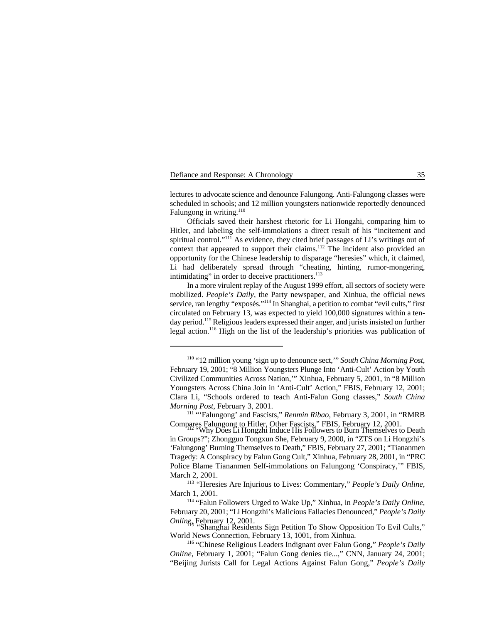lectures to advocate science and denounce Falungong. Anti-Falungong classes were scheduled in schools; and 12 million youngsters nationwide reportedly denounced Falungong in writing. $110$ 

Officials saved their harshest rhetoric for Li Hongzhi, comparing him to Hitler, and labeling the self-immolations a direct result of his "incitement and spiritual control." $111$  As evidence, they cited brief passages of Li's writings out of context that appeared to support their claims.<sup>112</sup> The incident also provided an opportunity for the Chinese leadership to disparage "heresies" which, it claimed, Li had deliberately spread through "cheating, hinting, rumor-mongering, intimidating" in order to deceive practitioners. $113$ 

In a more virulent replay of the August 1999 effort, all sectors of society were mobilized. *People's Daily*, the Party newspaper, and Xinhua, the official news service, ran lengthy "exposés."<sup>114</sup> In Shanghai, a petition to combat "evil cults," first circulated on February 13, was expected to yield 100,000 signatures within a tenday period.<sup>115</sup> Religious leaders expressed their anger, and jurists insisted on further legal action.<sup>116</sup> High on the list of the leadership's priorities was publication of

<sup>&</sup>lt;sup>110</sup> "12 million young 'sign up to denounce sect," *South China Morning Post*, February 19, 2001; "8 Million Youngsters Plunge Into 'Anti-Cult' Action by Youth Civilized Communities Across Nation,'" Xinhua, February 5, 2001, in "8 Million Youngsters Across China Join in 'Anti-Cult' Action," FBIS, February 12, 2001; Clara Li, "Schools ordered to teach Anti-Falun Gong classes," *South China Morning Post*, February 3, 2001.

<sup>&</sup>lt;sup>111</sup> "Falungong' and Fascists," *Renmin Ribao*, February 3, 2001, in "RMRB Compares Falungong to Hitler, Other Fascists," FBIS, February 12, 2001.<br>"Why Does Li Hongzhi Induce His Followers to Burn Themselves to Death

in Groups?"; Zhongguo Tongxun She, February 9, 2000, in "ZTS on Li Hongzhi's 'Falungong' Burning Themselves to Death," FBIS, February 27, 2001; "Tiananmen Tragedy: A Conspiracy by Falun Gong Cult," Xinhua, February 28, 2001, in "PRC Police Blame Tiananmen Self-immolations on Falungong 'Conspiracy,'" FBIS, March 2, 2001.

<sup>&</sup>lt;sup>113</sup> "Heresies Are Injurious to Lives: Commentary," *People's Daily Online*, March 1, 2001.

<sup>&</sup>lt;sup>114</sup> "Falun Followers Urged to Wake Up," Xinhua, in *People's Daily Online*, February 20, 2001; "Li Hongzhi's Malicious Fallacies Denounced," *People's Daily*

*Online*, February 12, 2001.<br>
"Shanghai Residents Sign Petition To Show Opposition To Evil Cults," World News Connection, February 13, 1001, from Xinhua.

<sup>&</sup>lt;sup>116</sup> "Chinese Religious Leaders Indignant over Falun Gong," *People's Daily Online*, February 1, 2001; "Falun Gong denies tie...," CNN, January 24, 2001; "Beijing Jurists Call for Legal Actions Against Falun Gong," *People's Daily*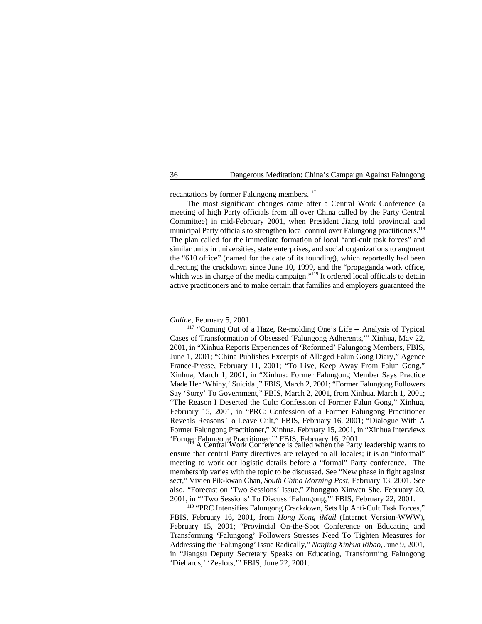recantations by former Falungong members.<sup>117</sup>

The most significant changes came after a Central Work Conference (a meeting of high Party officials from all over China called by the Party Central Committee) in mid-February 2001, when President Jiang told provincial and municipal Party officials to strengthen local control over Falungong practitioners.<sup>118</sup> The plan called for the immediate formation of local "anti-cult task forces" and similar units in universities, state enterprises, and social organizations to augment the "610 office" (named for the date of its founding), which reportedly had been directing the crackdown since June 10, 1999, and the "propaganda work office, which was in charge of the media campaign."<sup>119</sup> It ordered local officials to detain active practitioners and to make certain that families and employers guaranteed the

*Online*, February 5, 2001.

<sup>117</sup> "Coming Out of a Haze, Re-molding One's Life -- Analysis of Typical Cases of Transformation of Obsessed 'Falungong Adherents,'" Xinhua, May 22, 2001, in "Xinhua Reports Experiences of 'Reformed' Falungong Members, FBIS, June 1, 2001; "China Publishes Excerpts of Alleged Falun Gong Diary," Agence France-Presse, February 11, 2001; "To Live, Keep Away From Falun Gong," Xinhua, March 1, 2001, in "Xinhua: Former Falungong Member Says Practice Made Her 'Whiny,' Suicidal," FBIS, March 2, 2001; "Former Falungong Followers Say 'Sorry' To Government," FBIS, March 2, 2001, from Xinhua, March 1, 2001; "The Reason I Deserted the Cult: Confession of Former Falun Gong," Xinhua, February 15, 2001, in "PRC: Confession of a Former Falungong Practitioner Reveals Reasons To Leave Cult," FBIS, February 16, 2001; "Dialogue With A Former Falungong Practitioner," Xinhua, February 15, 2001, in "Xinhua Interviews 'Former Falungong Practitioner,'" FBIS, February 16, 2001.<br>A Central Work Conference is called when the Party leadership wants to

ensure that central Party directives are relayed to all locales; it is an "informal" meeting to work out logistic details before a "formal" Party conference. The membership varies with the topic to be discussed. See "New phase in fight against sect," Vivien Pik-kwan Chan, *South China Morning Post*, February 13, 2001. See also, "Forecast on 'Two Sessions' Issue," Zhongguo Xinwen She, February 20, 2001, in "'Two Sessions' To Discuss 'Falungong,'" FBIS, February 22, 2001.

<sup>119</sup> "PRC Intensifies Falungong Crackdown, Sets Up Anti-Cult Task Forces," FBIS, February 16, 2001, from *Hong Kong iMail* (Internet Version-WWW), February 15, 2001; "Provincial On-the-Spot Conference on Educating and Transforming 'Falungong' Followers Stresses Need To Tighten Measures for Addressing the 'Falungong' Issue Radically," *Nanjing Xinhua Ribao*, June 9, 2001, in "Jiangsu Deputy Secretary Speaks on Educating, Transforming Falungong 'Diehards,' 'Zealots,'" FBIS, June 22, 2001.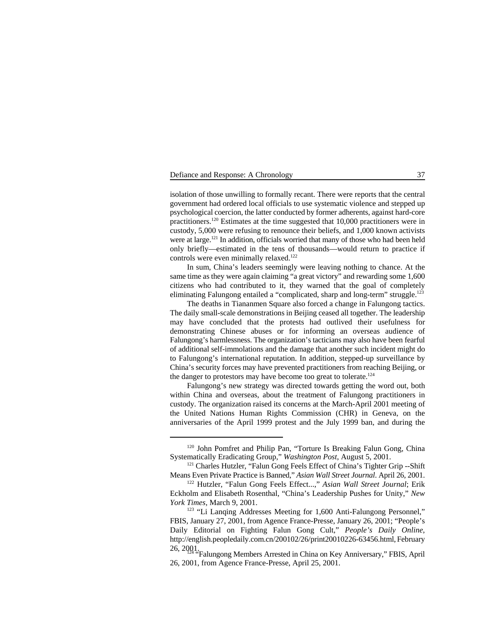isolation of those unwilling to formally recant. There were reports that the central government had ordered local officials to use systematic violence and stepped up psychological coercion, the latter conducted by former adherents, against hard-core practitioners.<sup>120</sup> Estimates at the time suggested that  $10,000$  practitioners were in custody, 5,000 were refusing to renounce their beliefs, and 1,000 known activists were at large. <sup> $121$ </sup> In addition, officials worried that many of those who had been held only briefly—estimated in the tens of thousands—would return to practice if controls were even minimally relaxed.<sup>122</sup>

In sum, China's leaders seemingly were leaving nothing to chance. At the same time as they were again claiming "a great victory" and rewarding some 1,600 citizens who had contributed to it, they warned that the goal of completely eliminating Falungong entailed a "complicated, sharp and long-term" struggle.<sup>123</sup>

The deaths in Tiananmen Square also forced a change in Falungong tactics. The daily small-scale demonstrations in Beijing ceased all together. The leadership may have concluded that the protests had outlived their usefulness for demonstrating Chinese abuses or for informing an overseas audience of Falungong's harmlessness. The organization's tacticians may also have been fearful of additional self-immolations and the damage that another such incident might do to Falungong's international reputation. In addition, stepped-up surveillance by China's security forces may have prevented practitioners from reaching Beijing, or the danger to protestors may have become too great to tolerate.<sup>124</sup>

Falungong's new strategy was directed towards getting the word out, both within China and overseas, about the treatment of Falungong practitioners in custody. The organization raised its concerns at the March-April 2001 meeting of the United Nations Human Rights Commission (CHR) in Geneva, on the anniversaries of the April 1999 protest and the July 1999 ban, and during the

<sup>&</sup>lt;sup>120</sup> John Pomfret and Philip Pan, "Torture Is Breaking Falun Gong, China Systematically Eradicating Group," *Washington Post*, August 5, 2001.

<sup>&</sup>lt;sup>121</sup> Charles Hutzler, "Falun Gong Feels Effect of China's Tighter Grip --Shift Means Even Private Practice is Banned," *Asian Wall Street Journal*. April 26, 2001.

<sup>&</sup>lt;sup>122</sup> Hutzler, "Falun Gong Feels Effect...," Asian Wall Street Journal; Erik Eckholm and Elisabeth Rosenthal, "China's Leadership Pushes for Unity," *New York Times*, March 9, 2001.

<sup>&</sup>lt;sup>123</sup> "Li Langing Addresses Meeting for 1,600 Anti-Falungong Personnel," FBIS, January 27, 2001, from Agence France-Presse, January 26, 2001; "People's Daily Editorial on Fighting Falun Gong Cult," *People's Daily Online*, http://english.peopledaily.com.cn/200102/26/print20010226-63456.html, February

<sup>26, 2001. &</sup>quot;Falungong Members Arrested in China on Key Anniversary," FBIS, April 26, 2001, from Agence France-Presse, April 25, 2001.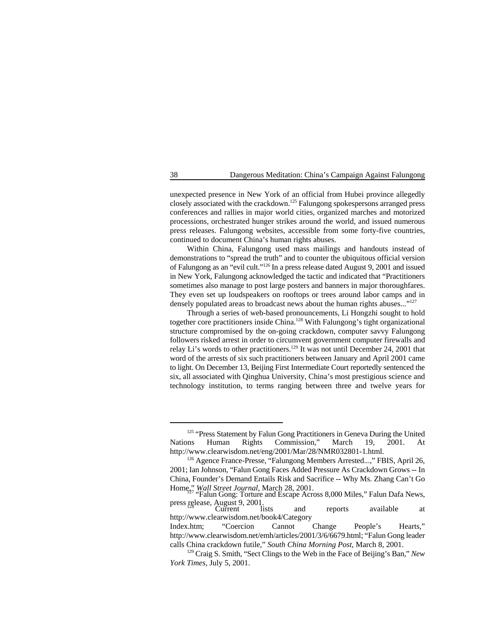unexpected presence in New York of an official from Hubei province allegedly closely associated with the crackdown.<sup>125</sup> Falungong spokespersons arranged press conferences and rallies in major world cities, organized marches and motorized processions, orchestrated hunger strikes around the world, and issued numerous press releases. Falungong websites, accessible from some forty-five countries, continued to document China's human rights abuses.

Within China, Falungong used mass mailings and handouts instead of demonstrations to "spread the truth" and to counter the ubiquitous official version of Falungong as an "evil cult."<sup>126</sup> In a press release dated August 9, 2001 and issued in New York, Falungong acknowledged the tactic and indicated that "Practitioners sometimes also manage to post large posters and banners in major thoroughfares. They even set up loudspeakers on rooftops or trees around labor camps and in densely populated areas to broadcast news about the human rights abuses..."<sup>127</sup>

Through a series of web-based pronouncements, Li Hongzhi sought to hold together core practitioners inside China.<sup>128</sup> With Falungong's tight organizational structure compromised by the on-going crackdown, computer savvy Falungong followers risked arrest in order to circumvent government computer firewalls and relay Li's words to other practitioners.<sup>129</sup> It was not until December 24, 2001 that word of the arrests of six such practitioners between January and April 2001 came to light. On December 13, Beijing First Intermediate Court reportedly sentenced the six, all associated with Qinghua University, China's most prestigious science and technology institution, to terms ranging between three and twelve years for

press release, August 9, 2001.<br>
Current lists and reports available at

http://www.clearwisdom.net/book4/Category

<sup>&</sup>lt;sup>125</sup> "Press Statement by Falun Gong Practitioners in Geneva During the United Nations Human Rights Commission," March 19, 2001. http://www.clearwisdom.net/eng/2001/Mar/28/NMR032801-1.html.

<sup>&</sup>lt;sup>126</sup> Agence France-Presse, "Falungong Members Arrested...," FBIS, April 26, 2001; Ian Johnson, "Falun Gong Faces Added Pressure As Crackdown Grows -- In China, Founder's Demand Entails Risk and Sacrifice -- Why Ms. Zhang Can't Go Home<sub>127</sub> *Wall Street Journal*, March 28, 2001.<br>"Falun Gong: Torture and Escape Across 8,000 Miles," Falun Dafa News,

Index.htm; "Coercion Cannot Change People's Hearts," http://www.clearwisdom.net/emh/articles/2001/3/6/6679.html; "Falun Gong leader calls China crackdown futile," *South China Morning Post*, March 8, 2001.

<sup>&</sup>lt;sup>129</sup> Craig S. Smith, "Sect Clings to the Web in the Face of Beijing's Ban," *New York Times*, July 5, 2001.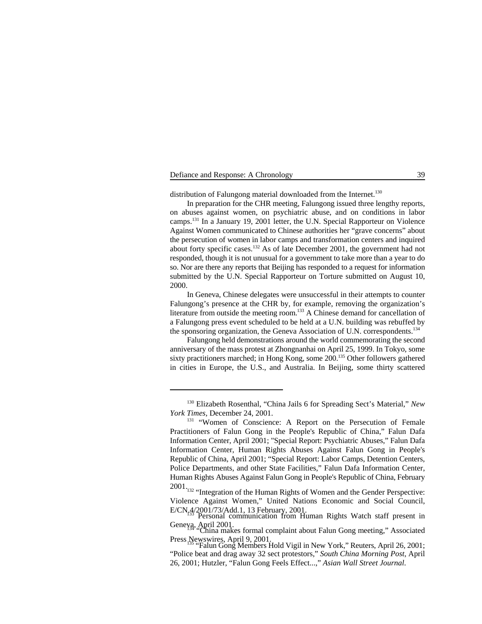distribution of Falungong material downloaded from the Internet.<sup>130</sup>

In preparation for the CHR meeting, Falungong issued three lengthy reports, on abuses against women, on psychiatric abuse, and on conditions in labor camps.  $^{131}$  In a January 19, 2001 letter, the U.N. Special Rapporteur on Violence Against Women communicated to Chinese authorities her "grave concerns" about the persecution of women in labor camps and transformation centers and inquired about forty specific cases. $132$  As of late December 2001, the government had not responded, though it is not unusual for a government to take more than a year to do so. Nor are there any reports that Beijing has responded to a request for information submitted by the U.N. Special Rapporteur on Torture submitted on August 10, 2000.

In Geneva, Chinese delegates were unsuccessful in their attempts to counter Falungong's presence at the CHR by, for example, removing the organization's literature from outside the meeting room.<sup>133</sup> A Chinese demand for cancellation of a Falungong press event scheduled to be held at a U.N. building was rebuffed by the sponsoring organization, the Geneva Association of U.N. correspondents.<sup>134</sup>

Falungong held demonstrations around the world commemorating the second anniversary of the mass protest at Zhongnanhai on April 25, 1999. In Tokyo, some sixty practitioners marched; in Hong Kong, some  $200$ .<sup>135</sup> Other followers gathered in cities in Europe, the U.S., and Australia. In Beijing, some thirty scattered

<sup>&</sup>lt;sup>130</sup> Elizabeth Rosenthal, "China Jails 6 for Spreading Sect's Material," *New York Times,* December 24, 2001.

<sup>&</sup>lt;sup>131</sup> "Women of Conscience: A Report on the Persecution of Female Practitioners of Falun Gong in the People's Republic of China," Falun Dafa Information Center, April 2001; "Special Report: Psychiatric Abuses," Falun Dafa Information Center, Human Rights Abuses Against Falun Gong in People's Republic of China, April 2001; "Special Report: Labor Camps, Detention Centers, Police Departments, and other State Facilities," Falun Dafa Information Center, Human Rights Abuses Against Falun Gong in People's Republic of China, February

 $2001$ . <sup>132</sup> "Integration of the Human Rights of Women and the Gender Perspective: Violence Against Women," United Nations Economic and Social Council, E/CN<sub>r</sub>4/2001/73/Add.1, 13 February, 2001.<br>Personal communication from Human Rights Watch staff present in

Geneya, April 2001.<br>
"China makes formal complaint about Falun Gong meeting," Associated

Press Newswires, April 9, 2001.<br>"Falun Gong Members Hold Vigil in New York," Reuters, April 26, 2001;

<sup>&</sup>quot;Police beat and drag away 32 sect protestors," *South China Morning Post*, April 26, 2001; Hutzler, "Falun Gong Feels Effect...," *Asian Wall Street Journal*.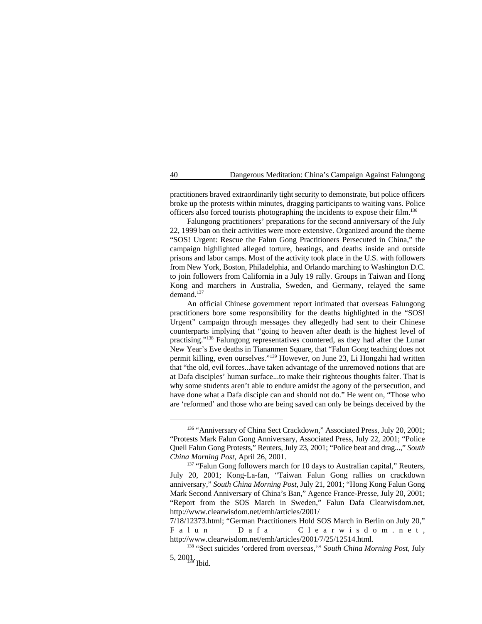practitioners braved extraordinarily tight security to demonstrate, but police officers broke up the protests within minutes, dragging participants to waiting vans. Police officers also forced tourists photographing the incidents to expose their film. 136

Falungong practitioners' preparations for the second anniversary of the July 22, 1999 ban on their activities were more extensive. Organized around the theme "SOS! Urgent: Rescue the Falun Gong Practitioners Persecuted in China," the campaign highlighted alleged torture, beatings, and deaths inside and outside prisons and labor camps. Most of the activity took place in the U.S. with followers from New York, Boston, Philadelphia, and Orlando marching to Washington D.C. to join followers from California in a July 19 rally. Groups in Taiwan and Hong Kong and marchers in Australia, Sweden, and Germany, relayed the same demand.<sup>137</sup>

An official Chinese government report intimated that overseas Falungong practitioners bore some responsibility for the deaths highlighted in the "SOS! Urgent" campaign through messages they allegedly had sent to their Chinese counterparts implying that "going to heaven after death is the highest level of practising."<sup>138</sup> Falungong representatives countered, as they had after the Lunar New Year's Eve deaths in Tiananmen Square, that "Falun Gong teaching does not permit killing, even ourselves."<sup>139</sup> However, on June 23, Li Hongzhi had written that "the old, evil forces...have taken advantage of the unremoved notions that are at Dafa disciples' human surface...to make their righteous thoughts falter. That is why some students aren't able to endure amidst the agony of the persecution, and have done what a Dafa disciple can and should not do." He went on, "Those who are 'reformed' and those who are being saved can only be beings deceived by the

<sup>&</sup>lt;sup>136</sup> "Anniversary of China Sect Crackdown," Associated Press, July 20, 2001; "Protests Mark Falun Gong Anniversary, Associated Press, July 22, 2001; "Police Quell Falun Gong Protests," Reuters, July 23, 2001; "Police beat and drag...," *South China Morning Post*, April 26, 2001.

 $137$  "Falun Gong followers march for 10 days to Australian capital," Reuters, July 20, 2001; Kong-La-fan, "Taiwan Falun Gong rallies on crackdown anniversary," *South China Morning Post*, July 21, 2001; "Hong Kong Falun Gong Mark Second Anniversary of China's Ban," Agence France-Presse, July 20, 2001; "Report from the SOS March in Sweden," Falun Dafa Clearwisdom.net, http://www.clearwisdom.net/emh/articles/2001/

<sup>7/18/12373.</sup>html; "German Practitioners Hold SOS March in Berlin on July 20," Falun Dafa Clearwisdom.net, http://www.clearwisdom.net/emh/articles/2001/7/25/12514.html.

<sup>&</sup>lt;sup>138</sup> "Sect suicides 'ordered from overseas,'" South China Morning Post, July 5,  $2001$ . Ibid.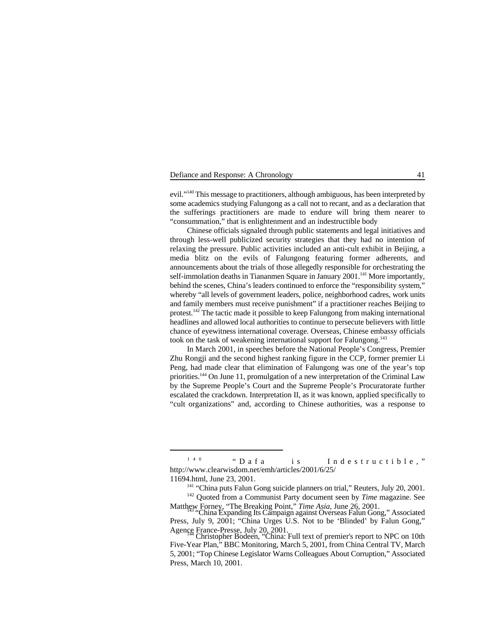evil."<sup>140</sup> This message to practitioners, although ambiguous, has been interpreted by some academics studying Falungong as a call not to recant, and as a declaration that the sufferings practitioners are made to endure will bring them nearer to "consummation," that is enlightenment and an indestructible body

Chinese officials signaled through public statements and legal initiatives and through less-well publicized security strategies that they had no intention of relaxing the pressure. Public activities included an anti-cult exhibit in Beijing, a media blitz on the evils of Falungong featuring former adherents, and announcements about the trials of those allegedly responsible for orchestrating the self-immolation deaths in Tiananmen Square in January  $2001$ .<sup>141</sup> More importantly, behind the scenes, China's leaders continued to enforce the "responsibility system," whereby "all levels of government leaders, police, neighborhood cadres, work units and family members must receive punishment" if a practitioner reaches Beijing to protest.  $142$  The tactic made it possible to keep Falungong from making international headlines and allowed local authorities to continue to persecute believers with little chance of eyewitness international coverage. Overseas, Chinese embassy officials took on the task of weakening international support for Falungong.<sup>143</sup>

In March 2001, in speeches before the National People's Congress, Premier Zhu Rongji and the second highest ranking figure in the CCP, former premier Li Peng, had made clear that elimination of Falungong was one of the year's top priorities.<sup>144</sup> On June 11, promulgation of a new interpretation of the Criminal Law by the Supreme People's Court and the Supreme People's Procuratorate further escalated the crackdown. Interpretation II, as it was known, applied specifically to "cult organizations" and, according to Chinese authorities, was a response to

<sup>140 &</sup>quot;Dafa is Indestructible," http://www.clearwisdom.net/emh/articles/2001/6/25/

<sup>11694.</sup>html, June 23, 2001.

 $141$  "China puts Falun Gong suicide planners on trial," Reuters, July 20, 2001.

<sup>&</sup>lt;sup>142</sup> Ouoted from a Communist Party document seen by *Time* magazine. See

Matthew Forney, "The Breaking Point," *Time Asia*, June 26, 2001.<br><sup>143</sup> "China Expanding Its Campaign against Overseas Falun Gong," Associated Press, July 9, 2001; "China Urges U.S. Not to be 'Blinded' by Falun Gong,"

Agence France-Presse, July 20, 2001.<br>Christopher Bodeen, "China: Full text of premier's report to NPC on 10th Five-Year Plan," BBC Monitoring, March 5, 2001, from China Central TV, March 5, 2001; "Top Chinese Legislator Warns Colleagues About Corruption," Associated Press, March 10, 2001.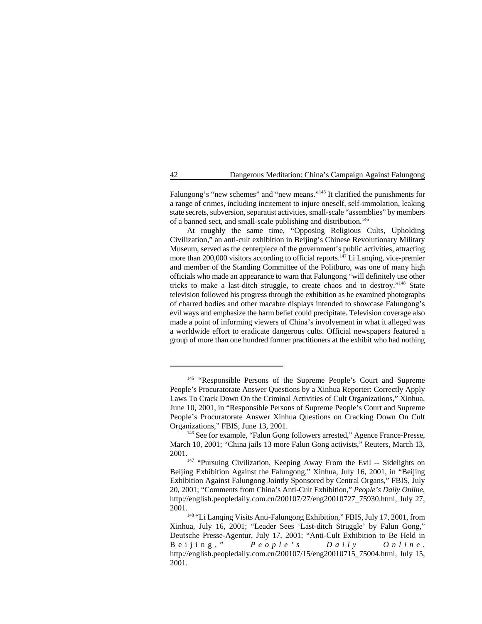Falungong's "new schemes" and "new means."<sup>145</sup> It clarified the punishments for a range of crimes, including incitement to injure oneself, self-immolation, leaking state secrets, subversion, separatist activities, small-scale "assemblies" by members of a banned sect, and small-scale publishing and distribution. 146

At roughly the same time, "Opposing Religious Cults, Upholding Civilization," an anti-cult exhibition in Beijing's Chinese Revolutionary Military Museum, served as the centerpiece of the government's public activities, attracting more than 200,000 visitors according to official reports.<sup>147</sup> Li Lanqing, vice-premier and member of the Standing Committee of the Politburo, was one of many high officials who made an appearance to warn that Falungong "will definitely use other tricks to make a last-ditch struggle, to create chaos and to destroy."<sup>148</sup> State television followed his progress through the exhibition as he examined photographs of charred bodies and other macabre displays intended to showcase Falungong's evil ways and emphasize the harm belief could precipitate. Television coverage also made a point of informing viewers of China's involvement in what it alleged was a worldwide effort to eradicate dangerous cults. Official newspapers featured a group of more than one hundred former practitioners at the exhibit who had nothing

<sup>&</sup>lt;sup>145</sup> "Responsible Persons of the Supreme People's Court and Supreme People's Procuratorate Answer Questions by a Xinhua Reporter: Correctly Apply Laws To Crack Down On the Criminal Activities of Cult Organizations," Xinhua, June 10, 2001, in "Responsible Persons of Supreme People's Court and Supreme People's Procuratorate Answer Xinhua Questions on Cracking Down On Cult Organizations," FBIS, June 13, 2001.

<sup>&</sup>lt;sup>146</sup> See for example, "Falun Gong followers arrested," Agence France-Presse, March 10, 2001; "China jails 13 more Falun Gong activists," Reuters, March 13, 2001.

<sup>&</sup>lt;sup>147</sup> "Pursuing Civilization, Keeping Away From the Evil -- Sidelights on Beijing Exhibition Against the Falungong," Xinhua, July 16, 2001, in "Beijing Exhibition Against Falungong Jointly Sponsored by Central Organs," FBIS, July 20, 2001; "Comments from China's Anti-Cult Exhibition," *People's Daily Online*, http://english.peopledaily.com.cn/200107/27/eng20010727\_75930.html, July 27, 2001.

<sup>&</sup>lt;sup>148</sup> "Li Lanqing Visits Anti-Falungong Exhibition," FBIS, July 17, 2001, from Xinhua, July 16, 2001; "Leader Sees 'Last-ditch Struggle' by Falun Gong," Deutsche Presse-Agentur, July 17, 2001; "Anti-Cult Exhibition to Be Held in Beijing," *People's Daily Online* , http://english.peopledaily.com.cn/200107/15/eng20010715\_75004.html, July 15, 2001.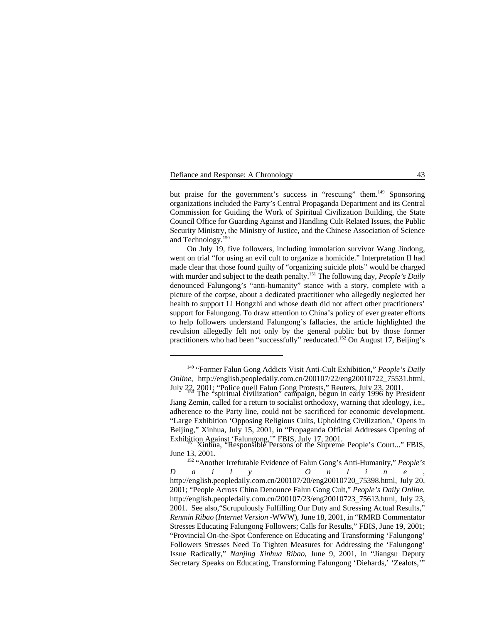but praise for the government's success in "rescuing" them.<sup>149</sup> Sponsoring organizations included the Party's Central Propaganda Department and its Central Commission for Guiding the Work of Spiritual Civilization Building, the State Council Office for Guarding Against and Handling Cult-Related Issues, the Public Security Ministry, the Ministry of Justice, and the Chinese Association of Science and Technology.150

On July 19, five followers, including immolation survivor Wang Jindong, went on trial "for using an evil cult to organize a homicide." Interpretation II had made clear that those found guilty of "organizing suicide plots" would be charged with murder and subject to the death penalty.<sup>151</sup> The following day, *People's Daily* denounced Falungong's "anti-humanity" stance with a story, complete with a picture of the corpse, about a dedicated practitioner who allegedly neglected her health to support Li Hongzhi and whose death did not affect other practitioners' support for Falungong. To draw attention to China's policy of ever greater efforts to help followers understand Falungong's fallacies, the article highlighted the revulsion allegedly felt not only by the general public but by those former practitioners who had been "successfully" reeducated.<sup>152</sup> On August 17, Beijing's

<sup>&</sup>lt;sup>149</sup> "Former Falun Gong Addicts Visit Anti-Cult Exhibition," *People's Daily Online*, http://english.peopledaily.com.cn/200107/22/eng20010722\_75531.html, July 22, 2001; "Police quell Falun Gong Protests," Reuters, July 23, 2001. The "spiritual civilization" campaign, begun in early 1996 by President <sup>150</sup>

Jiang Zemin, called for a return to socialist orthodoxy, warning that ideology, i.e., adherence to the Party line, could not be sacrificed for economic development. "Large Exhibition 'Opposing Religious Cults, Upholding Civilization,' Opens in Beijing," Xinhua, July 15, 2001, in "Propaganda Official Addresses Opening of Exhibition Against 'Falungong,'" FBIS, July 17, 2001.<br>Xinhua, "Responsible Persons of the Supreme People's Court..." FBIS,

June 13, 2001.

<sup>&</sup>lt;sup>152</sup> "Another Irrefutable Evidence of Falun Gong's Anti-Humanity," *People's Daily Online* , http://english.peopledaily.com.cn/200107/20/eng20010720\_75398.html, July 20, 2001; "People Across China Denounce Falun Gong Cult," *People's Daily Online*, http://english.peopledaily.com.cn/200107/23/eng20010723\_75613.html, July 23, 2001. See also,"Scrupulously Fulfilling Our Duty and Stressing Actual Results," *Renmin Ribao* (*Internet Version* -WWW), June 18, 2001, in "RMRB Commentator Stresses Educating Falungong Followers; Calls for Results," FBIS, June 19, 2001; "Provincial On-the-Spot Conference on Educating and Transforming 'Falungong' Followers Stresses Need To Tighten Measures for Addressing the 'Falungong' Issue Radically," *Nanjing Xinhua Ribao*, June 9, 2001, in "Jiangsu Deputy Secretary Speaks on Educating, Transforming Falungong 'Diehards,' 'Zealots,'"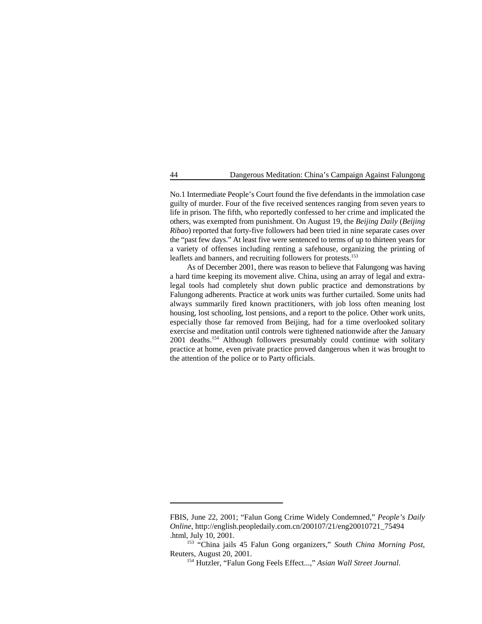No.1 Intermediate People's Court found the five defendants in the immolation case guilty of murder. Four of the five received sentences ranging from seven years to life in prison. The fifth, who reportedly confessed to her crime and implicated the others, was exempted from punishment. On August 19, the *Beijing Daily* (*Beijing Ribao*) reported that forty-five followers had been tried in nine separate cases over the "past few days." At least five were sentenced to terms of up to thirteen years for a variety of offenses including renting a safehouse, organizing the printing of leaflets and banners, and recruiting followers for protests.<sup>153</sup>

As of December 2001, there was reason to believe that Falungong was having a hard time keeping its movement alive. China, using an array of legal and extralegal tools had completely shut down public practice and demonstrations by Falungong adherents. Practice at work units was further curtailed. Some units had always summarily fired known practitioners, with job loss often meaning lost housing, lost schooling, lost pensions, and a report to the police. Other work units, especially those far removed from Beijing, had for a time overlooked solitary exercise and meditation until controls were tightened nationwide after the January 2001 deaths.<sup>154</sup> Although followers presumably could continue with solitary practice at home, even private practice proved dangerous when it was brought to the attention of the police or to Party officials.

FBIS, June 22, 2001; "Falun Gong Crime Widely Condemned," *People's Daily Online*, http://english.peopledaily.com.cn/200107/21/eng20010721\_75494 .html, July 10, 2001.

<sup>&</sup>lt;sup>153</sup> "China jails 45 Falun Gong organizers," South China Morning Post, Reuters, August 20, 2001.

<sup>&</sup>lt;sup>154</sup> Hutzler, "Falun Gong Feels Effect...," Asian Wall Street Journal.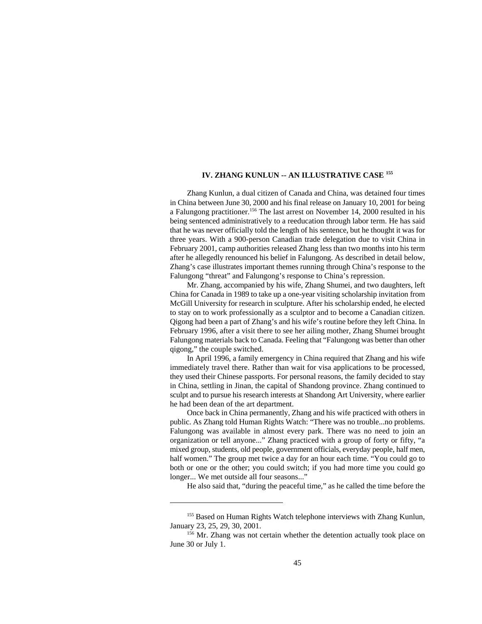# **IV. ZHANG KUNLUN -- AN ILLUSTRATIVE CASE 155**

Zhang Kunlun, a dual citizen of Canada and China, was detained four times in China between June 30, 2000 and his final release on January 10, 2001 for being a Falungong practitioner.<sup>156</sup> The last arrest on November 14, 2000 resulted in his being sentenced administratively to a reeducation through labor term. He has said that he was never officially told the length of his sentence, but he thought it was for three years. With a 900-person Canadian trade delegation due to visit China in February 2001, camp authorities released Zhang less than two months into his term after he allegedly renounced his belief in Falungong. As described in detail below, Zhang's case illustrates important themes running through China's response to the Falungong "threat" and Falungong's response to China's repression.

Mr. Zhang, accompanied by his wife, Zhang Shumei, and two daughters, left China for Canada in 1989 to take up a one-year visiting scholarship invitation from McGill University for research in sculpture. After his scholarship ended, he elected to stay on to work professionally as a sculptor and to become a Canadian citizen. Qigong had been a part of Zhang's and his wife's routine before they left China. In February 1996, after a visit there to see her ailing mother, Zhang Shumei brought Falungong materials back to Canada. Feeling that "Falungong was better than other qigong," the couple switched.

In April 1996, a family emergency in China required that Zhang and his wife immediately travel there. Rather than wait for visa applications to be processed, they used their Chinese passports. For personal reasons, the family decided to stay in China, settling in Jinan, the capital of Shandong province. Zhang continued to sculpt and to pursue his research interests at Shandong Art University, where earlier he had been dean of the art department.

Once back in China permanently, Zhang and his wife practiced with others in public. As Zhang told Human Rights Watch: "There was no trouble...no problems. Falungong was available in almost every park. There was no need to join an organization or tell anyone..." Zhang practiced with a group of forty or fifty, "a mixed group, students, old people, government officials, everyday people, half men, half women." The group met twice a day for an hour each time. "You could go to both or one or the other; you could switch; if you had more time you could go longer... We met outside all four seasons..."

He also said that, "during the peaceful time," as he called the time before the

<sup>&</sup>lt;sup>155</sup> Based on Human Rights Watch telephone interviews with Zhang Kunlun, January 23, 25, 29, 30, 2001.

 $156$  Mr. Zhang was not certain whether the detention actually took place on June 30 or July 1.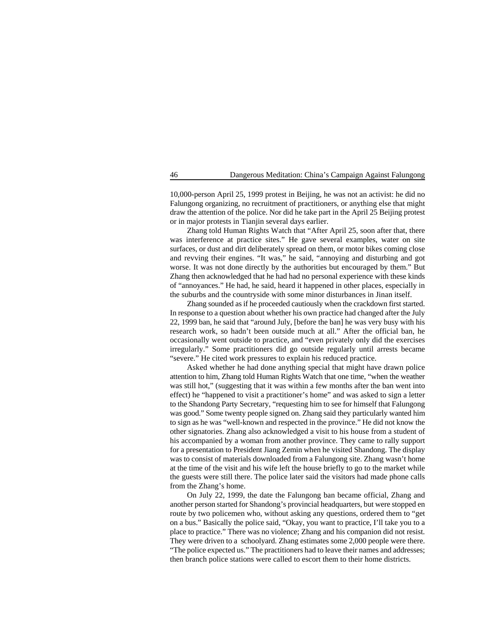10,000-person April 25, 1999 protest in Beijing, he was not an activist: he did no Falungong organizing, no recruitment of practitioners, or anything else that might draw the attention of the police. Nor did he take part in the April 25 Beijing protest or in major protests in Tianjin several days earlier.

Zhang told Human Rights Watch that "After April 25, soon after that, there was interference at practice sites." He gave several examples, water on site surfaces, or dust and dirt deliberately spread on them, or motor bikes coming close and revving their engines. "It was," he said, "annoying and disturbing and got worse. It was not done directly by the authorities but encouraged by them." But Zhang then acknowledged that he had had no personal experience with these kinds of "annoyances." He had, he said, heard it happened in other places, especially in the suburbs and the countryside with some minor disturbances in Jinan itself.

Zhang sounded as if he proceeded cautiously when the crackdown first started. In response to a question about whether his own practice had changed after the July 22, 1999 ban, he said that "around July, [before the ban] he was very busy with his research work, so hadn't been outside much at all." After the official ban, he occasionally went outside to practice, and "even privately only did the exercises irregularly." Some practitioners did go outside regularly until arrests became "severe." He cited work pressures to explain his reduced practice.

Asked whether he had done anything special that might have drawn police attention to him, Zhang told Human Rights Watch that one time, "when the weather was still hot," (suggesting that it was within a few months after the ban went into effect) he "happened to visit a practitioner's home" and was asked to sign a letter to the Shandong Party Secretary, "requesting him to see for himself that Falungong was good." Some twenty people signed on. Zhang said they particularly wanted him to sign as he was "well-known and respected in the province." He did not know the other signatories. Zhang also acknowledged a visit to his house from a student of his accompanied by a woman from another province. They came to rally support for a presentation to President Jiang Zemin when he visited Shandong. The display was to consist of materials downloaded from a Falungong site. Zhang wasn't home at the time of the visit and his wife left the house briefly to go to the market while the guests were still there. The police later said the visitors had made phone calls from the Zhang's home.

On July 22, 1999, the date the Falungong ban became official, Zhang and another person started for Shandong's provincial headquarters, but were stopped en route by two policemen who, without asking any questions, ordered them to "get on a bus." Basically the police said, "Okay, you want to practice, I'll take you to a place to practice." There was no violence; Zhang and his companion did not resist. They were driven to a schoolyard. Zhang estimates some 2,000 people were there. "The police expected us." The practitioners had to leave their names and addresses; then branch police stations were called to escort them to their home districts.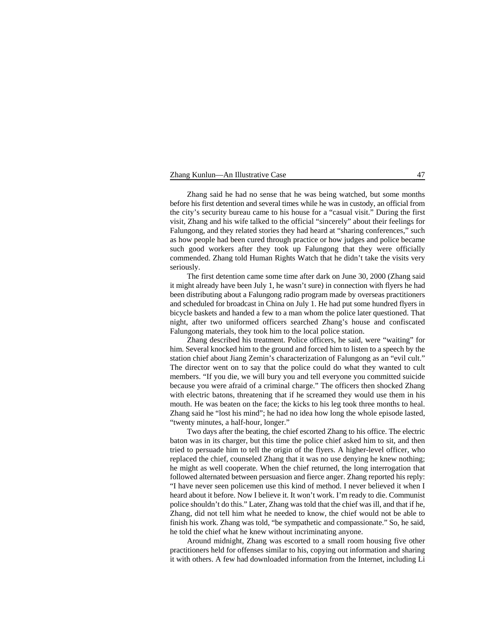## Zhang Kunlun—An Illustrative Case 47

Zhang said he had no sense that he was being watched, but some months before his first detention and several times while he was in custody, an official from the city's security bureau came to his house for a "casual visit." During the first visit, Zhang and his wife talked to the official "sincerely" about their feelings for Falungong, and they related stories they had heard at "sharing conferences," such as how people had been cured through practice or how judges and police became such good workers after they took up Falungong that they were officially commended. Zhang told Human Rights Watch that he didn't take the visits very seriously.

The first detention came some time after dark on June 30, 2000 (Zhang said it might already have been July 1, he wasn't sure) in connection with flyers he had been distributing about a Falungong radio program made by overseas practitioners and scheduled for broadcast in China on July 1. He had put some hundred flyers in bicycle baskets and handed a few to a man whom the police later questioned. That night, after two uniformed officers searched Zhang's house and confiscated Falungong materials, they took him to the local police station.

Zhang described his treatment. Police officers, he said, were "waiting" for him. Several knocked him to the ground and forced him to listen to a speech by the station chief about Jiang Zemin's characterization of Falungong as an "evil cult." The director went on to say that the police could do what they wanted to cult members. "If you die, we will bury you and tell everyone you committed suicide because you were afraid of a criminal charge." The officers then shocked Zhang with electric batons, threatening that if he screamed they would use them in his mouth. He was beaten on the face; the kicks to his leg took three months to heal. Zhang said he "lost his mind"; he had no idea how long the whole episode lasted, "twenty minutes, a half-hour, longer."

Two days after the beating, the chief escorted Zhang to his office. The electric baton was in its charger, but this time the police chief asked him to sit, and then tried to persuade him to tell the origin of the flyers. A higher-level officer, who replaced the chief, counseled Zhang that it was no use denying he knew nothing; he might as well cooperate. When the chief returned, the long interrogation that followed alternated between persuasion and fierce anger. Zhang reported his reply: "I have never seen policemen use this kind of method. I never believed it when I heard about it before. Now I believe it. It won't work. I'm ready to die. Communist police shouldn't do this." Later, Zhang was told that the chief was ill, and that if he, Zhang, did not tell him what he needed to know, the chief would not be able to finish his work. Zhang was told, "be sympathetic and compassionate." So, he said, he told the chief what he knew without incriminating anyone.

Around midnight, Zhang was escorted to a small room housing five other practitioners held for offenses similar to his, copying out information and sharing it with others. A few had downloaded information from the Internet, including Li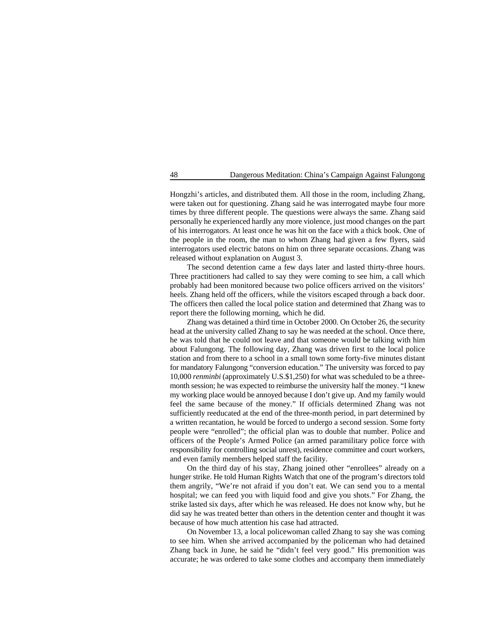Hongzhi's articles, and distributed them. All those in the room, including Zhang, were taken out for questioning. Zhang said he was interrogated maybe four more times by three different people. The questions were always the same. Zhang said personally he experienced hardly any more violence, just mood changes on the part of his interrogators. At least once he was hit on the face with a thick book. One of the people in the room, the man to whom Zhang had given a few flyers, said interrogators used electric batons on him on three separate occasions. Zhang was released without explanation on August 3.

The second detention came a few days later and lasted thirty-three hours. Three practitioners had called to say they were coming to see him, a call which probably had been monitored because two police officers arrived on the visitors' heels. Zhang held off the officers, while the visitors escaped through a back door. The officers then called the local police station and determined that Zhang was to report there the following morning, which he did.

Zhang was detained a third time in October 2000. On October 26, the security head at the university called Zhang to say he was needed at the school. Once there, he was told that he could not leave and that someone would be talking with him about Falungong. The following day, Zhang was driven first to the local police station and from there to a school in a small town some forty-five minutes distant for mandatory Falungong "conversion education." The university was forced to pay 10,000 *renminbi* (approximately U.S.\$1,250) for what was scheduled to be a threemonth session; he was expected to reimburse the university half the money. "I knew my working place would be annoyed because I don't give up. And my family would feel the same because of the money." If officials determined Zhang was not sufficiently reeducated at the end of the three-month period, in part determined by a written recantation, he would be forced to undergo a second session. Some forty people were "enrolled"; the official plan was to double that number. Police and officers of the People's Armed Police (an armed paramilitary police force with responsibility for controlling social unrest), residence committee and court workers, and even family members helped staff the facility.

On the third day of his stay, Zhang joined other "enrollees" already on a hunger strike. He told Human Rights Watch that one of the program's directors told them angrily, "We're not afraid if you don't eat. We can send you to a mental hospital; we can feed you with liquid food and give you shots." For Zhang, the strike lasted six days, after which he was released. He does not know why, but he did say he was treated better than others in the detention center and thought it was because of how much attention his case had attracted.

On November 13, a local policewoman called Zhang to say she was coming to see him. When she arrived accompanied by the policeman who had detained Zhang back in June, he said he "didn't feel very good." His premonition was accurate; he was ordered to take some clothes and accompany them immediately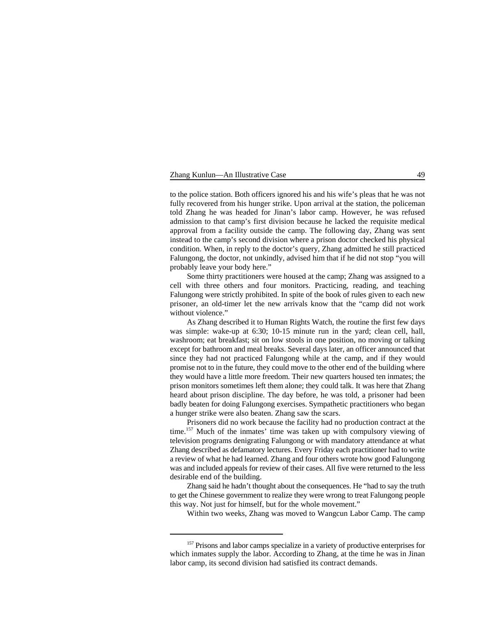### Zhang Kunlun—An Illustrative Case 49

to the police station. Both officers ignored his and his wife's pleas that he was not fully recovered from his hunger strike. Upon arrival at the station, the policeman told Zhang he was headed for Jinan's labor camp. However, he was refused admission to that camp's first division because he lacked the requisite medical approval from a facility outside the camp. The following day, Zhang was sent instead to the camp's second division where a prison doctor checked his physical condition. When, in reply to the doctor's query, Zhang admitted he still practiced Falungong, the doctor, not unkindly, advised him that if he did not stop "you will probably leave your body here."

Some thirty practitioners were housed at the camp; Zhang was assigned to a cell with three others and four monitors. Practicing, reading, and teaching Falungong were strictly prohibited. In spite of the book of rules given to each new prisoner, an old-timer let the new arrivals know that the "camp did not work without violence."

As Zhang described it to Human Rights Watch, the routine the first few days was simple: wake-up at 6:30; 10-15 minute run in the yard; clean cell, hall, washroom; eat breakfast; sit on low stools in one position, no moving or talking except for bathroom and meal breaks. Several days later, an officer announced that since they had not practiced Falungong while at the camp, and if they would promise not to in the future, they could move to the other end of the building where they would have a little more freedom. Their new quarters housed ten inmates; the prison monitors sometimes left them alone; they could talk. It was here that Zhang heard about prison discipline. The day before, he was told, a prisoner had been badly beaten for doing Falungong exercises. Sympathetic practitioners who began a hunger strike were also beaten. Zhang saw the scars.

Prisoners did no work because the facility had no production contract at the time.<sup>157</sup> Much of the inmates' time was taken up with compulsory viewing of television programs denigrating Falungong or with mandatory attendance at what Zhang described as defamatory lectures. Every Friday each practitioner had to write a review of what he had learned. Zhang and four others wrote how good Falungong was and included appeals for review of their cases. All five were returned to the less desirable end of the building.

Zhang said he hadn't thought about the consequences. He "had to say the truth to get the Chinese government to realize they were wrong to treat Falungong people this way. Not just for himself, but for the whole movement."

Within two weeks, Zhang was moved to Wangcun Labor Camp. The camp

<sup>&</sup>lt;sup>157</sup> Prisons and labor camps specialize in a variety of productive enterprises for which inmates supply the labor. According to Zhang, at the time he was in Jinan labor camp, its second division had satisfied its contract demands.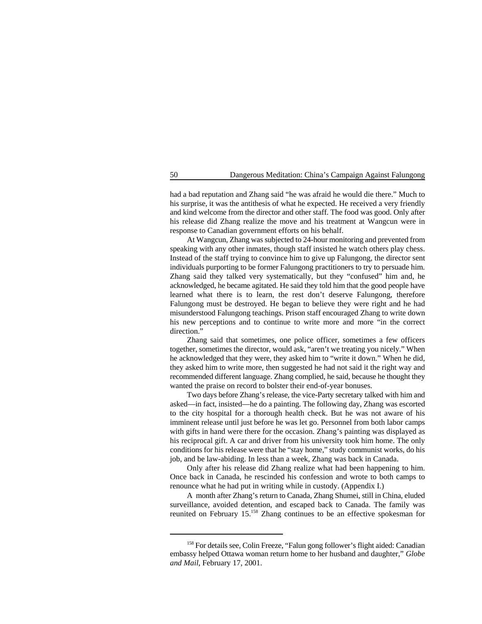had a bad reputation and Zhang said "he was afraid he would die there." Much to his surprise, it was the antithesis of what he expected. He received a very friendly and kind welcome from the director and other staff. The food was good. Only after his release did Zhang realize the move and his treatment at Wangcun were in response to Canadian government efforts on his behalf.

At Wangcun, Zhang was subjected to 24-hour monitoring and prevented from speaking with any other inmates, though staff insisted he watch others play chess. Instead of the staff trying to convince him to give up Falungong, the director sent individuals purporting to be former Falungong practitioners to try to persuade him. Zhang said they talked very systematically, but they "confused" him and, he acknowledged, he became agitated. He said they told him that the good people have learned what there is to learn, the rest don't deserve Falungong, therefore Falungong must be destroyed. He began to believe they were right and he had misunderstood Falungong teachings. Prison staff encouraged Zhang to write down his new perceptions and to continue to write more and more "in the correct direction."

Zhang said that sometimes, one police officer, sometimes a few officers together, sometimes the director, would ask, "aren't we treating you nicely." When he acknowledged that they were, they asked him to "write it down." When he did, they asked him to write more, then suggested he had not said it the right way and recommended different language. Zhang complied, he said, because he thought they wanted the praise on record to bolster their end-of-year bonuses.

Two days before Zhang's release, the vice-Party secretary talked with him and asked—in fact, insisted—he do a painting. The following day, Zhang was escorted to the city hospital for a thorough health check. But he was not aware of his imminent release until just before he was let go. Personnel from both labor camps with gifts in hand were there for the occasion. Zhang's painting was displayed as his reciprocal gift. A car and driver from his university took him home. The only conditions for his release were that he "stay home," study communist works, do his job, and be law-abiding. In less than a week, Zhang was back in Canada.

Only after his release did Zhang realize what had been happening to him. Once back in Canada, he rescinded his confession and wrote to both camps to renounce what he had put in writing while in custody. (Appendix I.)

A month after Zhang's return to Canada, Zhang Shumei, still in China, eluded surveillance, avoided detention, and escaped back to Canada. The family was reunited on February  $15^{158}$  Zhang continues to be an effective spokesman for

<sup>&</sup>lt;sup>158</sup> For details see, Colin Freeze, "Falun gong follower's flight aided: Canadian embassy helped Ottawa woman return home to her husband and daughter," *Globe and Mail*, February 17, 2001.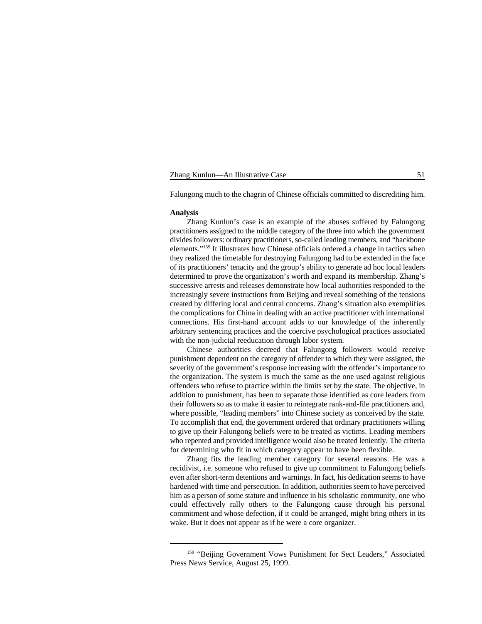| Zhang Kunlun-An Illustrative Case |  |
|-----------------------------------|--|
|-----------------------------------|--|

Falungong much to the chagrin of Chinese officials committed to discrediting him.

#### **Analysis**

Zhang Kunlun's case is an example of the abuses suffered by Falungong practitioners assigned to the middle category of the three into which the government divides followers: ordinary practitioners, so-called leading members, and "backbone elements."<sup>159</sup> It illustrates how Chinese officials ordered a change in tactics when they realized the timetable for destroying Falungong had to be extended in the face of its practitioners' tenacity and the group's ability to generate ad hoc local leaders determined to prove the organization's worth and expand its membership. Zhang's successive arrests and releases demonstrate how local authorities responded to the increasingly severe instructions from Beijing and reveal something of the tensions created by differing local and central concerns. Zhang's situation also exemplifies the complications for China in dealing with an active practitioner with international connections. His first-hand account adds to our knowledge of the inherently arbitrary sentencing practices and the coercive psychological practices associated with the non-judicial reeducation through labor system.

Chinese authorities decreed that Falungong followers would receive punishment dependent on the category of offender to which they were assigned, the severity of the government's response increasing with the offender's importance to the organization. The system is much the same as the one used against religious offenders who refuse to practice within the limits set by the state. The objective, in addition to punishment, has been to separate those identified as core leaders from their followers so as to make it easier to reintegrate rank-and-file practitioners and, where possible, "leading members" into Chinese society as conceived by the state. To accomplish that end, the government ordered that ordinary practitioners willing to give up their Falungong beliefs were to be treated as victims. Leading members who repented and provided intelligence would also be treated leniently. The criteria for determining who fit in which category appear to have been flexible.

Zhang fits the leading member category for several reasons. He was a recidivist, i.e. someone who refused to give up commitment to Falungong beliefs even after short-term detentions and warnings. In fact, his dedication seems to have hardened with time and persecution. In addition, authorities seem to have perceived him as a person of some stature and influence in his scholastic community, one who could effectively rally others to the Falungong cause through his personal commitment and whose defection, if it could be arranged, might bring others in its wake. But it does not appear as if he were a core organizer.

<sup>&</sup>lt;sup>159</sup> "Beijing Government Vows Punishment for Sect Leaders," Associated Press News Service, August 25, 1999.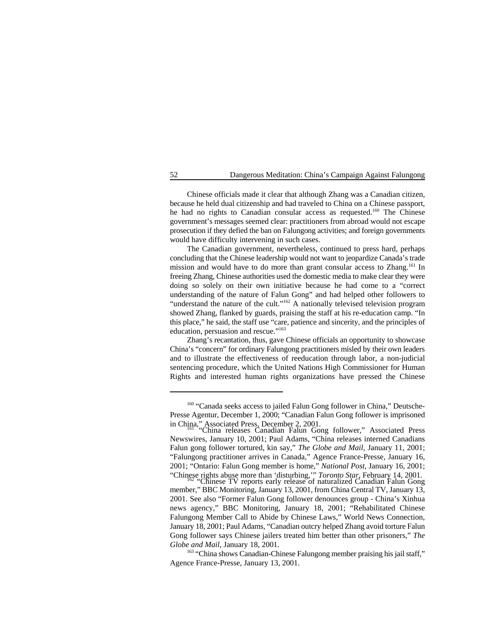Chinese officials made it clear that although Zhang was a Canadian citizen, because he held dual citizenship and had traveled to China on a Chinese passport, he had no rights to Canadian consular access as requested.<sup>160</sup> The Chinese government's messages seemed clear: practitioners from abroad would not escape prosecution if they defied the ban on Falungong activities; and foreign governments would have difficulty intervening in such cases.

The Canadian government, nevertheless, continued to press hard, perhaps concluding that the Chinese leadership would not want to jeopardize Canada's trade mission and would have to do more than grant consular access to Zhang.<sup>161</sup> In freeing Zhang, Chinese authorities used the domestic media to make clear they were doing so solely on their own initiative because he had come to a "correct understanding of the nature of Falun Gong" and had helped other followers to "understand the nature of the cult." $^{162}$  A nationally televised television program showed Zhang, flanked by guards, praising the staff at his re-education camp. "In this place," he said, the staff use "care, patience and sincerity, and the principles of education, persuasion and rescue."<sup>163</sup>

Zhang's recantation, thus, gave Chinese officials an opportunity to showcase China's "concern" for ordinary Falungong practitioners misled by their own leaders and to illustrate the effectiveness of reeducation through labor, a non-judicial sentencing procedure, which the United Nations High Commissioner for Human Rights and interested human rights organizations have pressed the Chinese

<sup>163</sup> "China shows Canadian-Chinese Falungong member praising his jail staff," Agence France-Presse, January 13, 2001.

<sup>&</sup>lt;sup>160</sup> "Canada seeks access to jailed Falun Gong follower in China," Deutsche-Presse Agentur, December 1, 2000; "Canadian Falun Gong follower is imprisoned in China," Associated Press, December 2, 2001.<br>"China releases Canadian Falun Gong follower," Associated Press

Newswires, January 10, 2001; Paul Adams, "China releases interned Canadians Falun gong follower tortured, kin say," *The Globe and Mail*, January 11, 2001; "Falungong practitioner arrives in Canada," Agence France-Presse, January 16, 2001; "Ontario: Falun Gong member is home," *National Post*, January 16, 2001; "Chinese rights abuse more than 'disturbing,'" *Toronto Star*, February 14, 2001. "Chinese TV reports early release of naturalized Canadian Falun Gong <sup>162</sup>

member," BBC Monitoring, January 13, 2001, from China Central TV, January 13, 2001. See also "Former Falun Gong follower denounces group - China's Xinhua news agency," BBC Monitoring, January 18, 2001; "Rehabilitated Chinese Falungong Member Call to Abide by Chinese Laws," World News Connection, January 18, 2001; Paul Adams, "Canadian outcry helped Zhang avoid torture Falun Gong follower says Chinese jailers treated him better than other prisoners," *The Globe and Mail*, January 18, 2001.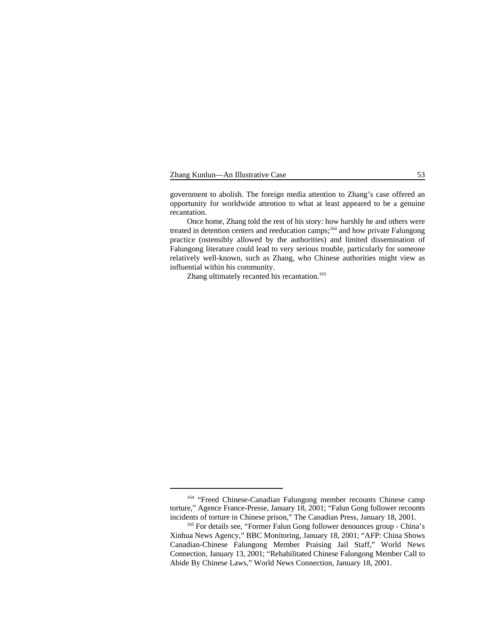| Zhang Kunlun—An Illustrative Case |  |  |
|-----------------------------------|--|--|
|-----------------------------------|--|--|

government to abolish. The foreign media attention to Zhang's case offered an opportunity for worldwide attention to what at least appeared to be a genuine recantation.

Once home, Zhang told the rest of his story: how harshly he and others were treated in detention centers and reeducation camps;  $164$  and how private Falungong practice (ostensibly allowed by the authorities) and limited dissemination of Falungong literature could lead to very serious trouble, particularly for someone relatively well-known, such as Zhang, who Chinese authorities might view as influential within his community.

Zhang ultimately recanted his recantation.<sup>165</sup>

<sup>&</sup>lt;sup>164</sup> "Freed Chinese-Canadian Falungong member recounts Chinese camp torture," Agence France-Presse, January 18, 2001; "Falun Gong follower recounts incidents of torture in Chinese prison," The Canadian Press, January 18, 2001.

<sup>&</sup>lt;sup>165</sup> For details see, "Former Falun Gong follower denounces group - China's Xinhua News Agency," BBC Monitoring, January 18, 2001; "AFP: China Shows Canadian-Chinese Falungong Member Praising Jail Staff," World News Connection, January 13, 2001; "Rehabilitated Chinese Falungong Member Call to Abide By Chinese Laws," World News Connection, January 18, 2001.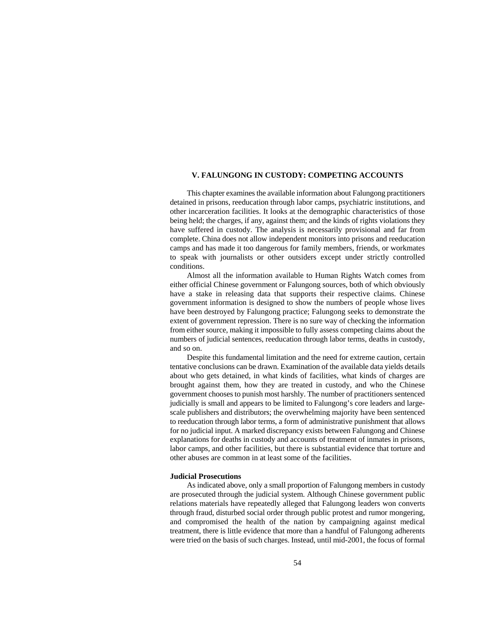# **V. FALUNGONG IN CUSTODY: COMPETING ACCOUNTS**

This chapter examines the available information about Falungong practitioners detained in prisons, reeducation through labor camps, psychiatric institutions, and other incarceration facilities. It looks at the demographic characteristics of those being held; the charges, if any, against them; and the kinds of rights violations they have suffered in custody. The analysis is necessarily provisional and far from complete. China does not allow independent monitors into prisons and reeducation camps and has made it too dangerous for family members, friends, or workmates to speak with journalists or other outsiders except under strictly controlled conditions.

Almost all the information available to Human Rights Watch comes from either official Chinese government or Falungong sources, both of which obviously have a stake in releasing data that supports their respective claims. Chinese government information is designed to show the numbers of people whose lives have been destroyed by Falungong practice; Falungong seeks to demonstrate the extent of government repression. There is no sure way of checking the information from either source, making it impossible to fully assess competing claims about the numbers of judicial sentences, reeducation through labor terms, deaths in custody, and so on.

Despite this fundamental limitation and the need for extreme caution, certain tentative conclusions can be drawn. Examination of the available data yields details about who gets detained, in what kinds of facilities, what kinds of charges are brought against them, how they are treated in custody, and who the Chinese government chooses to punish most harshly. The number of practitioners sentenced judicially is small and appears to be limited to Falungong's core leaders and largescale publishers and distributors; the overwhelming majority have been sentenced to reeducation through labor terms, a form of administrative punishment that allows for no judicial input. A marked discrepancy exists between Falungong and Chinese explanations for deaths in custody and accounts of treatment of inmates in prisons, labor camps, and other facilities, but there is substantial evidence that torture and other abuses are common in at least some of the facilities.

### **Judicial Prosecutions**

As indicated above, only a small proportion of Falungong members in custody are prosecuted through the judicial system. Although Chinese government public relations materials have repeatedly alleged that Falungong leaders won converts through fraud, disturbed social order through public protest and rumor mongering, and compromised the health of the nation by campaigning against medical treatment, there is little evidence that more than a handful of Falungong adherents were tried on the basis of such charges. Instead, until mid-2001, the focus of formal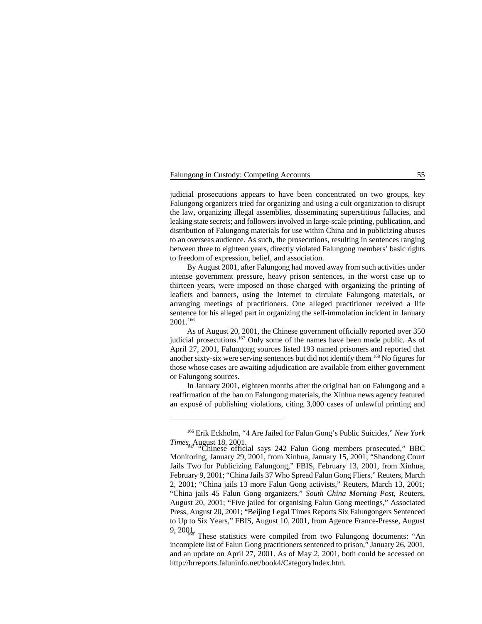### Falungong in Custody: Competing Accounts 55

judicial prosecutions appears to have been concentrated on two groups, key Falungong organizers tried for organizing and using a cult organization to disrupt the law, organizing illegal assemblies, disseminating superstitious fallacies, and leaking state secrets; and followers involved in large-scale printing, publication, and distribution of Falungong materials for use within China and in publicizing abuses to an overseas audience. As such, the prosecutions, resulting in sentences ranging between three to eighteen years, directly violated Falungong members' basic rights to freedom of expression, belief, and association.

By August 2001, after Falungong had moved away from such activities under intense government pressure, heavy prison sentences, in the worst case up to thirteen years, were imposed on those charged with organizing the printing of leaflets and banners, using the Internet to circulate Falungong materials, or arranging meetings of practitioners. One alleged practitioner received a life sentence for his alleged part in organizing the self-immolation incident in January 2001.166

As of August 20, 2001, the Chinese government officially reported over 350 judicial prosecutions. $167$  Only some of the names have been made public. As of April 27, 2001, Falungong sources listed 193 named prisoners and reported that another sixty-six were serving sentences but did not identify them.<sup>168</sup> No figures for those whose cases are awaiting adjudication are available from either government or Falungong sources.

In January 2001, eighteen months after the original ban on Falungong and a reaffirmation of the ban on Falungong materials, the Xinhua news agency featured an exposé of publishing violations, citing 3,000 cases of unlawful printing and

<sup>&</sup>lt;sup>166</sup> Erik Eckholm, "4 Are Jailed for Falun Gong's Public Suicides," *New York Times*, August 18, 2001.

Ethinese official says 242 Falun Gong members prosecuted," BBC Monitoring, January 29, 2001, from Xinhua, January 15, 2001; "Shandong Court Jails Two for Publicizing Falungong," FBIS, February 13, 2001, from Xinhua, February 9, 2001; "China Jails 37 Who Spread Falun Gong Fliers," Reuters, March 2, 2001; "China jails 13 more Falun Gong activists," Reuters, March 13, 2001; "China jails 45 Falun Gong organizers," *South China Morning Post*, Reuters, August 20, 2001; "Five jailed for organising Falun Gong meetings," Associated Press, August 20, 2001; "Beijing Legal Times Reports Six Falungongers Sentenced to Up to Six Years," FBIS, August 10, 2001, from Agence France-Presse, August 9, 2001.

These statistics were compiled from two Falungong documents: "An incomplete list of Falun Gong practitioners sentenced to prison," January 26, 2001, and an update on April 27, 2001. As of May 2, 2001, both could be accessed on http://hrreports.faluninfo.net/book4/CategoryIndex.htm.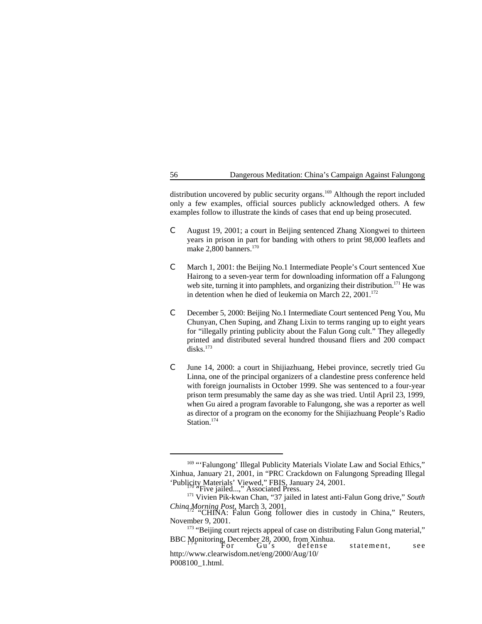distribution uncovered by public security organs.<sup>169</sup> Although the report included only a few examples, official sources publicly acknowledged others. A few examples follow to illustrate the kinds of cases that end up being prosecuted.

- C August 19, 2001; a court in Beijing sentenced Zhang Xiongwei to thirteen years in prison in part for banding with others to print 98,000 leaflets and make 2,800 banners.<sup>170</sup>
- C March 1, 2001: the Beijing No.1 Intermediate People's Court sentenced Xue Hairong to a seven-year term for downloading information off a Falungong web site, turning it into pamphlets, and organizing their distribution.<sup> $171$ </sup> He was in detention when he died of leukemia on March 22, 2001.<sup>172</sup>
- C December 5, 2000: Beijing No.1 Intermediate Court sentenced Peng You, Mu Chunyan, Chen Suping, and Zhang Lixin to terms ranging up to eight years for "illegally printing publicity about the Falun Gong cult." They allegedly printed and distributed several hundred thousand fliers and 200 compact  $\mathrm{disks}$ <sup>173</sup>
- C June 14, 2000: a court in Shijiazhuang, Hebei province, secretly tried Gu Linna, one of the principal organizers of a clandestine press conference held with foreign journalists in October 1999. She was sentenced to a four-year prison term presumably the same day as she was tried. Until April 23, 1999, when Gu aired a program favorable to Falungong, she was a reporter as well as director of a program on the economy for the Shijiazhuang People's Radio Station.<sup>174</sup>

<sup>&</sup>lt;sup>169</sup> "'Falungong' Illegal Publicity Materials Violate Law and Social Ethics," Xinhua, January 21, 2001, in "PRC Crackdown on Falungong Spreading Illegal 'Publicity Materials' Viewed," FBIS, January 24, 2001. "Five jailed...," Associated Press. <sup>170</sup>

<sup>&</sup>lt;sup>171</sup> Vivien Pik-kwan Chan, "37 jailed in latest anti-Falun Gong drive," South *China Morning Post*, March 3, 2001.<br>"CHINA: Falun Gong follower dies in custody in China," Reuters,

November 9, 2001.

<sup>&</sup>lt;sup>173</sup> "Beijing court rejects appeal of case on distributing Falun Gong material," BBC Monitoring, December 28, 2000, from Xinhua.<br>For Gu's defense statement, see

http://www.clearwisdom.net/eng/2000/Aug/10/ P008100\_1.html.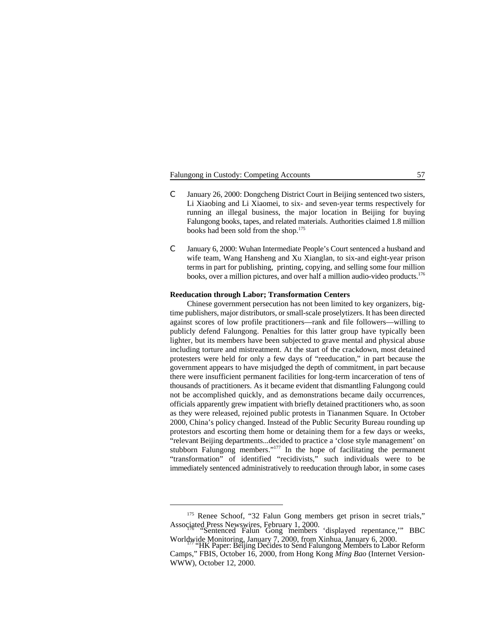# Falungong in Custody: Competing Accounts 57

- C January 26, 2000: Dongcheng District Court in Beijing sentenced two sisters, Li Xiaobing and Li Xiaomei, to six- and seven-year terms respectively for running an illegal business, the major location in Beijing for buying Falungong books, tapes, and related materials. Authorities claimed 1.8 million books had been sold from the shop.<sup>175</sup>
- C January 6, 2000: Wuhan Intermediate People's Court sentenced a husband and wife team, Wang Hansheng and Xu Xianglan, to six-and eight-year prison terms in part for publishing, printing, copying, and selling some four million books, over a million pictures, and over half a million audio-video products.<sup>176</sup>

#### **Reeducation through Labor; Transformation Centers**

Chinese government persecution has not been limited to key organizers, bigtime publishers, major distributors, or small-scale proselytizers. It has been directed against scores of low profile practitioners—rank and file followers—willing to publicly defend Falungong. Penalties for this latter group have typically been lighter, but its members have been subjected to grave mental and physical abuse including torture and mistreatment. At the start of the crackdown, most detained protesters were held for only a few days of "reeducation," in part because the government appears to have misjudged the depth of commitment, in part because there were insufficient permanent facilities for long-term incarceration of tens of thousands of practitioners. As it became evident that dismantling Falungong could not be accomplished quickly, and as demonstrations became daily occurrences, officials apparently grew impatient with briefly detained practitioners who, as soon as they were released, rejoined public protests in Tiananmen Square. In October 2000, China's policy changed. Instead of the Public Security Bureau rounding up protestors and escorting them home or detaining them for a few days or weeks, "relevant Beijing departments...decided to practice a 'close style management' on stubborn Falungong members." $177$  In the hope of facilitating the permanent "transformation" of identified "recidivists," such individuals were to be immediately sentenced administratively to reeducation through labor, in some cases

<sup>&</sup>lt;sup>175</sup> Renee Schoof, "32 Falun Gong members get prison in secret trials," Associated Press Newswires, February 1, 2000.<br>"Sentenced Falun Gong members 'displayed repentance,'" BBC

Worldwide Monitoring, January 7, 2000, from Xinhua, January 6, 2000.<br>"HK Paper: Beijing Decides to Send Falungong Members to Labor Reform

Camps," FBIS, October 16, 2000, from Hong Kong *Ming Bao* (Internet Version-WWW), October 12, 2000.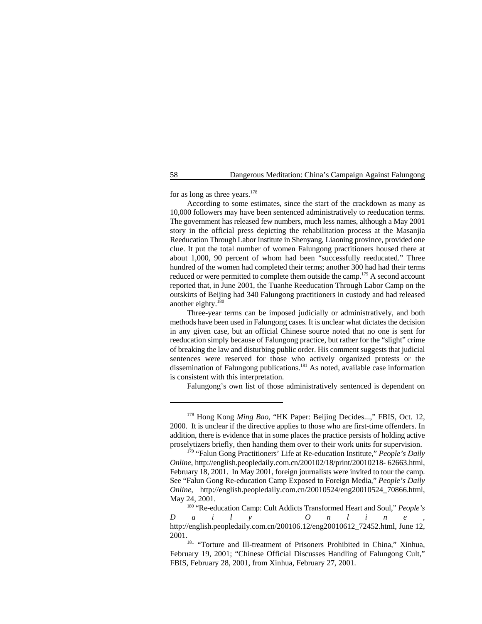for as long as three years. $178$ 

According to some estimates, since the start of the crackdown as many as 10,000 followers may have been sentenced administratively to reeducation terms. The government has released few numbers, much less names, although a May 2001 story in the official press depicting the rehabilitation process at the Masanjia Reeducation Through Labor Institute in Shenyang, Liaoning province, provided one clue. It put the total number of women Falungong practitioners housed there at about 1,000, 90 percent of whom had been "successfully reeducated." Three hundred of the women had completed their terms; another 300 had had their terms reduced or were permitted to complete them outside the camp.<sup>179</sup> A second account reported that, in June 2001, the Tuanhe Reeducation Through Labor Camp on the outskirts of Beijing had 340 Falungong practitioners in custody and had released another eighty.180

Three-year terms can be imposed judicially or administratively, and both methods have been used in Falungong cases. It is unclear what dictates the decision in any given case, but an official Chinese source noted that no one is sent for reeducation simply because of Falungong practice, but rather for the "slight" crime of breaking the law and disturbing public order. His comment suggests that judicial sentences were reserved for those who actively organized protests or the dissemination of Falungong publications.<sup>181</sup> As noted, available case information is consistent with this interpretation.

Falungong's own list of those administratively sentenced is dependent on

<sup>&</sup>lt;sup>178</sup> Hong Kong *Ming Bao*, "HK Paper: Beijing Decides...," FBIS, Oct. 12, 2000. It is unclear if the directive applies to those who are first-time offenders. In addition, there is evidence that in some places the practice persists of holding active proselytizers briefly, then handing them over to their work units for supervision.

<sup>&</sup>lt;sup>179</sup> "Falun Gong Practitioners' Life at Re-education Institute," *People's Daily Online*, http://english.peopledaily.com.cn/200102/18/print/20010218- 62663.html, February 18, 2001. In May 2001, foreign journalists were invited to tour the camp. See "Falun Gong Re-education Camp Exposed to Foreign Media," *People's Daily Online*, http://english.peopledaily.com.cn/20010524/eng20010524\_70866.html, May 24, 2001.

<sup>&</sup>lt;sup>180</sup> "Re-education Camp: Cult Addicts Transformed Heart and Soul," *People's Daily Online* , http://english.peopledaily.com.cn/200106.12/eng20010612\_72452.html, June 12, 2001.

<sup>&</sup>lt;sup>181</sup> "Torture and Ill-treatment of Prisoners Prohibited in China," Xinhua, February 19, 2001; "Chinese Official Discusses Handling of Falungong Cult," FBIS, February 28, 2001, from Xinhua, February 27, 2001.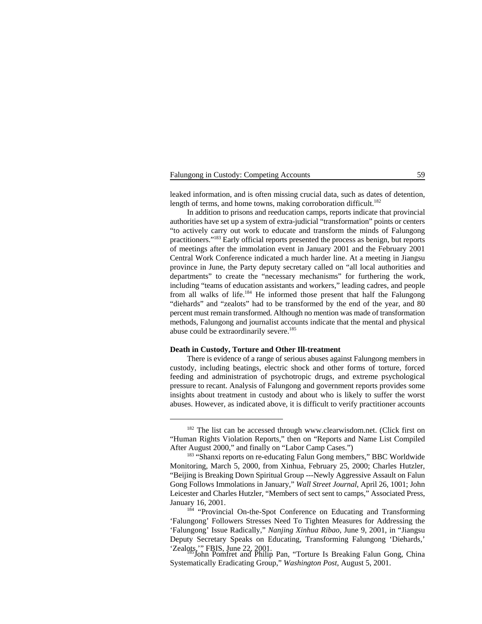### Falungong in Custody: Competing Accounts 59

leaked information, and is often missing crucial data, such as dates of detention, length of terms, and home towns, making corroboration difficult.<sup>182</sup>

In addition to prisons and reeducation camps, reports indicate that provincial authorities have set up a system of extra-judicial "transformation" points or centers "to actively carry out work to educate and transform the minds of Falungong practitioners."<sup>183</sup> Early official reports presented the process as benign, but reports of meetings after the immolation event in January 2001 and the February 2001 Central Work Conference indicated a much harder line. At a meeting in Jiangsu province in June, the Party deputy secretary called on "all local authorities and departments" to create the "necessary mechanisms" for furthering the work, including "teams of education assistants and workers," leading cadres, and people from all walks of life. $184$  He informed those present that half the Falungong "diehards" and "zealots" had to be transformed by the end of the year, and 80 percent must remain transformed. Although no mention was made of transformation methods, Falungong and journalist accounts indicate that the mental and physical abuse could be extraordinarily severe.<sup>185</sup>

### **Death in Custody, Torture and Other Ill-treatment**

There is evidence of a range of serious abuses against Falungong members in custody, including beatings, electric shock and other forms of torture, forced feeding and administration of psychotropic drugs, and extreme psychological pressure to recant. Analysis of Falungong and government reports provides some insights about treatment in custody and about who is likely to suffer the worst abuses. However, as indicated above, it is difficult to verify practitioner accounts

Systematically Eradicating Group," *Washington Post*, August 5, 2001.

 $182$  The list can be accessed through www.clearwisdom.net. (Click first on "Human Rights Violation Reports," then on "Reports and Name List Compiled After August 2000," and finally on "Labor Camp Cases.")

<sup>&</sup>lt;sup>183</sup> "Shanxi reports on re-educating Falun Gong members," BBC Worldwide Monitoring, March 5, 2000, from Xinhua, February 25, 2000; Charles Hutzler, "Beijing is Breaking Down Spiritual Group ---Newly Aggressive Assault on Falun Gong Follows Immolations in January," *Wall Street Journal*, April 26, 1001; John Leicester and Charles Hutzler, "Members of sect sent to camps," Associated Press, January 16, 2001.

<sup>&</sup>lt;sup>184</sup> "Provincial On-the-Spot Conference on Educating and Transforming 'Falungong' Followers Stresses Need To Tighten Measures for Addressing the 'Falungong' Issue Radically," *Nanjing Xinhua Ribao*, June 9, 2001, in "Jiangsu Deputy Secretary Speaks on Educating, Transforming Falungong 'Diehards,' 'Zealots,'" FBIS, June 22, 2001.<br><sup>185</sup>John Pomfret and Philip Pan, "Torture Is Breaking Falun Gong, China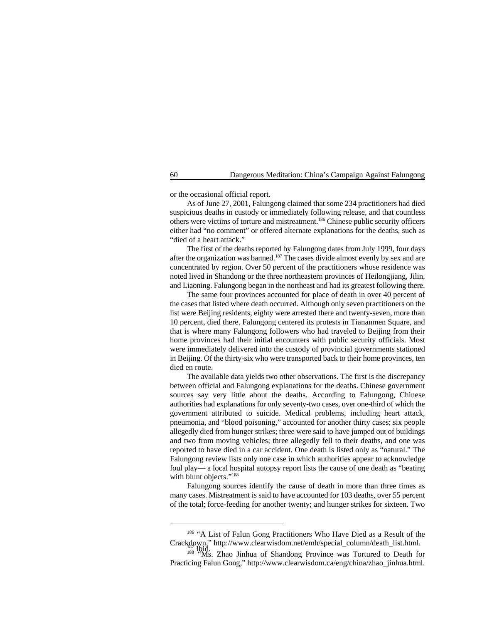or the occasional official report.

As of June 27, 2001, Falungong claimed that some 234 practitioners had died suspicious deaths in custody or immediately following release, and that countless others were victims of torture and mistreatment.<sup>186</sup> Chinese public security officers either had "no comment" or offered alternate explanations for the deaths, such as "died of a heart attack."

The first of the deaths reported by Falungong dates from July 1999, four days after the organization was banned.<sup>187</sup> The cases divide almost evenly by sex and are concentrated by region. Over 50 percent of the practitioners whose residence was noted lived in Shandong or the three northeastern provinces of Heilongjiang, Jilin, and Liaoning. Falungong began in the northeast and had its greatest following there.

The same four provinces accounted for place of death in over 40 percent of the cases that listed where death occurred. Although only seven practitioners on the list were Beijing residents, eighty were arrested there and twenty-seven, more than 10 percent, died there. Falungong centered its protests in Tiananmen Square, and that is where many Falungong followers who had traveled to Beijing from their home provinces had their initial encounters with public security officials. Most were immediately delivered into the custody of provincial governments stationed in Beijing. Of the thirty-six who were transported back to their home provinces, ten died en route.

The available data yields two other observations. The first is the discrepancy between official and Falungong explanations for the deaths. Chinese government sources say very little about the deaths. According to Falungong, Chinese authorities had explanations for only seventy-two cases, over one-third of which the government attributed to suicide. Medical problems, including heart attack, pneumonia, and "blood poisoning," accounted for another thirty cases; six people allegedly died from hunger strikes; three were said to have jumped out of buildings and two from moving vehicles; three allegedly fell to their deaths, and one was reported to have died in a car accident. One death is listed only as "natural." The Falungong review lists only one case in which authorities appear to acknowledge foul play— a local hospital autopsy report lists the cause of one death as "beating with blunt objects."<sup>188</sup>

Falungong sources identify the cause of death in more than three times as many cases. Mistreatment is said to have accounted for 103 deaths, over 55 percent of the total; force-feeding for another twenty; and hunger strikes for sixteen. Two

 $^{186}$  "A List of Falun Gong Practitioners Who Have Died as a Result of the Crackdown," http://www.clearwisdom.net/emh/special\_column/death\_list.html. Crackdown," http://www.clearwisdom.net/emh/special\_column/death\_list.html.<br><sup>188</sup> <sup>Ibid.</sup> Ms. Zhao Jinhua of Shandong Province was Tortured to Death for

Practicing Falun Gong," http://www.clearwisdom.ca/eng/china/zhao\_jinhua.html.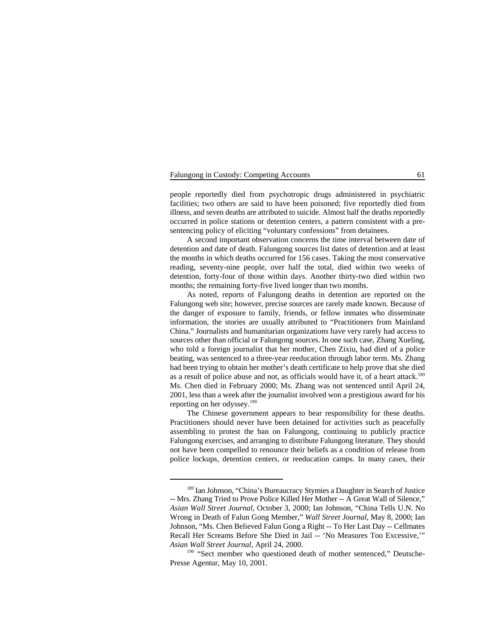### Falungong in Custody: Competing Accounts 61

people reportedly died from psychotropic drugs administered in psychiatric facilities; two others are said to have been poisoned; five reportedly died from illness, and seven deaths are attributed to suicide. Almost half the deaths reportedly occurred in police stations or detention centers, a pattern consistent with a presentencing policy of eliciting "voluntary confessions" from detainees.

A second important observation concerns the time interval between date of detention and date of death. Falungong sources list dates of detention and at least the months in which deaths occurred for 156 cases. Taking the most conservative reading, seventy-nine people, over half the total, died within two weeks of detention, forty-four of those within days. Another thirty-two died within two months; the remaining forty-five lived longer than two months.

As noted, reports of Falungong deaths in detention are reported on the Falungong web site; however, precise sources are rarely made known. Because of the danger of exposure to family, friends, or fellow inmates who disseminate information, the stories are usually attributed to "Practitioners from Mainland China." Journalists and humanitarian organizations have very rarely had access to sources other than official or Falungong sources. In one such case, Zhang Xueling, who told a foreign journalist that her mother, Chen Zixiu, had died of a police beating, was sentenced to a three-year reeducation through labor term. Ms. Zhang had been trying to obtain her mother's death certificate to help prove that she died as a result of police abuse and not, as officials would have it, of a heart attack.<sup>189</sup> Ms. Chen died in February 2000; Ms. Zhang was not sentenced until April 24, 2001, less than a week after the journalist involved won a prestigious award for his reporting on her odyssey.190

The Chinese government appears to bear responsibility for these deaths. Practitioners should never have been detained for activities such as peacefully assembling to protest the ban on Falungong, continuing to publicly practice Falungong exercises, and arranging to distribute Falungong literature. They should not have been compelled to renounce their beliefs as a condition of release from police lockups, detention centers, or reeducation camps. In many cases, their

<sup>&</sup>lt;sup>189</sup> Ian Johnson, "China's Bureaucracy Stymies a Daughter in Search of Justice -- Mrs. Zhang Tried to Prove Police Killed Her Mother -- A Great Wall of Silence," *Asian Wall Street Journal*, October 3, 2000; Ian Johnson, "China Tells U.N. No Wrong in Death of Falun Gong Member," *Wall Street Journal*, May 8, 2000; Ian Johnson, "Ms. Chen Believed Falun Gong a Right -- To Her Last Day -- Cellmates Recall Her Screams Before She Died in Jail -- 'No Measures Too Excessive,'" *Asian Wall Street Journal*, April 24, 2000.

<sup>&</sup>lt;sup>190</sup> "Sect member who questioned death of mother sentenced," Deutsche-Presse Agentur, May 10, 2001.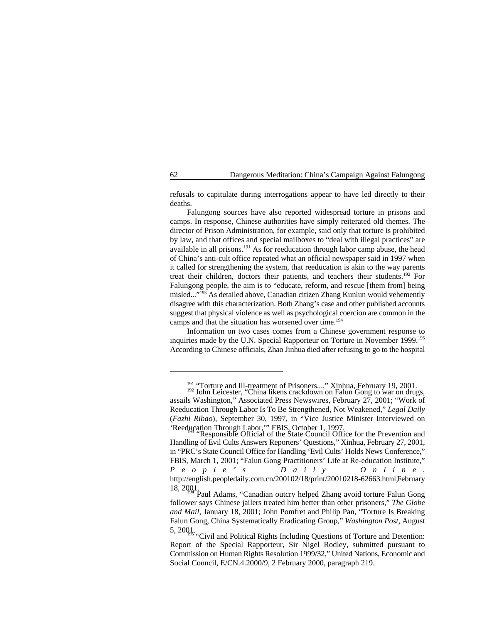refusals to capitulate during interrogations appear to have led directly to their deaths.

Falungong sources have also reported widespread torture in prisons and camps. In response, Chinese authorities have simply reiterated old themes. The director of Prison Administration, for example, said only that torture is prohibited by law, and that offices and special mailboxes to "deal with illegal practices" are available in all prisons. $^{191}$  As for reeducation through labor camp abuse, the head of China's anti-cult office repeated what an official newspaper said in 1997 when it called for strengthening the system, that reeducation is akin to the way parents treat their children, doctors their patients, and teachers their students.<sup>192</sup> For Falungong people, the aim is to "educate, reform, and rescue [them from] being misled..."<sup>193</sup> As detailed above, Canadian citizen Zhang Kunlun would vehemently disagree with this characterization. Both Zhang's case and other published accounts suggest that physical violence as well as psychological coercion are common in the camps and that the situation has worsened over time.<sup>194</sup>

Information on two cases comes from a Chinese government response to inquiries made by the U.N. Special Rapporteur on Torture in November 1999.<sup>195</sup> According to Chinese officials, Zhao Jinhua died after refusing to go to the hospital

<sup>&</sup>lt;sup>191</sup> "Torture and Ill-treatment of Prisoners...," Xinhua, February 19, 2001.<br><sup>192</sup> John Leicester, "China likens crackdown on Falun Gong to war on drugs,

assails Washington," Associated Press Newswires, February 27, 2001; "Work of Reeducation Through Labor Is To Be Strengthened, Not Weakened," *Legal Daily* (*Fazhi Ribao*), September 30, 1997, in "Vice Justice Minister Interviewed on 'Reeducation Through Labor,'" FBIS, October 1, 1997.<br>"Responsible Official of the State Council Office for the Prevention and

Handling of Evil Cults Answers Reporters' Questions," Xinhua, February 27, 2001, in "PRC's State Council Office for Handling 'Evil Cults' Holds News Conference," FBIS, March 1, 2001; "Falun Gong Practitioners' Life at Re-education Institute," *People's Daily Online* , http://english.peopledaily.com.cn/200102/18/print/20010218-62663.html, February

<sup>18, 2001.</sup> Paul Adams, "Canadian outcry helped Zhang avoid torture Falun Gong". Paul Adams, "Canadian outcry helped Zhang avoid torture Falun Gong". follower says Chinese jailers treated him better than other prisoners," *The Globe and Mail*, January 18, 2001; John Pomfret and Philip Pan, "Torture Is Breaking Falun Gong, China Systematically Eradicating Group," *Washington Post*, August

<sup>5, 2001. &</sup>quot;Civil and Political Rights Including Questions of Torture and Detention: Report of the Special Rapporteur, Sir Nigel Rodley, submitted pursuant to Commission on Human Rights Resolution 1999/32," United Nations, Economic and Social Council, E/CN.4.2000/9, 2 February 2000, paragraph 219.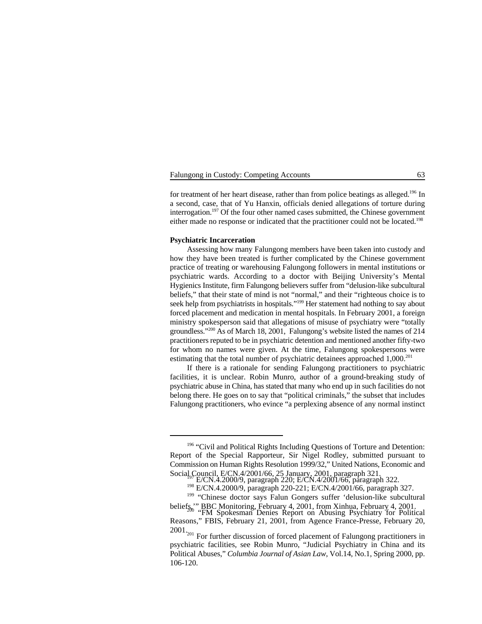|  | Falungong in Custody: Competing Accounts |  |
|--|------------------------------------------|--|
|  |                                          |  |

for treatment of her heart disease, rather than from police beatings as alleged.<sup>196</sup> In a second, case, that of Yu Hanxin, officials denied allegations of torture during interrogation.<sup>197</sup> Of the four other named cases submitted, the Chinese government either made no response or indicated that the practitioner could not be located.<sup>198</sup>

### **Psychiatric Incarceration**

Assessing how many Falungong members have been taken into custody and how they have been treated is further complicated by the Chinese government practice of treating or warehousing Falungong followers in mental institutions or psychiatric wards. According to a doctor with Beijing University's Mental Hygienics Institute, firm Falungong believers suffer from "delusion-like subcultural beliefs," that their state of mind is not "normal," and their "righteous choice is to seek help from psychiatrists in hospitals."<sup>199</sup> Her statement had nothing to say about forced placement and medication in mental hospitals. In February 2001, a foreign ministry spokesperson said that allegations of misuse of psychiatry were "totally groundless." $200$  As of March 18, 2001, Falungong's website listed the names of 214 practitioners reputed to be in psychiatric detention and mentioned another fifty-two for whom no names were given. At the time, Falungong spokespersons were estimating that the total number of psychiatric detainees approached 1,000.<sup>201</sup>

If there is a rationale for sending Falungong practitioners to psychiatric facilities, it is unclear. Robin Munro, author of a ground-breaking study of psychiatric abuse in China, has stated that many who end up in such facilities do not belong there. He goes on to say that "political criminals," the subset that includes Falungong practitioners, who evince "a perplexing absence of any normal instinct

<sup>&</sup>lt;sup>196</sup> "Civil and Political Rights Including Questions of Torture and Detention: Report of the Special Rapporteur, Sir Nigel Rodley, submitted pursuant to Commission on Human Rights Resolution 1999/32," United Nations, Economic and

Social Council, E/CN.4/2001/66, 25 January, 2001, paragraph 321.<br>E/CN.4.2000/9, paragraph 220; E/CN.4/2001/66, paragraph 322.

<sup>&</sup>lt;sup>198</sup> E/CN.4.2000/9, paragraph 220-221; E/CN.4/2001/66, paragraph 327.

<sup>&</sup>lt;sup>199</sup> "Chinese doctor says Falun Gongers suffer 'delusion-like subcultural beliefs," BBC Monitoring, February 4, 2001, from Xinhua, February 4, 2001.<br>"FM Spokesman Denies Report on Abusing Psychiatry for Political

Reasons," FBIS, February 21, 2001, from Agence France-Presse, February 20,

 $2001<sub>201</sub>$  For further discussion of forced placement of Falungong practitioners in psychiatric facilities, see Robin Munro, "Judicial Psychiatry in China and its Political Abuses," *Columbia Journal of Asian Law*, Vol.14, No.1, Spring 2000, pp. 106-120.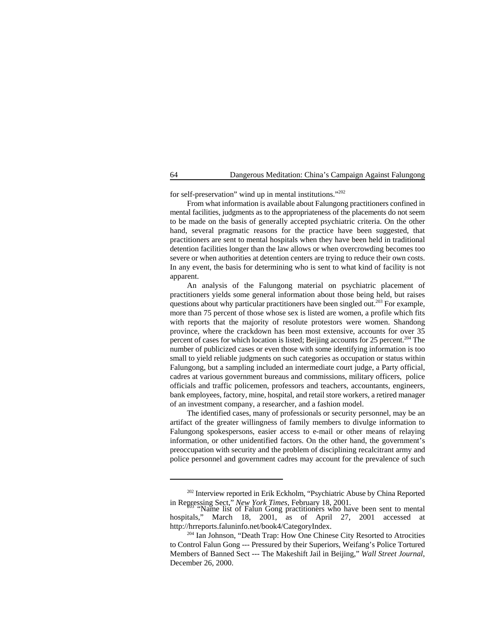for self-preservation" wind up in mental institutions."<sup>202</sup>

From what information is available about Falungong practitioners confined in mental facilities, judgments as to the appropriateness of the placements do not seem to be made on the basis of generally accepted psychiatric criteria. On the other hand, several pragmatic reasons for the practice have been suggested, that practitioners are sent to mental hospitals when they have been held in traditional detention facilities longer than the law allows or when overcrowding becomes too severe or when authorities at detention centers are trying to reduce their own costs. In any event, the basis for determining who is sent to what kind of facility is not apparent.

An analysis of the Falungong material on psychiatric placement of practitioners yields some general information about those being held, but raises questions about why particular practitioners have been singled out.<sup>203</sup> For example, more than 75 percent of those whose sex is listed are women, a profile which fits with reports that the majority of resolute protestors were women. Shandong province, where the crackdown has been most extensive, accounts for over 35 percent of cases for which location is listed; Beijing accounts for  $25$  percent.<sup>204</sup> The number of publicized cases or even those with some identifying information is too small to yield reliable judgments on such categories as occupation or status within Falungong, but a sampling included an intermediate court judge, a Party official, cadres at various government bureaus and commissions, military officers, police officials and traffic policemen, professors and teachers, accountants, engineers, bank employees, factory, mine, hospital, and retail store workers, a retired manager of an investment company, a researcher, and a fashion model.

The identified cases, many of professionals or security personnel, may be an artifact of the greater willingness of family members to divulge information to Falungong spokespersons, easier access to e-mail or other means of relaying information, or other unidentified factors. On the other hand, the government's preoccupation with security and the problem of disciplining recalcitrant army and police personnel and government cadres may account for the prevalence of such

<sup>&</sup>lt;sup>202</sup> Interview reported in Erik Eckholm, "Psychiatric Abuse by China Reported in Repressing Sect," *New York Times*, February 18, 2001.<br>"Name list of Falun Gong practitioners who have been sent to mental

hospitals," March 18, 2001, as of April 27, 2001 accessed at http://hrreports.faluninfo.net/book4/CategoryIndex.

 $204$  Ian Johnson, "Death Trap: How One Chinese City Resorted to Atrocities to Control Falun Gong --- Pressured by their Superiors, Weifang's Police Tortured Members of Banned Sect --- The Makeshift Jail in Beijing," *Wall Street Journal*, December 26, 2000.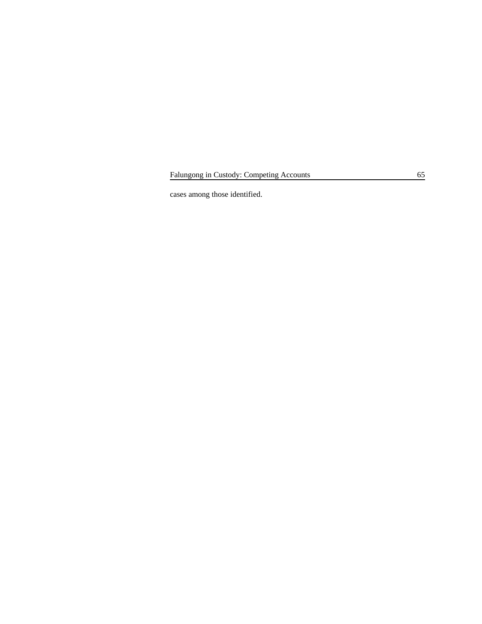Falungong in Custody: Competing Accounts 65

cases among those identified.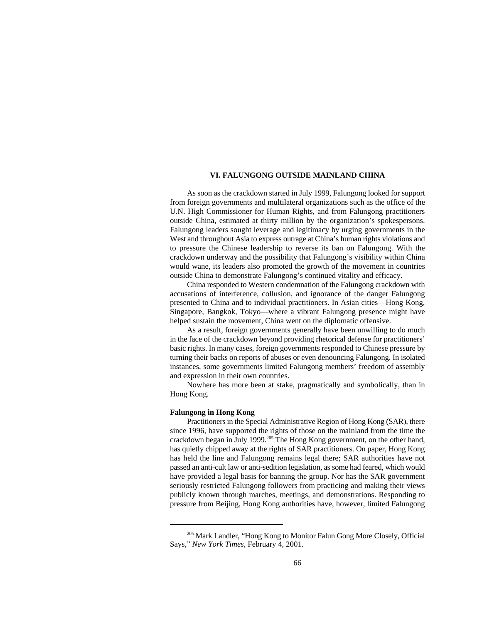## **VI. FALUNGONG OUTSIDE MAINLAND CHINA**

As soon as the crackdown started in July 1999, Falungong looked for support from foreign governments and multilateral organizations such as the office of the U.N. High Commissioner for Human Rights, and from Falungong practitioners outside China, estimated at thirty million by the organization's spokespersons. Falungong leaders sought leverage and legitimacy by urging governments in the West and throughout Asia to express outrage at China's human rights violations and to pressure the Chinese leadership to reverse its ban on Falungong. With the crackdown underway and the possibility that Falungong's visibility within China would wane, its leaders also promoted the growth of the movement in countries outside China to demonstrate Falungong's continued vitality and efficacy.

China responded to Western condemnation of the Falungong crackdown with accusations of interference, collusion, and ignorance of the danger Falungong presented to China and to individual practitioners. In Asian cities—Hong Kong, Singapore, Bangkok, Tokyo—where a vibrant Falungong presence might have helped sustain the movement, China went on the diplomatic offensive.

As a result, foreign governments generally have been unwilling to do much in the face of the crackdown beyond providing rhetorical defense for practitioners' basic rights. In many cases, foreign governments responded to Chinese pressure by turning their backs on reports of abuses or even denouncing Falungong. In isolated instances, some governments limited Falungong members' freedom of assembly and expression in their own countries.

Nowhere has more been at stake, pragmatically and symbolically, than in Hong Kong.

### **Falungong in Hong Kong**

Practitioners in the Special Administrative Region of Hong Kong (SAR), there since 1996, have supported the rights of those on the mainland from the time the crackdown began in July 1999.<sup>205</sup> The Hong Kong government, on the other hand, has quietly chipped away at the rights of SAR practitioners. On paper, Hong Kong has held the line and Falungong remains legal there; SAR authorities have not passed an anti-cult law or anti-sedition legislation, as some had feared, which would have provided a legal basis for banning the group. Nor has the SAR government seriously restricted Falungong followers from practicing and making their views publicly known through marches, meetings, and demonstrations. Responding to pressure from Beijing, Hong Kong authorities have, however, limited Falungong

<sup>&</sup>lt;sup>205</sup> Mark Landler, "Hong Kong to Monitor Falun Gong More Closely, Official Says," *New York Times*, February 4, 2001.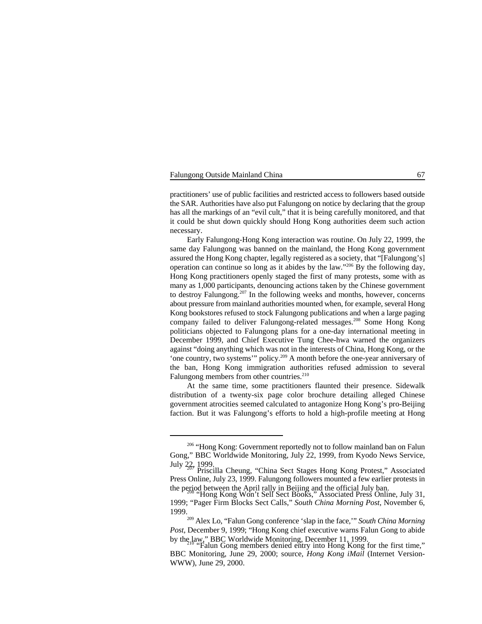practitioners' use of public facilities and restricted access to followers based outside the SAR. Authorities have also put Falungong on notice by declaring that the group has all the markings of an "evil cult," that it is being carefully monitored, and that it could be shut down quickly should Hong Kong authorities deem such action necessary.

Early Falungong-Hong Kong interaction was routine. On July 22, 1999, the same day Falungong was banned on the mainland, the Hong Kong government assured the Hong Kong chapter, legally registered as a society, that "[Falungong's] operation can continue so long as it abides by the law."<sup>206</sup> By the following day, Hong Kong practitioners openly staged the first of many protests, some with as many as 1,000 participants, denouncing actions taken by the Chinese government to destroy Falungong.<sup>207</sup> In the following weeks and months, however, concerns about pressure from mainland authorities mounted when, for example, several Hong Kong bookstores refused to stock Falungong publications and when a large paging company failed to deliver Falungong-related messages.<sup>208</sup> Some Hong Kong politicians objected to Falungong plans for a one-day international meeting in December 1999, and Chief Executive Tung Chee-hwa warned the organizers against "doing anything which was not in the interests of China, Hong Kong, or the 'one country, two systems'" policy.<sup>209</sup> A month before the one-year anniversary of the ban, Hong Kong immigration authorities refused admission to several Falungong members from other countries.<sup>210</sup>

At the same time, some practitioners flaunted their presence. Sidewalk distribution of a twenty-six page color brochure detailing alleged Chinese government atrocities seemed calculated to antagonize Hong Kong's pro-Beijing faction. But it was Falungong's efforts to hold a high-profile meeting at Hong

<sup>&</sup>lt;sup>206</sup> "Hong Kong: Government reportedly not to follow mainland ban on Falun Gong," BBC Worldwide Monitoring, July 22, 1999, from Kyodo News Service,

July 22, 1999.<br>Priscilla Cheung, "China Sect Stages Hong Kong Protest," Associated 207 Press Online, July 23, 1999. Falungong followers mounted a few earlier protests in the period between the April rally in Beijing and the official July ban.<br>"Hong Kong Won't Sell Sect Books," Associated Press Online, July 31,

<sup>1999; &</sup>quot;Pager Firm Blocks Sect Calls," *South China Morning Post*, November 6, 1999.

<sup>&</sup>lt;sup>209</sup> Alex Lo, "Falun Gong conference 'slap in the face," *South China Morning Post*, December 9, 1999; "Hong Kong chief executive warns Falun Gong to abide by the law," BBC Worldwide Monitoring, December 11, 1999.<br>"Falun Gong members denied entry into Hong Kong for the first time,"

BBC Monitoring, June 29, 2000; source, *Hong Kong iMail* (Internet Version-WWW), June 29, 2000.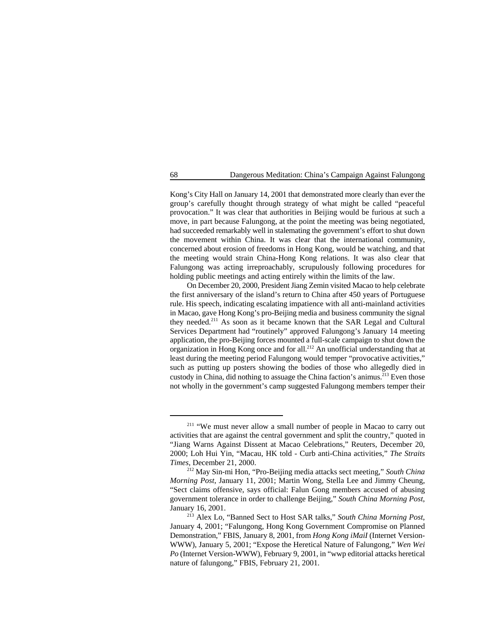Kong's City Hall on January 14, 2001 that demonstrated more clearly than ever the group's carefully thought through strategy of what might be called "peaceful provocation." It was clear that authorities in Beijing would be furious at such a move, in part because Falungong, at the point the meeting was being negotiated, had succeeded remarkably well in stalemating the government's effort to shut down the movement within China. It was clear that the international community, concerned about erosion of freedoms in Hong Kong, would be watching, and that the meeting would strain China-Hong Kong relations. It was also clear that Falungong was acting irreproachably, scrupulously following procedures for holding public meetings and acting entirely within the limits of the law.

On December 20, 2000, President Jiang Zemin visited Macao to help celebrate the first anniversary of the island's return to China after 450 years of Portuguese rule. His speech, indicating escalating impatience with all anti-mainland activities in Macao, gave Hong Kong's pro-Beijing media and business community the signal they needed.<sup>211</sup> As soon as it became known that the SAR Legal and Cultural Services Department had "routinely" approved Falungong's January 14 meeting application, the pro-Beijing forces mounted a full-scale campaign to shut down the organization in Hong Kong once and for all.<sup>212</sup> An unofficial understanding that at least during the meeting period Falungong would temper "provocative activities," such as putting up posters showing the bodies of those who allegedly died in custody in China, did nothing to assuage the China faction's animus.<sup>213</sup> Even those not wholly in the government's camp suggested Falungong members temper their

 $211$  "We must never allow a small number of people in Macao to carry out activities that are against the central government and split the country," quoted in "Jiang Warns Against Dissent at Macao Celebrations," Reuters, December 20, 2000; Loh Hui Yin, "Macau, HK told - Curb anti-China activities," *The Straits Times*, December 21, 2000.

<sup>&</sup>lt;sup>212</sup> May Sin-mi Hon, "Pro-Beijing media attacks sect meeting," *South China Morning Post*, January 11, 2001; Martin Wong, Stella Lee and Jimmy Cheung, "Sect claims offensive, says official: Falun Gong members accused of abusing government tolerance in order to challenge Beijing," *South China Morning Post*, January 16, 2001.

<sup>&</sup>lt;sup>213</sup> Alex Lo, "Banned Sect to Host SAR talks," *South China Morning Post*, January 4, 2001; "Falungong, Hong Kong Government Compromise on Planned Demonstration," FBIS, January 8, 2001, from *Hong Kong iMaiI* (Internet Version-WWW), January 5, 2001; "Expose the Heretical Nature of Falungong," *Wen Wei Po* (Internet Version-WWW), February 9, 2001, in "wwp editorial attacks heretical nature of falungong," FBIS, February 21, 2001.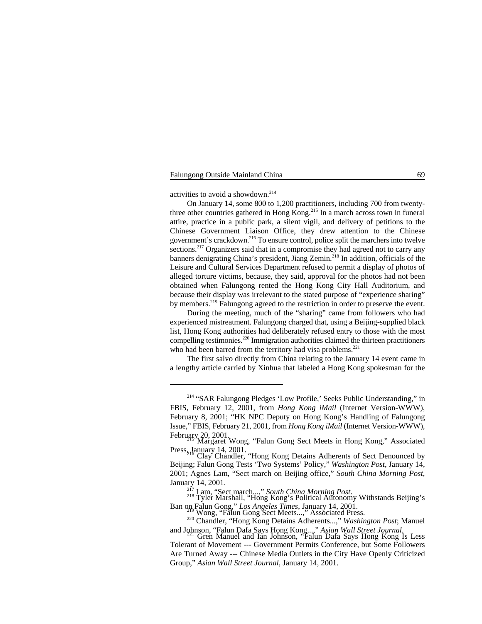activities to avoid a showdown.<sup>214</sup>

On January 14, some 800 to 1,200 practitioners, including 700 from twentythree other countries gathered in Hong Kong.<sup>215</sup> In a march across town in funeral attire, practice in a public park, a silent vigil, and delivery of petitions to the Chinese Government Liaison Office, they drew attention to the Chinese government's crackdown.<sup>216</sup> To ensure control, police split the marchers into twelve  $\frac{1}{2}$  sections.<sup>217</sup> Organizers said that in a compromise they had agreed not to carry any banners denigrating China's president, Jiang Zemin.<sup>218</sup> In addition, officials of the Leisure and Cultural Services Department refused to permit a display of photos of alleged torture victims, because, they said, approval for the photos had not been obtained when Falungong rented the Hong Kong City Hall Auditorium, and because their display was irrelevant to the stated purpose of "experience sharing" by members.<sup>219</sup> Falungong agreed to the restriction in order to preserve the event.

During the meeting, much of the "sharing" came from followers who had experienced mistreatment. Falungong charged that, using a Beijing-supplied black list, Hong Kong authorities had deliberately refused entry to those with the most compelling testimonies. $220$  Immigration authorities claimed the thirteen practitioners who had been barred from the territory had visa problems. $^{221}$ 

The first salvo directly from China relating to the January 14 event came in a lengthy article carried by Xinhua that labeled a Hong Kong spokesman for the

<sup>&</sup>lt;sup>214</sup> "SAR Falungong Pledges 'Low Profile,' Seeks Public Understanding," in FBIS, February 12, 2001, from *Hong Kong iMail* (Internet Version-WWW), February 8, 2001; "HK NPC Deputy on Hong Kong's Handling of Falungong Issue," FBIS, February 21, 2001, from *Hong Kong iMail* (Internet Version-WWW), February 20, 2001. Margaret Wong, "Falun Gong Sect Meets in Hong Kong," Associated

Press, January 14, 2001.<br>Clay Chandler, "Hong Kong Detains Adherents of Sect Denounced by

Beijing; Falun Gong Tests 'Two Systems' Policy," *Washington Post*, January 14, 2001; Agnes Lam, "Sect march on Beijing office," *South China Morning Post*, January 14, 2001.

<sup>&</sup>lt;sup>217</sup> Lam, "Sect march...," *South China Morning Post*.<br><sup>218</sup> Tyler Marshall, "Hong Kong's Political Autonomy Withstands Beijing's Ban on Falun Gong," *Los Angeles Times*, January 14, 2001.<br><sup>219</sup> Wong, "Falun Gong Sect Meets...," Associated Press.

<sup>&</sup>lt;sup>220</sup> Chandler, "Hong Kong Detains Adherents...," *Washington Post*; Manuel and Johnson, "Falun Dafa Says Hong Kong...," *Asian Wall Street Journal*. Gren Manuel and Ian Johnson, "Falun Dafa Says Hong Kong Is Less <sup>221</sup>

Tolerant of Movement --- Government Permits Conference, but Some Followers Are Turned Away --- Chinese Media Outlets in the City Have Openly Criticized Group," *Asian Wall Street Journal*, January 14, 2001.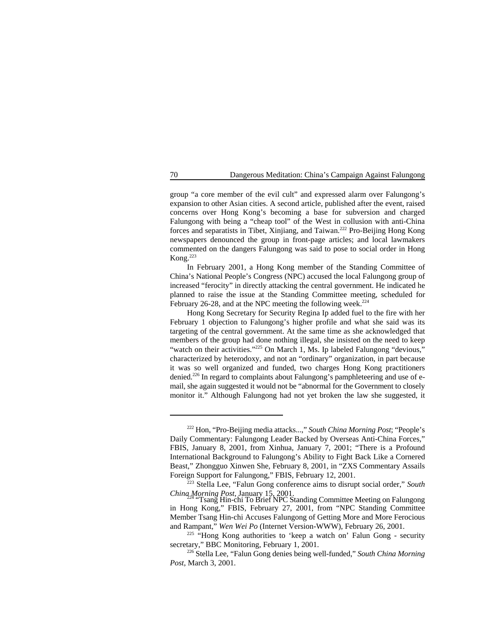group "a core member of the evil cult" and expressed alarm over Falungong's expansion to other Asian cities. A second article, published after the event, raised concerns over Hong Kong's becoming a base for subversion and charged Falungong with being a "cheap tool" of the West in collusion with anti-China forces and separatists in Tibet, Xinjiang, and Taiwan.<sup>222</sup> Pro-Beijing Hong Kong newspapers denounced the group in front-page articles; and local lawmakers commented on the dangers Falungong was said to pose to social order in Hong Kong.223

In February 2001, a Hong Kong member of the Standing Committee of China's National People's Congress (NPC) accused the local Falungong group of increased "ferocity" in directly attacking the central government. He indicated he planned to raise the issue at the Standing Committee meeting, scheduled for February 26-28, and at the NPC meeting the following week. $^{224}$ 

Hong Kong Secretary for Security Regina Ip added fuel to the fire with her February 1 objection to Falungong's higher profile and what she said was its targeting of the central government. At the same time as she acknowledged that members of the group had done nothing illegal, she insisted on the need to keep "watch on their activities."<sup>225</sup> On March 1, Ms. Ip labeled Falungong "devious," characterized by heterodoxy, and not an "ordinary" organization, in part because it was so well organized and funded, two charges Hong Kong practitioners denied.<sup>226</sup> In regard to complaints about Falungong's pamphleteering and use of email, she again suggested it would not be "abnormal for the Government to closely monitor it." Although Falungong had not yet broken the law she suggested, it

<sup>&</sup>lt;sup>222</sup> Hon, "Pro-Beijing media attacks...," *South China Morning Post*; "People's Daily Commentary: Falungong Leader Backed by Overseas Anti-China Forces," FBIS, January 8, 2001, from Xinhua, January 7, 2001; "There is a Profound International Background to Falungong's Ability to Fight Back Like a Cornered Beast," Zhongguo Xinwen She, February 8, 2001, in "ZXS Commentary Assails Foreign Support for Falungong," FBIS, February 12, 2001.

<sup>&</sup>lt;sup>223</sup> Stella Lee, "Falun Gong conference aims to disrupt social order," *South* 

*China Morning Post*, January 15, 2001.<br>"Tsang Hin-chi To Brief NPC Standing Committee Meeting on Falungong in Hong Kong," FBIS, February 27, 2001, from "NPC Standing Committee Member Tsang Hin-chi Accuses Falungong of Getting More and More Ferocious and Rampant," *Wen Wei Po* (Internet Version-WWW), February 26, 2001.

<sup>&</sup>lt;sup>225</sup> "Hong Kong authorities to 'keep a watch on' Falun Gong - security secretary," BBC Monitoring, February 1, 2001.

<sup>&</sup>lt;sup>226</sup> Stella Lee, "Falun Gong denies being well-funded," South China Morning *Post*, March 3, 2001.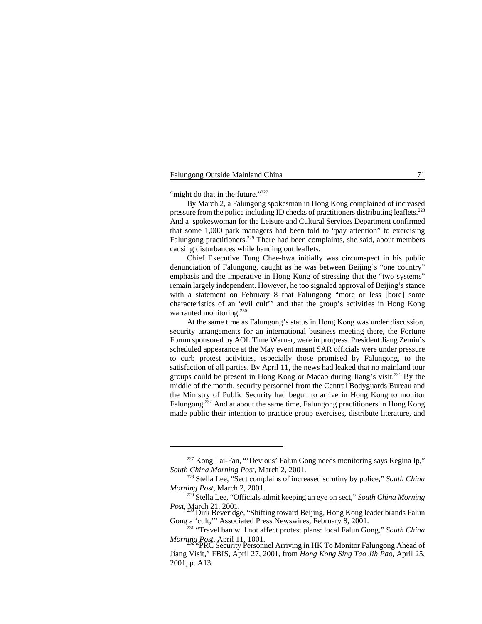"might do that in the future." $227$ 

By March 2, a Falungong spokesman in Hong Kong complained of increased pressure from the police including ID checks of practitioners distributing leaflets.<sup>228</sup> And a spokeswoman for the Leisure and Cultural Services Department confirmed that some 1,000 park managers had been told to "pay attention" to exercising Falungong practitioners.<sup>229</sup> There had been complaints, she said, about members causing disturbances while handing out leaflets.

Chief Executive Tung Chee-hwa initially was circumspect in his public denunciation of Falungong, caught as he was between Beijing's "one country" emphasis and the imperative in Hong Kong of stressing that the "two systems" remain largely independent. However, he too signaled approval of Beijing's stance with a statement on February 8 that Falungong "more or less [bore] some characteristics of an 'evil cult'" and that the group's activities in Hong Kong warranted monitoring.<sup>230</sup>

At the same time as Falungong's status in Hong Kong was under discussion, security arrangements for an international business meeting there, the Fortune Forum sponsored by AOL Time Warner, were in progress. President Jiang Zemin's scheduled appearance at the May event meant SAR officials were under pressure to curb protest activities, especially those promised by Falungong, to the satisfaction of all parties. By April 11, the news had leaked that no mainland tour groups could be present in Hong Kong or Macao during Jiang's visit.<sup>231</sup> By the middle of the month, security personnel from the Central Bodyguards Bureau and the Ministry of Public Security had begun to arrive in Hong Kong to monitor Falungong.<sup>232</sup> And at about the same time, Falungong practitioners in Hong Kong made public their intention to practice group exercises, distribute literature, and

 $227$  Kong Lai-Fan, "'Devious' Falun Gong needs monitoring says Regina Ip," *South China Morning Post*, March 2, 2001.

<sup>&</sup>lt;sup>228</sup> Stella Lee, "Sect complains of increased scrutiny by police," *South China Morning Post*, March 2, 2001.

<sup>&</sup>lt;sup>229</sup> Stella Lee, "Officials admit keeping an eye on sect," *South China Morning Post*, March 21, 2001. **Dirk Beveridge, "Shifting toward Beijing, Hong Kong leader brands Falun 230** 

Gong a 'cult,'" Associated Press Newswires, February 8, 2001.

<sup>&</sup>lt;sup>231</sup> "Travel ban will not affect protest plans: local Falun Gong," *South China Morning Post*, April 11, 1001.<br>"PRC Security Personnel Arriving in HK To Monitor Falungong Ahead of

Jiang Visit," FBIS, April 27, 2001, from *Hong Kong Sing Tao Jih Pao*, April 25, 2001, p. A13.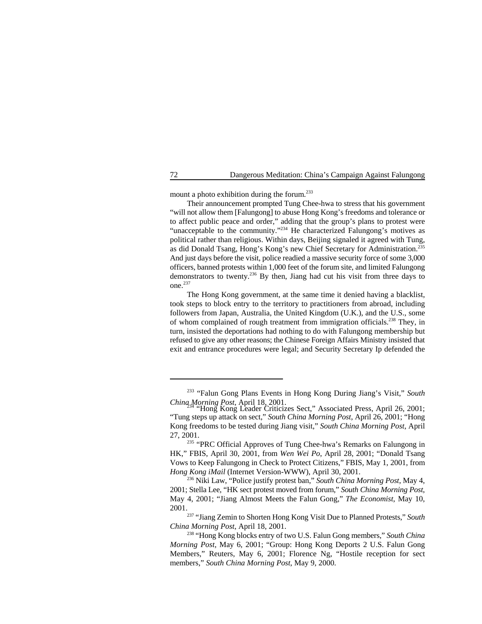mount a photo exhibition during the forum.<sup>233</sup>

Their announcement prompted Tung Chee-hwa to stress that his government "will not allow them [Falungong] to abuse Hong Kong's freedoms and tolerance or to affect public peace and order," adding that the group's plans to protest were "unacceptable to the community."<sup>234</sup> He characterized Falungong's motives as political rather than religious. Within days, Beijing signaled it agreed with Tung, as did Donald Tsang, Hong's Kong's new Chief Secretary for Administration.235 And just days before the visit, police readied a massive security force of some 3,000 officers, banned protests within 1,000 feet of the forum site, and limited Falungong demonstrators to twenty.<sup>236</sup> By then, Jiang had cut his visit from three days to one.<sup>237</sup>

The Hong Kong government, at the same time it denied having a blacklist, took steps to block entry to the territory to practitioners from abroad, including followers from Japan, Australia, the United Kingdom (U.K.), and the U.S., some of whom complained of rough treatment from immigration officials.<sup>238</sup> They, in turn, insisted the deportations had nothing to do with Falungong membership but refused to give any other reasons; the Chinese Foreign Affairs Ministry insisted that exit and entrance procedures were legal; and Security Secretary Ip defended the

<sup>&</sup>lt;sup>233</sup> "Falun Gong Plans Events in Hong Kong During Jiang's Visit," *South China, Morning Post*, April 18, 2001.

*Hong Kong Leader Criticizes Sect," Associated Press, April 26, 2001;* "Tung steps up attack on sect," *South China Morning Post*, April 26, 2001; "Hong Kong freedoms to be tested during Jiang visit," *South China Morning Post*, April 27, 2001.

<sup>&</sup>lt;sup>235</sup> "PRC Official Approves of Tung Chee-hwa's Remarks on Falungong in HK," FBIS, April 30, 2001, from *Wen Wei Po*, April 28, 2001; "Donald Tsang Vows to Keep Falungong in Check to Protect Citizens," FBIS, May 1, 2001, from *Hong Kong iMail* (Internet Version-WWW), April 30, 2001.

<sup>&</sup>lt;sup>236</sup> Niki Law, "Police justify protest ban," *South China Morning Post*, May 4, 2001; Stella Lee, "HK sect protest moved from forum," *South China Morning Post*, May 4, 2001; "Jiang Almost Meets the Falun Gong," *The Economist*, May 10, 2001.

<sup>&</sup>lt;sup>237</sup> "Jiang Zemin to Shorten Hong Kong Visit Due to Planned Protests," South *China Morning Post*, April 18, 2001.

<sup>&</sup>lt;sup>238</sup> "Hong Kong blocks entry of two U.S. Falun Gong members," South China *Morning Post*, May 6, 2001; "Group: Hong Kong Deports 2 U.S. Falun Gong Members," Reuters, May 6, 2001; Florence Ng, "Hostile reception for sect members," *South China Morning Post*, May 9, 2000.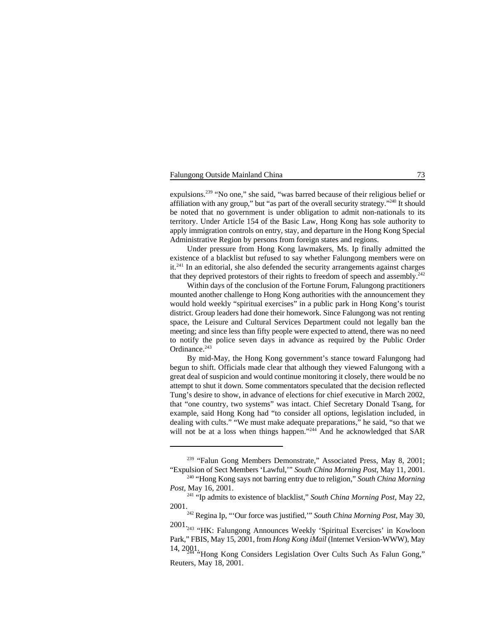expulsions.<sup>239</sup> "No one," she said, "was barred because of their religious belief or affiliation with any group," but "as part of the overall security strategy." $^{240}$  It should be noted that no government is under obligation to admit non-nationals to its territory. Under Article 154 of the Basic Law, Hong Kong has sole authority to apply immigration controls on entry, stay, and departure in the Hong Kong Special Administrative Region by persons from foreign states and regions.

Under pressure from Hong Kong lawmakers, Ms. Ip finally admitted the existence of a blacklist but refused to say whether Falungong members were on  $it.^{241}$  In an editorial, she also defended the security arrangements against charges that they deprived protestors of their rights to freedom of speech and assembly.<sup>242</sup>

Within days of the conclusion of the Fortune Forum, Falungong practitioners mounted another challenge to Hong Kong authorities with the announcement they would hold weekly "spiritual exercises" in a public park in Hong Kong's tourist district. Group leaders had done their homework. Since Falungong was not renting space, the Leisure and Cultural Services Department could not legally ban the meeting; and since less than fifty people were expected to attend, there was no need to notify the police seven days in advance as required by the Public Order Ordinance. 243

By mid-May, the Hong Kong government's stance toward Falungong had begun to shift. Officials made clear that although they viewed Falungong with a great deal of suspicion and would continue monitoring it closely, there would be no attempt to shut it down. Some commentators speculated that the decision reflected Tung's desire to show, in advance of elections for chief executive in March 2002, that "one country, two systems" was intact. Chief Secretary Donald Tsang, for example, said Hong Kong had "to consider all options, legislation included, in dealing with cults." "We must make adequate preparations," he said, "so that we will not be at a loss when things happen."<sup>244</sup> And he acknowledged that SAR

 $239$  "Falun Gong Members Demonstrate," Associated Press, May 8, 2001; "Expulsion of Sect Members 'Lawful,'" *South China Morning Post*, May 11, 2001.

<sup>&</sup>lt;sup>240</sup> "Hong Kong says not barring entry due to religion," South China Morning *Post*, May 16, 2001.

<sup>&</sup>lt;sup>241</sup> "Ip admits to existence of blacklist," *South China Morning Post*, May 22, 2001.

<sup>&</sup>lt;sup>242</sup> Regina Ip, "'Our force was justified," *South China Morning Post*, May 30, 2001.

<sup>2001&</sup>lt;sub>243</sub> "HK: Falungong Announces Weekly 'Spiritual Exercises' in Kowloon Park," FBIS, May 15, 2001, from *Hong Kong iMail* (Internet Version-WWW), May

<sup>14, 2001. &</sup>quot;Hong Kong Considers Legislation Over Cults Such As Falun Gong," Reuters, May 18, 2001.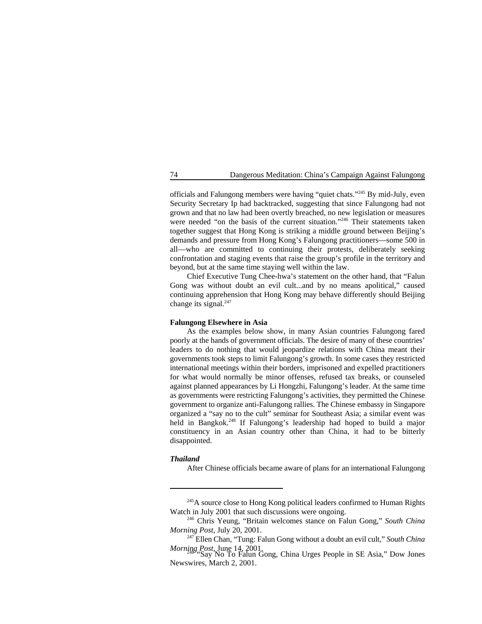officials and Falungong members were having "quiet chats."<sup> $245$ </sup> By mid-July, even Security Secretary Ip had backtracked, suggesting that since Falungong had not grown and that no law had been overtly breached, no new legislation or measures were needed "on the basis of the current situation."<sup>246</sup> Their statements taken together suggest that Hong Kong is striking a middle ground between Beijing's demands and pressure from Hong Kong's Falungong practitioners—some 500 in all—who are committed to continuing their protests, deliberately seeking confrontation and staging events that raise the group's profile in the territory and beyond, but at the same time staying well within the law.

Chief Executive Tung Chee-hwa's statement on the other hand, that "Falun Gong was without doubt an evil cult...and by no means apolitical," caused continuing apprehension that Hong Kong may behave differently should Beijing change its signal.<sup>247</sup>

### **Falungong Elsewhere in Asia**

As the examples below show, in many Asian countries Falungong fared poorly at the hands of government officials. The desire of many of these countries' leaders to do nothing that would jeopardize relations with China meant their governments took steps to limit Falungong's growth. In some cases they restricted international meetings within their borders, imprisoned and expelled practitioners for what would normally be minor offenses, refused tax breaks, or counseled against planned appearances by Li Hongzhi, Falungong's leader. At the same time as governments were restricting Falungong's activities, they permitted the Chinese government to organize anti-Falungong rallies. The Chinese embassy in Singapore organized a "say no to the cult" seminar for Southeast Asia; a similar event was held in Bangkok.<sup>248</sup> If Falungong's leadership had hoped to build a major constituency in an Asian country other than China, it had to be bitterly disappointed.

### *Thailand*

After Chinese officials became aware of plans for an international Falungong

 $245A$  source close to Hong Kong political leaders confirmed to Human Rights Watch in July 2001 that such discussions were ongoing.

<sup>&</sup>lt;sup>246</sup> Chris Yeung, "Britain welcomes stance on Falun Gong," *South China Morning Post*, July 20, 2001.

<sup>&</sup>lt;sup>247</sup> Ellen Chan, "Tung: Falun Gong without a doubt an evil cult," *South China Morning Post*, June 14, 2001.<br>"Say No To Falun Gong, China Urges People in SE Asia," Dow Jones

Newswires, March 2, 2001.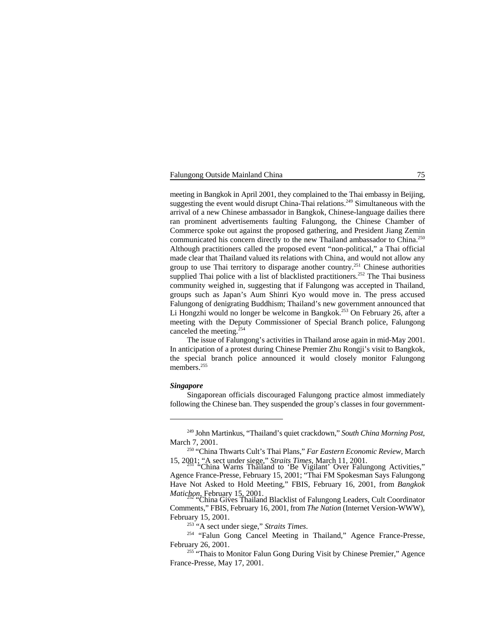meeting in Bangkok in April 2001, they complained to the Thai embassy in Beijing, suggesting the event would disrupt China-Thai relations.<sup>249</sup> Simultaneous with the arrival of a new Chinese ambassador in Bangkok, Chinese-language dailies there ran prominent advertisements faulting Falungong, the Chinese Chamber of Commerce spoke out against the proposed gathering, and President Jiang Zemin communicated his concern directly to the new Thailand ambassador to China.<sup>250</sup> Although practitioners called the proposed event "non-political," a Thai official made clear that Thailand valued its relations with China, and would not allow any group to use Thai territory to disparage another country.<sup>251</sup> Chinese authorities supplied Thai police with a list of blacklisted practitioners.<sup>252</sup> The Thai business community weighed in, suggesting that if Falungong was accepted in Thailand, groups such as Japan's Aum Shinri Kyo would move in. The press accused Falungong of denigrating Buddhism; Thailand's new government announced that Li Hongzhi would no longer be welcome in Bangkok.<sup>253</sup> On February 26, after a meeting with the Deputy Commissioner of Special Branch police, Falungong canceled the meeting. 254

The issue of Falungong's activities in Thailand arose again in mid-May 2001. In anticipation of a protest during Chinese Premier Zhu Rongji's visit to Bangkok, the special branch police announced it would closely monitor Falungong members.<sup>255</sup>

### *Singapore*

Singaporean officials discouraged Falungong practice almost immediately following the Chinese ban. They suspended the group's classes in four government-

<sup>&</sup>lt;sup>249</sup> John Martinkus, "Thailand's quiet crackdown," South China Morning Post, March 7, 2001.

<sup>&</sup>lt;sup>250</sup> "China Thwarts Cult's Thai Plans," *Far Eastern Economic Review*, March 15, 2001; "A sect under siege," *Straits Times*, March 11, 2001. "China Warns Thailand to 'Be Vigilant' Over Falungong Activities," <sup>251</sup>

Agence France-Presse, February 15, 2001; "Thai FM Spokesman Says Falungong Have Not Asked to Hold Meeting," FBIS, February 16, 2001, from *Bangkok*

*Matichon*, February 15, 2001.<br>"China Gives Thailand Blacklist of Falungong Leaders, Cult Coordinator Comments," FBIS, February 16, 2001, from *The Nation* (Internet Version-WWW), February 15, 2001.

<sup>&</sup>lt;sup>253</sup> "A sect under siege," *Straits Times*.

<sup>&</sup>lt;sup>254</sup> "Falun Gong Cancel Meeting in Thailand," Agence France-Presse, February 26, 2001.

<sup>&</sup>lt;sup>255</sup> "Thais to Monitor Falun Gong During Visit by Chinese Premier," Agence France-Presse, May 17, 2001.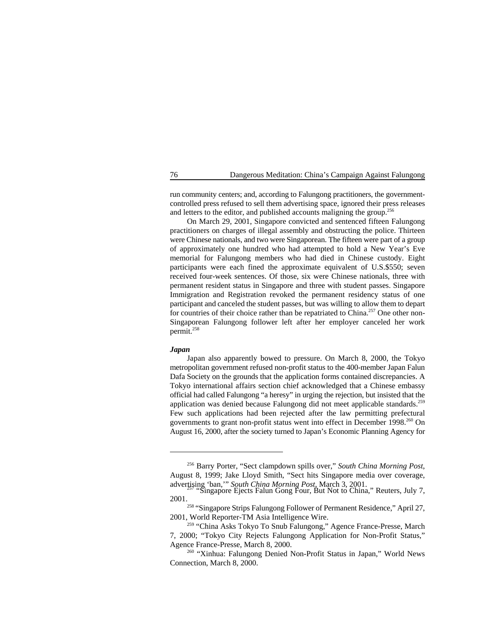run community centers; and, according to Falungong practitioners, the governmentcontrolled press refused to sell them advertising space, ignored their press releases and letters to the editor, and published accounts maligning the group.<sup>256</sup>

On March 29, 2001, Singapore convicted and sentenced fifteen Falungong practitioners on charges of illegal assembly and obstructing the police. Thirteen were Chinese nationals, and two were Singaporean. The fifteen were part of a group of approximately one hundred who had attempted to hold a New Year's Eve memorial for Falungong members who had died in Chinese custody. Eight participants were each fined the approximate equivalent of U.S.\$550; seven received four-week sentences. Of those, six were Chinese nationals, three with permanent resident status in Singapore and three with student passes. Singapore Immigration and Registration revoked the permanent residency status of one participant and canceled the student passes, but was willing to allow them to depart for countries of their choice rather than be repatriated to China.<sup>257</sup> One other non-Singaporean Falungong follower left after her employer canceled her work permit. 258

### *Japan*

Japan also apparently bowed to pressure. On March 8, 2000, the Tokyo metropolitan government refused non-profit status to the 400-member Japan Falun Dafa Society on the grounds that the application forms contained discrepancies. A Tokyo international affairs section chief acknowledged that a Chinese embassy official had called Falungong "a heresy" in urging the rejection, but insisted that the application was denied because Falungong did not meet applicable standards.<sup>259</sup> Few such applications had been rejected after the law permitting prefectural governments to grant non-profit status went into effect in December 1998.<sup>260</sup> On August 16, 2000, after the society turned to Japan's Economic Planning Agency for

<sup>&</sup>lt;sup>256</sup> Barry Porter, "Sect clampdown spills over," South China Morning Post, August 8, 1999; Jake Lloyd Smith, "Sect hits Singapore media over coverage, advertising 'ban,'" *South China Morning Post*, March 3, 2001.<br>"Singapore Ejects Falun Gong Four, But Not to China," Reuters, July 7,

<sup>2001.</sup>

<sup>&</sup>lt;sup>258</sup> "Singapore Strips Falungong Follower of Permanent Residence," April 27, 2001, World Reporter-TM Asia Intelligence Wire.

<sup>&</sup>lt;sup>259</sup> "China Asks Tokyo To Snub Falungong," Agence France-Presse, March 7, 2000; "Tokyo City Rejects Falungong Application for Non-Profit Status," Agence France-Presse, March 8, 2000.

<sup>&</sup>lt;sup>260</sup> "Xinhua: Falungong Denied Non-Profit Status in Japan," World News Connection, March 8, 2000.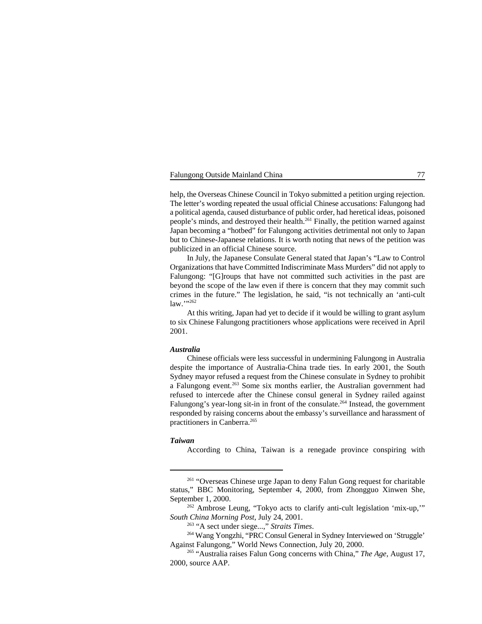help, the Overseas Chinese Council in Tokyo submitted a petition urging rejection. The letter's wording repeated the usual official Chinese accusations: Falungong had a political agenda, caused disturbance of public order, had heretical ideas, poisoned people's minds, and destroyed their health. $^{261}$  Finally, the petition warned against Japan becoming a "hotbed" for Falungong activities detrimental not only to Japan but to Chinese-Japanese relations. It is worth noting that news of the petition was publicized in an official Chinese source.

In July, the Japanese Consulate General stated that Japan's "Law to Control Organizations that have Committed Indiscriminate Mass Murders" did not apply to Falungong: "[G]roups that have not committed such activities in the past are beyond the scope of the law even if there is concern that they may commit such crimes in the future." The legislation, he said, "is not technically an 'anti-cult  $law.$ "<sup>262</sup>

At this writing, Japan had yet to decide if it would be willing to grant asylum to six Chinese Falungong practitioners whose applications were received in April 2001.

# *Australia*

Chinese officials were less successful in undermining Falungong in Australia despite the importance of Australia-China trade ties. In early 2001, the South Sydney mayor refused a request from the Chinese consulate in Sydney to prohibit a Falungong event.<sup>263</sup> Some six months earlier, the Australian government had refused to intercede after the Chinese consul general in Sydney railed against Falungong's year-long sit-in in front of the consulate.<sup>264</sup> Instead, the government responded by raising concerns about the embassy's surveillance and harassment of practitioners in Canberra.265

### *Taiwan*

According to China, Taiwan is a renegade province conspiring with

<sup>&</sup>lt;sup>261</sup> "Overseas Chinese urge Japan to deny Falun Gong request for charitable status," BBC Monitoring, September 4, 2000, from Zhongguo Xinwen She, September 1, 2000.

 $262$  Ambrose Leung, "Tokyo acts to clarify anti-cult legislation 'mix-up," *South China Morning Post*, July 24, 2001.

<sup>&</sup>lt;sup>263</sup> "A sect under siege...," *Straits Times*.

<sup>&</sup>lt;sup>264</sup> Wang Yongzhi, "PRC Consul General in Sydney Interviewed on 'Struggle' Against Falungong," World News Connection, July 20, 2000.

<sup>&</sup>lt;sup>265</sup> "Australia raises Falun Gong concerns with China," *The Age*, August 17, 2000, source AAP.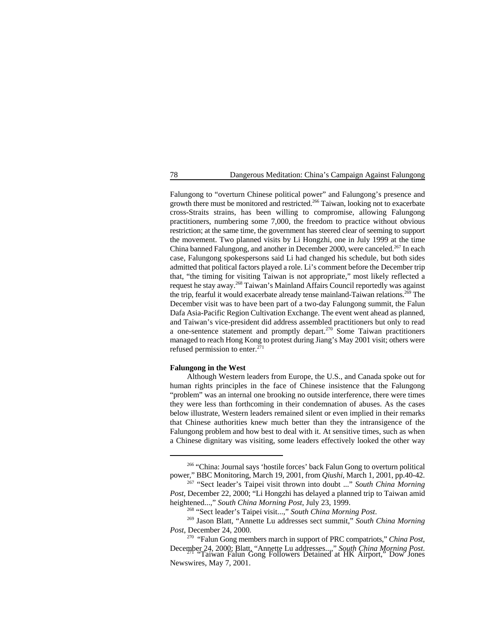Falungong to "overturn Chinese political power" and Falungong's presence and growth there must be monitored and restricted.<sup>266</sup> Taiwan, looking not to exacerbate cross-Straits strains, has been willing to compromise, allowing Falungong practitioners, numbering some 7,000, the freedom to practice without obvious restriction; at the same time, the government has steered clear of seeming to support the movement. Two planned visits by Li Hongzhi, one in July 1999 at the time China banned Falungong, and another in December 2000, were canceled.<sup>267</sup> In each case, Falungong spokespersons said Li had changed his schedule, but both sides admitted that political factors played a role. Li's comment before the December trip that, "the timing for visiting Taiwan is not appropriate," most likely reflected a request he stay away.<sup>268</sup> Taiwan's Mainland Affairs Council reportedly was against the trip, fearful it would exacerbate already tense mainland-Taiwan relations.<sup>269</sup> The December visit was to have been part of a two-day Falungong summit, the Falun Dafa Asia-Pacific Region Cultivation Exchange. The event went ahead as planned, and Taiwan's vice-president did address assembled practitioners but only to read a one-sentence statement and promptly depart.<sup>270</sup> Some Taiwan practitioners managed to reach Hong Kong to protest during Jiang's May 2001 visit; others were refused permission to enter. $271$ 

# **Falungong in the West**

Although Western leaders from Europe, the U.S., and Canada spoke out for human rights principles in the face of Chinese insistence that the Falungong "problem" was an internal one brooking no outside interference, there were times they were less than forthcoming in their condemnation of abuses. As the cases below illustrate, Western leaders remained silent or even implied in their remarks that Chinese authorities knew much better than they the intransigence of the Falungong problem and how best to deal with it. At sensitive times, such as when a Chinese dignitary was visiting, some leaders effectively looked the other way

 $266$  "China: Journal says 'hostile forces' back Falun Gong to overturn political power," BBC Monitoring, March 19, 2001, from *Qiushi*, March 1, 2001, pp.40-42.

<sup>&</sup>lt;sup>267</sup> "Sect leader's Taipei visit thrown into doubt ..." *South China Morning Post*, December 22, 2000; "Li Hongzhi has delayed a planned trip to Taiwan amid heightened...," *South China Morning Post*, July 23, 1999.

<sup>&</sup>lt;sup>268</sup> "Sect leader's Taipei visit...," *South China Morning Post*.

<sup>&</sup>lt;sup>269</sup> Jason Blatt, "Annette Lu addresses sect summit," South China Morning *Post*, December 24, 2000.

<sup>&</sup>lt;sup>270</sup> "Falun Gong members march in support of PRC compatriots," *China Post*,

December 24, 2000; Blatt, "Annette Lu addresses...," *South China Morning Post*. "Taiwan Falun Gong Followers Detained at HK Airport," Dow Jones <sup>271</sup> Newswires, May 7, 2001.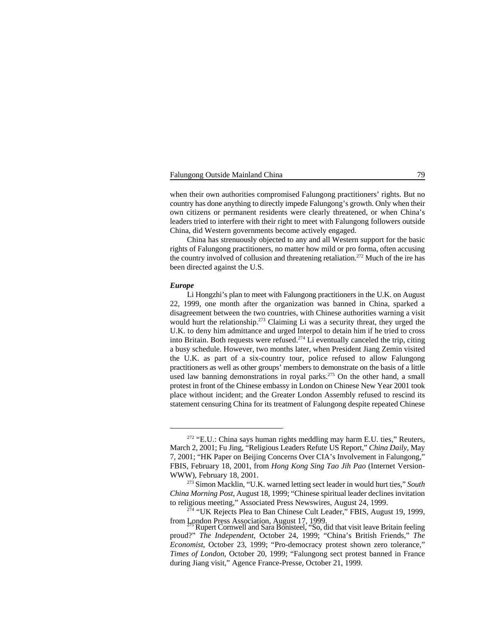when their own authorities compromised Falungong practitioners' rights. But no country has done anything to directly impede Falungong's growth. Only when their own citizens or permanent residents were clearly threatened, or when China's leaders tried to interfere with their right to meet with Falungong followers outside China, did Western governments become actively engaged.

China has strenuously objected to any and all Western support for the basic rights of Falungong practitioners, no matter how mild or pro forma, often accusing the country involved of collusion and threatening retaliation.<sup> $272$ </sup> Much of the ire has been directed against the U.S.

# *Europe*

Li Hongzhi's plan to meet with Falungong practitioners in the U.K. on August 22, 1999, one month after the organization was banned in China, sparked a disagreement between the two countries, with Chinese authorities warning a visit would hurt the relationship.<sup> $273$ </sup> Claiming Li was a security threat, they urged the U.K. to deny him admittance and urged Interpol to detain him if he tried to cross into Britain. Both requests were refused.<sup>274</sup> Li eventually canceled the trip, citing a busy schedule. However, two months later, when President Jiang Zemin visited the U.K. as part of a six-country tour, police refused to allow Falungong practitioners as well as other groups' members to demonstrate on the basis of a little used law banning demonstrations in royal parks.<sup>275</sup> On the other hand, a small protest in front of the Chinese embassy in London on Chinese New Year 2001 took place without incident; and the Greater London Assembly refused to rescind its statement censuring China for its treatment of Falungong despite repeated Chinese

 $272$  "E.U.: China says human rights meddling may harm E.U. ties," Reuters, March 2, 2001; Fu Jing, "Religious Leaders Refute US Report," *China Daily*, May 7, 2001; "HK Paper on Beijing Concerns Over CIA's Involvement in Falungong," FBIS, February 18, 2001, from *Hong Kong Sing Tao Jih Pao* (Internet Version-WWW), February 18, 2001.

Simon Macklin, "U.K. warned letting sect leader in would hurt ties," *South* <sup>273</sup> *China Morning Post*, August 18, 1999; "Chinese spiritual leader declines invitation to religious meeting," Associated Press Newswires, August 24, 1999.

<sup>&</sup>lt;sup>274</sup> "UK Rejects Plea to Ban Chinese Cult Leader," FBIS, August 19, 1999, from London Press Association, August 17, 1999.<br>Rupert Cornwell and Sara Bonisteel, "So, did that visit leave Britain feeling

proud?" *The Independent*, October 24, 1999; "China's British Friends," *The Economist*, October 23, 1999; "Pro-democracy protest shown zero tolerance," *Times of London*, October 20, 1999; "Falungong sect protest banned in France during Jiang visit," Agence France-Presse, October 21, 1999.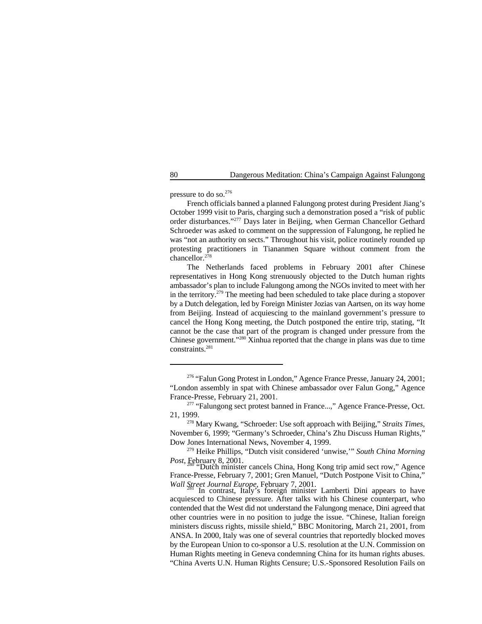pressure to do so.<sup>276</sup>

French officials banned a planned Falungong protest during President Jiang's October 1999 visit to Paris, charging such a demonstration posed a "risk of public order disturbances."<sup>277</sup> Days later in Beijing, when German Chancellor Gethard Schroeder was asked to comment on the suppression of Falungong, he replied he was "not an authority on sects." Throughout his visit, police routinely rounded up protesting practitioners in Tiananmen Square without comment from the chancellor. $278$ 

The Netherlands faced problems in February 2001 after Chinese representatives in Hong Kong strenuously objected to the Dutch human rights ambassador's plan to include Falungong among the NGOs invited to meet with her in the territory.<sup>279</sup> The meeting had been scheduled to take place during a stopover by a Dutch delegation, led by Foreign Minister Jozias van Aartsen, on its way home from Beijing. Instead of acquiescing to the mainland government's pressure to cancel the Hong Kong meeting, the Dutch postponed the entire trip, stating, "It cannot be the case that part of the program is changed under pressure from the Chinese government." $280$  Xinhua reported that the change in plans was due to time constraints.281

<sup>&</sup>lt;sup>276</sup> "Falun Gong Protest in London," Agence France Presse, January 24, 2001; "London assembly in spat with Chinese ambassador over Falun Gong," Agence France-Presse, February 21, 2001.

<sup>&</sup>lt;sup>277</sup> "Falungong sect protest banned in France...," Agence France-Presse, Oct. 21, 1999.

<sup>&</sup>lt;sup>278</sup> Mary Kwang, "Schroeder: Use soft approach with Beijing," *Straits Times*, November 6, 1999; "Germany's Schroeder, China's Zhu Discuss Human Rights," Dow Jones International News, November 4, 1999.

<sup>&</sup>lt;sup>279</sup> Heike Phillips, "Dutch visit considered 'unwise," *South China Morning Post*, February 8, 2001.

*Postally 6, 2001.* "Dutch minister cancels China, Hong Kong trip amid sect row," Agence France-Presse, February 7, 2001; Gren Manuel, "Dutch Postpone Visit to China," *Wall Street Journal Europe*, February 7, 2001.<br>In contrast, Italy's foreign minister Lamberti Dini appears to have

acquiesced to Chinese pressure. After talks with his Chinese counterpart, who contended that the West did not understand the Falungong menace, Dini agreed that other countries were in no position to judge the issue. "Chinese, Italian foreign ministers discuss rights, missile shield," BBC Monitoring, March 21, 2001, from ANSA. In 2000, Italy was one of several countries that reportedly blocked moves by the European Union to co-sponsor a U.S. resolution at the U.N. Commission on Human Rights meeting in Geneva condemning China for its human rights abuses. "China Averts U.N. Human Rights Censure; U.S.-Sponsored Resolution Fails on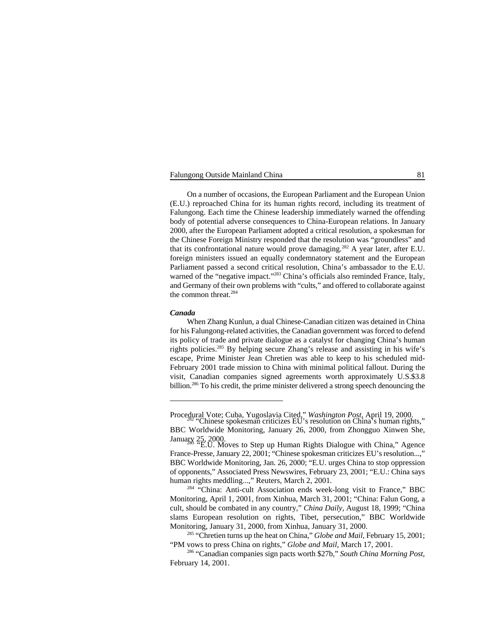On a number of occasions, the European Parliament and the European Union (E.U.) reproached China for its human rights record, including its treatment of Falungong. Each time the Chinese leadership immediately warned the offending body of potential adverse consequences to China-European relations. In January 2000, after the European Parliament adopted a critical resolution, a spokesman for the Chinese Foreign Ministry responded that the resolution was "groundless" and that its confrontational nature would prove damaging.<sup>282</sup> A year later, after E.U. foreign ministers issued an equally condemnatory statement and the European Parliament passed a second critical resolution, China's ambassador to the E.U. warned of the "negative impact."<sup>283</sup> China's officials also reminded France, Italy, and Germany of their own problems with "cults," and offered to collaborate against the common threat.<sup>284</sup>

# *Canada*

When Zhang Kunlun, a dual Chinese-Canadian citizen was detained in China for his Falungong-related activities, the Canadian government was forced to defend its policy of trade and private dialogue as a catalyst for changing China's human rights policies.<sup>285</sup> By helping secure Zhang's release and assisting in his wife's escape, Prime Minister Jean Chretien was able to keep to his scheduled mid-February 2001 trade mission to China with minimal political fallout. During the visit, Canadian companies signed agreements worth approximately U.S.\$3.8 billion.<sup>286</sup> To his credit, the prime minister delivered a strong speech denouncing the

Procedural Vote; Cuba, Yugoslavia Cited," *Washington Post*, April 19, 2000.<br>"Chinese spokesman criticizes EU's resolution on China's human rights,"

BBC Worldwide Monitoring, January 26, 2000, from Zhongguo Xinwen She,

January 25, 2000.<br>"E.U. Moves to Step up Human Rights Dialogue with China," Agence France-Presse, January 22, 2001; "Chinese spokesman criticizes EU's resolution...," BBC Worldwide Monitoring, Jan. 26, 2000; "E.U. urges China to stop oppression of opponents," Associated Press Newswires, February 23, 2001; "E.U.: China says human rights meddling...," Reuters, March 2, 2001.

<sup>&</sup>lt;sup>284</sup> "China: Anti-cult Association ends week-long visit to France," BBC Monitoring, April 1, 2001, from Xinhua, March 31, 2001; "China: Falun Gong, a cult, should be combated in any country," *China Daily*, August 18, 1999; "China slams European resolution on rights, Tibet, persecution," BBC Worldwide Monitoring, January 31, 2000, from Xinhua, January 31, 2000.

<sup>&</sup>lt;sup>285</sup> "Chretien turns up the heat on China," *Globe and Mail*, February 15, 2001; "PM vows to press China on rights," *Globe and Mail*, March 17, 2001.

<sup>&</sup>lt;sup>286</sup> "Canadian companies sign pacts worth \$27b," South China Morning Post, February 14, 2001.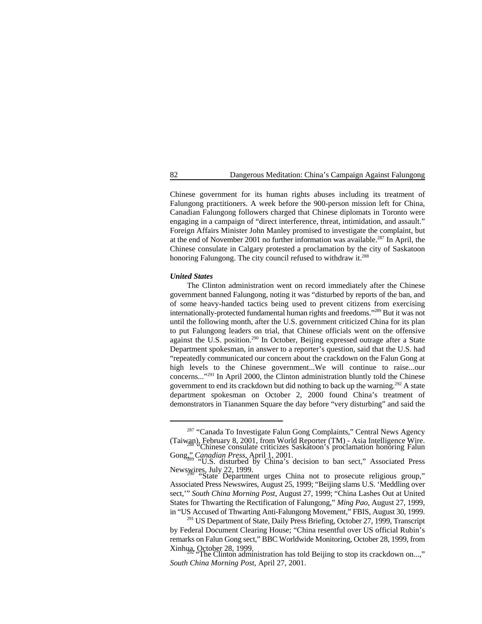Chinese government for its human rights abuses including its treatment of Falungong practitioners. A week before the 900-person mission left for China, Canadian Falungong followers charged that Chinese diplomats in Toronto were engaging in a campaign of "direct interference, threat, intimidation, and assault." Foreign Affairs Minister John Manley promised to investigate the complaint, but at the end of November 2001 no further information was available.<sup>287</sup> In April, the Chinese consulate in Calgary protested a proclamation by the city of Saskatoon honoring Falungong. The city council refused to withdraw it.<sup>288</sup>

### *United States*

The Clinton administration went on record immediately after the Chinese government banned Falungong, noting it was "disturbed by reports of the ban, and of some heavy-handed tactics being used to prevent citizens from exercising internationally-protected fundamental human rights and freedoms."<sup>289</sup> But it was not until the following month, after the U.S. government criticized China for its plan to put Falungong leaders on trial, that Chinese officials went on the offensive against the U.S. position. $290$  In October, Beijing expressed outrage after a State Department spokesman, in answer to a reporter's question, said that the U.S. had "repeatedly communicated our concern about the crackdown on the Falun Gong at high levels to the Chinese government...We will continue to raise...our concerns..."<sup>291</sup> In April 2000, the Clinton administration bluntly told the Chinese government to end its crackdown but did nothing to back up the warning.<sup>292</sup> A state department spokesman on October 2, 2000 found China's treatment of demonstrators in Tiananmen Square the day before "very disturbing" and said the

in "US Accused of Thwarting Anti-Falungong Movement," FBIS, August 30, 1999.  $291$  US Department of State, Daily Press Briefing, October 27, 1999, Transcript by Federal Document Clearing House; "China resentful over US official Rubin's remarks on Falun Gong sect," BBC Worldwide Monitoring, October 28, 1999, from

<sup>&</sup>lt;sup>287</sup> "Canada To Investigate Falun Gong Complaints," Central News Agency (Taiwan), February 8, 2001, from World Reporter (TM) - Asia Intelligence Wire. "Chinese consulate criticizes Saskatoon's proclamation honoring Falun <sup>288</sup>

Gong<sub>1</sub><sup>2</sup> *Canadian Press*, April 1, 2001. <sup>1</sup> **Canadian Press** 2011 **Canadian Press** 2015. **U.S.** disturbed by China's decision to ban sect," Associated Press

Newswires, July 22, 1999.<br>"State Department urges China not to prosecute religious group," Associated Press Newswires, August 25, 1999; "Beijing slams U.S. 'Meddling over sect,'" *South China Morning Post*, August 27, 1999; "China Lashes Out at United States for Thwarting the Rectification of Falungong," *Ming Pao*, August 27, 1999,

Xinhua, October 28, 1999.<br>
"The Clinton administration has told Beijing to stop its crackdown on...," *South China Morning Post*, April 27, 2001.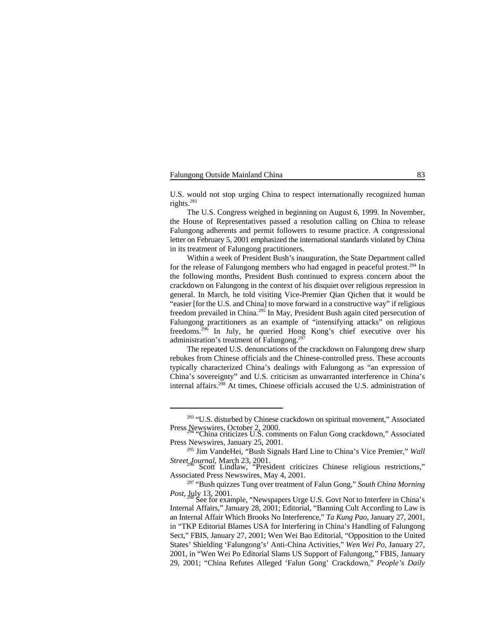U.S. would not stop urging China to respect internationally recognized human rights. 293

The U.S. Congress weighed in beginning on August 6, 1999. In November, the House of Representatives passed a resolution calling on China to release Falungong adherents and permit followers to resume practice. A congressional letter on February 5, 2001 emphasized the international standards violated by China in its treatment of Falungong practitioners.

Within a week of President Bush's inauguration, the State Department called for the release of Falungong members who had engaged in peaceful protest.<sup>294</sup> In the following months, President Bush continued to express concern about the crackdown on Falungong in the context of his disquiet over religious repression in general. In March, he told visiting Vice-Premier Qian Qichen that it would be "easier [for the U.S. and China] to move forward in a constructive way" if religious freedom prevailed in China.<sup>295</sup> In May, President Bush again cited persecution of Falungong practitioners as an example of "intensifying attacks" on religious freedoms.<sup>296</sup> In July, he queried Hong Kong's chief executive over his administration's treatment of Falungong. 297

The repeated U.S. denunciations of the crackdown on Falungong drew sharp rebukes from Chinese officials and the Chinese-controlled press. These accounts typically characterized China's dealings with Falungong as "an expression of China's sovereignty" and U.S. criticism as unwarranted interference in China's internal affairs.<sup>298</sup> At times, Chinese officials accused the U.S. administration of

 $293$  "U.S. disturbed by Chinese crackdown on spiritual movement," Associated Press Newswires, October 2, 2000.<br>"China criticizes U.S. comments on Falun Gong crackdown," Associated

Press Newswires, January 25, 2001.

<sup>&</sup>lt;sup>295</sup> Jim VandeHei, "Bush Signals Hard Line to China's Vice Premier," *Wall Street Journal*, March 23, 2001.<br>Scott Lindlaw, "President criticizes Chinese religious restrictions,"

Associated Press Newswires, May 4, 2001.

<sup>&</sup>lt;sup>297</sup> "Bush quizzes Tung over treatment of Falun Gong," *South China Morning Post*, July 13, 2001.<br>See for example, "Newspapers Urge U.S. Govt Not to Interfere in China's

Internal Affairs," January 28, 2001; Editorial, "Banning Cult According to Law is an Internal Affair Which Brooks No Interference," *Ta Kung Pao*, January 27, 2001, in "TKP Editorial Blames USA for Interfering in China's Handling of Falungong Sect," FBIS, January 27, 2001; Wen Wei Bao Editorial, "Opposition to the United States' Shielding 'Falungong's' Anti-China Activities," *Wen Wei Po*, January 27, 2001, in "Wen Wei Po Editorial Slams US Support of Falungong," FBIS, January 29, 2001; "China Refutes Alleged 'Falun Gong' Crackdown," *People's Daily*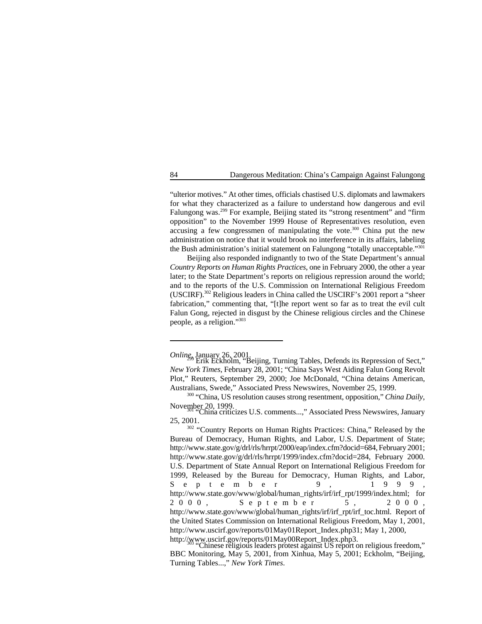"ulterior motives." At other times, officials chastised U.S. diplomats and lawmakers for what they characterized as a failure to understand how dangerous and evil Falungong was.<sup>299</sup> For example, Beijing stated its "strong resentment" and "firm opposition" to the November 1999 House of Representatives resolution, even accusing a few congressmen of manipulating the vote.<sup>300</sup> China put the new administration on notice that it would brook no interference in its affairs, labeling the Bush administration's initial statement on Falungong "totally unacceptable."<sup>301</sup>

Beijing also responded indignantly to two of the State Department's annual *Country Reports on Human Rights Practices*, one in February 2000, the other a year later; to the State Department's reports on religious repression around the world; and to the reports of the U.S. Commission on International Religious Freedom (USCIRF). $^{302}$  Religious leaders in China called the USCIRF's 2001 report a "sheer fabrication," commenting that, "[t]he report went so far as to treat the evil cult Falun Gong, rejected in disgust by the Chinese religious circles and the Chinese people, as a religion." 303

*Online*, January 26, 2001.<br>Erik Eckholm, "Beijing, Turning Tables, Defends its Repression of Sect," *New York Times*, February 28, 2001; "China Says West Aiding Falun Gong Revolt Plot," Reuters, September 29, 2000; Joe McDonald, "China detains American, Australians, Swede," Associated Press Newswires, November 25, 1999.

<sup>&</sup>lt;sup>300</sup> "China, US resolution causes strong resentment, opposition," *China Daily*, November 20, 1999.<br>
"China criticizes U.S. comments...," Associated Press Newswires, January

<sup>25, 2001.</sup>

<sup>&</sup>lt;sup>302</sup> "Country Reports on Human Rights Practices: China," Released by the Bureau of Democracy, Human Rights, and Labor, U.S. Department of State; http://www.state.gov/g/drl/rls/hrrpt/2000/eap/index.cfm?docid=684, February 2001; http://www.state.gov/g/drl/rls/hrrpt/1999/index.cfm?docid=284, February 2000. U.S. Department of State Annual Report on International Religious Freedom for 1999, Released by the Bureau for Democracy, Human Rights, and Labor, September 9, 1999, http://www.state.gov/www/global/human\_rights/irf/irf\_rpt/1999/index.html; for 2000, Septem ber 5, 2000, http://www.state.gov/www/global/human\_rights/irf/irf\_rpt/irf\_toc.html. Report of the United States Commission on International Religious Freedom, May 1, 2001, http://www.uscirf.gov/reports/01May01Report\_Index.php31; May 1, 2000,

http://www.uscirf.gov/reports/01May00Report\_Index.php3.<br>"Chinese religious leaders protest against US report on religious freedom," BBC Monitoring, May 5, 2001, from Xinhua, May 5, 2001; Eckholm, "Beijing, Turning Tables...," *New York Times*.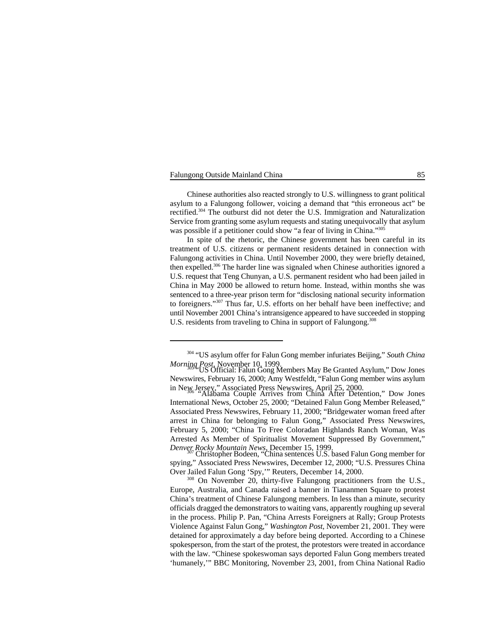Chinese authorities also reacted strongly to U.S. willingness to grant political asylum to a Falungong follower, voicing a demand that "this erroneous act" be rectified.<sup>304</sup> The outburst did not deter the U.S. Immigration and Naturalization Service from granting some asylum requests and stating unequivocally that asylum was possible if a petitioner could show "a fear of living in China."<sup>305</sup>

In spite of the rhetoric, the Chinese government has been careful in its treatment of U.S. citizens or permanent residents detained in connection with Falungong activities in China. Until November 2000, they were briefly detained, then expelled.<sup>306</sup> The harder line was signaled when Chinese authorities ignored a U.S. request that Teng Chunyan, a U.S. permanent resident who had been jailed in China in May 2000 be allowed to return home. Instead, within months she was sentenced to a three-year prison term for "disclosing national security information to foreigners."<sup>307</sup> Thus far, U.S. efforts on her behalf have been ineffective; and until November 2001 China's intransigence appeared to have succeeded in stopping U.S. residents from traveling to China in support of Falungong.<sup>308</sup>

<sup>&</sup>lt;sup>304</sup> "US asylum offer for Falun Gong member infuriates Beijing," South China *Morning Post*, November 10, 1999.<br>"US Official: Falun Gong Members May Be Granted Asylum," Dow Jones

Newswires, February 16, 2000; Amy Westfeldt, "Falun Gong member wins asylum

in New Jersey," Associated Press Newswires, April 25, 2000.<br>"Alabama Couple Arrives from China After Detention," Dow Jones International News, October 25, 2000; "Detained Falun Gong Member Released," Associated Press Newswires, February 11, 2000; "Bridgewater woman freed after arrest in China for belonging to Falun Gong," Associated Press Newswires, February 5, 2000; "China To Free Coloradan Highlands Ranch Woman, Was Arrested As Member of Spiritualist Movement Suppressed By Government," *Denver Rocky Mountain News*, December 15, 1999.<br>Christopher Bodeen, "China sentences U.S. based Falun Gong member for

spying," Associated Press Newswires, December 12, 2000; "U.S. Pressures China Over Jailed Falun Gong 'Spy,'" Reuters, December 14, 2000.

<sup>&</sup>lt;sup>308</sup> On November 20, thirty-five Falungong practitioners from the U.S., Europe, Australia, and Canada raised a banner in Tiananmen Square to protest China's treatment of Chinese Falungong members. In less than a minute, security officials dragged the demonstrators to waiting vans, apparently roughing up several in the process. Philip P. Pan, "China Arrests Foreigners at Rally; Group Protests Violence Against Falun Gong," *Washington Post*, November 21, 2001. They were detained for approximately a day before being deported. According to a Chinese spokesperson, from the start of the protest, the protestors were treated in accordance with the law. "Chinese spokeswoman says deported Falun Gong members treated 'humanely,'" BBC Monitoring, November 23, 2001, from China National Radio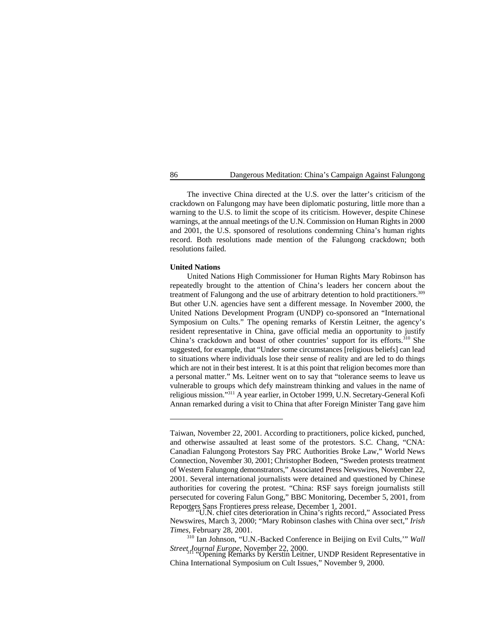The invective China directed at the U.S. over the latter's criticism of the crackdown on Falungong may have been diplomatic posturing, little more than a warning to the U.S. to limit the scope of its criticism. However, despite Chinese warnings, at the annual meetings of the U.N. Commission on Human Rights in 2000 and 2001, the U.S. sponsored of resolutions condemning China's human rights record. Both resolutions made mention of the Falungong crackdown; both resolutions failed.

### **United Nations**

United Nations High Commissioner for Human Rights Mary Robinson has repeatedly brought to the attention of China's leaders her concern about the treatment of Falungong and the use of arbitrary detention to hold practitioners.<sup>309</sup> But other U.N. agencies have sent a different message. In November 2000, the United Nations Development Program (UNDP) co-sponsored an "International Symposium on Cults." The opening remarks of Kerstin Leitner, the agency's resident representative in China, gave official media an opportunity to justify China's crackdown and boast of other countries' support for its efforts.<sup>310</sup> She suggested, for example, that "Under some circumstances [religious beliefs] can lead to situations where individuals lose their sense of reality and are led to do things which are not in their best interest. It is at this point that religion becomes more than a personal matter." Ms. Leitner went on to say that "tolerance seems to leave us vulnerable to groups which defy mainstream thinking and values in the name of religious mission."<sup>311</sup> A year earlier, in October 1999, U.N. Secretary-General Kofi Annan remarked during a visit to China that after Foreign Minister Tang gave him

Taiwan, November 22, 2001. According to practitioners, police kicked, punched, and otherwise assaulted at least some of the protestors. S.C. Chang, "CNA: Canadian Falungong Protestors Say PRC Authorities Broke Law," World News Connection, November 30, 2001; Christopher Bodeen, "Sweden protests treatment of Western Falungong demonstrators," Associated Press Newswires, November 22, 2001. Several international journalists were detained and questioned by Chinese authorities for covering the protest. "China: RSF says foreign journalists still persecuted for covering Falun Gong," BBC Monitoring, December 5, 2001, from Reporters Sans Frontieres press release, December 1, 2001.<br>"U.N. chief cites deterioration in China's rights record," Associated Press

Newswires, March 3, 2000; "Mary Robinson clashes with China over sect," *Irish Times*, February 28, 2001.

<sup>&</sup>lt;sup>310</sup> Ian Johnson, "U.N.-Backed Conference in Beijing on Evil Cults," *Wall* Street Journal Europe, November 22, 2000.

*Street Line Specifical Lines Lines 22, 2000.* Depresentative in 2000. The Depresentative in  $\overline{a}$ China International Symposium on Cult Issues," November 9, 2000.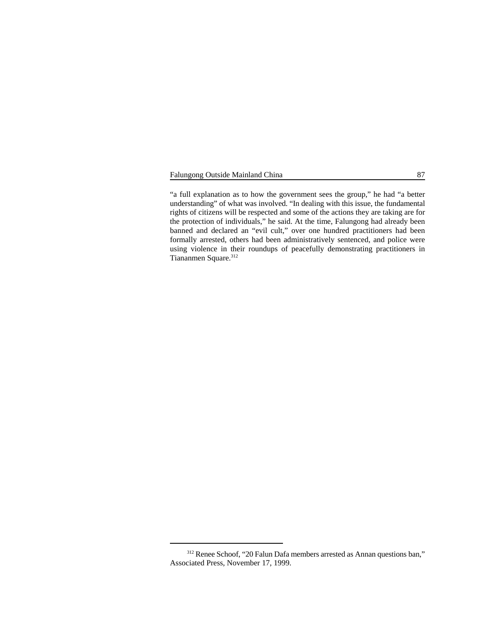"a full explanation as to how the government sees the group," he had "a better understanding" of what was involved. "In dealing with this issue, the fundamental rights of citizens will be respected and some of the actions they are taking are for the protection of individuals," he said. At the time, Falungong had already been banned and declared an "evil cult," over one hundred practitioners had been formally arrested, others had been administratively sentenced, and police were using violence in their roundups of peacefully demonstrating practitioners in Tiananmen Square.<sup>312</sup>

<sup>&</sup>lt;sup>312</sup> Renee Schoof, "20 Falun Dafa members arrested as Annan questions ban," Associated Press, November 17, 1999.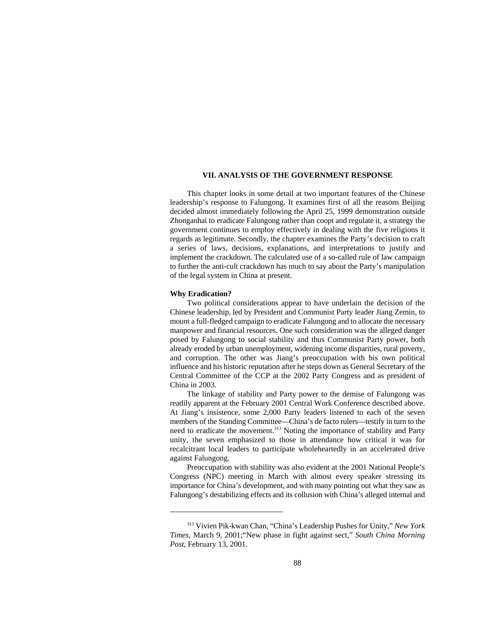### **VII. ANALYSIS OF THE GOVERNMENT RESPONSE**

This chapter looks in some detail at two important features of the Chinese leadership's response to Falungong. It examines first of all the reasons Beijing decided almost immediately following the April 25, 1999 demonstration outside Zhonganhai to eradicate Falungong rather than coopt and regulate it, a strategy the government continues to employ effectively in dealing with the five religions it regards as legitimate. Secondly, the chapter examines the Party's decision to craft a series of laws, decisions, explanations, and interpretations to justify and implement the crackdown. The calculated use of a so-called rule of law campaign to further the anti-cult crackdown has much to say about the Party's manipulation of the legal system in China at present.

# **Why Eradication?**

Two political considerations appear to have underlain the decision of the Chinese leadership, led by President and Communist Party leader Jiang Zemin, to mount a full-fledged campaign to eradicate Falungong and to allocate the necessary manpower and financial resources. One such consideration was the alleged danger posed by Falungong to social stability and thus Communist Party power, both already eroded by urban unemployment, widening income disparities, rural poverty, and corruption. The other was Jiang's preoccupation with his own political influence and his historic reputation after he steps down as General Secretary of the Central Committee of the CCP at the 2002 Party Congress and as president of China in 2003.

The linkage of stability and Party power to the demise of Falungong was readily apparent at the February 2001 Central Work Conference described above. At Jiang's insistence, some 2,000 Party leaders listened to each of the seven members of the Standing Committee—China's de facto rulers—testify in turn to the need to eradicate the movement.<sup>313</sup> Noting the importance of stability and Party unity, the seven emphasized to those in attendance how critical it was for recalcitrant local leaders to participate wholeheartedly in an accelerated drive against Falungong.

Preoccupation with stability was also evident at the 2001 National People's Congress (NPC) meeting in March with almost every speaker stressing its importance for China's development, and with many pointing out what they saw as Falungong's destabilizing effects and its collusion with China's alleged internal and

<sup>&</sup>lt;sup>313</sup> Vivien Pik-kwan Chan, "China's Leadership Pushes for Unity," *New York Times*, March 9, 2001;"New phase in fight against sect," *South China Morning Post*, February 13, 2001.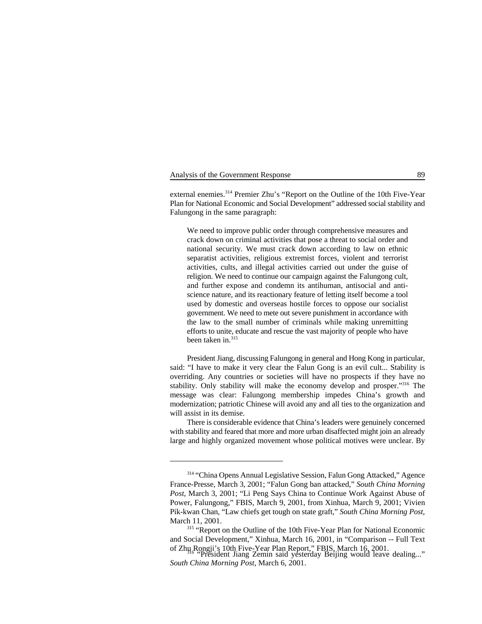Analysis of the Government Response 89

external enemies.<sup>314</sup> Premier Zhu's "Report on the Outline of the 10th Five-Year Plan for National Economic and Social Development" addressed social stability and Falungong in the same paragraph:

We need to improve public order through comprehensive measures and crack down on criminal activities that pose a threat to social order and national security. We must crack down according to law on ethnic separatist activities, religious extremist forces, violent and terrorist activities, cults, and illegal activities carried out under the guise of religion. We need to continue our campaign against the Falungong cult, and further expose and condemn its antihuman, antisocial and antiscience nature, and its reactionary feature of letting itself become a tool used by domestic and overseas hostile forces to oppose our socialist government. We need to mete out severe punishment in accordance with the law to the small number of criminals while making unremitting efforts to unite, educate and rescue the vast majority of people who have been taken in.315

President Jiang, discussing Falungong in general and Hong Kong in particular, said: "I have to make it very clear the Falun Gong is an evil cult... Stability is overriding. Any countries or societies will have no prospects if they have no stability. Only stability will make the economy develop and prosper."<sup>316</sup> The message was clear: Falungong membership impedes China's growth and modernization; patriotic Chinese will avoid any and all ties to the organization and will assist in its demise.

There is considerable evidence that China's leaders were genuinely concerned with stability and feared that more and more urban disaffected might join an already large and highly organized movement whose political motives were unclear. By

<sup>&</sup>lt;sup>314</sup> "China Opens Annual Legislative Session, Falun Gong Attacked," Agence France-Presse, March 3, 2001; "Falun Gong ban attacked," *South China Morning Post*, March 3, 2001; "Li Peng Says China to Continue Work Against Abuse of Power, Falungong," FBIS, March 9, 2001, from Xinhua, March 9, 2001; Vivien Pik-kwan Chan, "Law chiefs get tough on state graft," *South China Morning Post*, March 11, 2001.

<sup>&</sup>lt;sup>315</sup> "Report on the Outline of the 10th Five-Year Plan for National Economic and Social Development," Xinhua, March 16, 2001, in "Comparison -- Full Text of Zhu Rongji's 10th Five-Year Plan Report," FBIS, March 16, 2001. "President Jiang Zemin said yesterday Beijing would leave dealing..." <sup>316</sup>

*South China Morning Post*, March 6, 2001.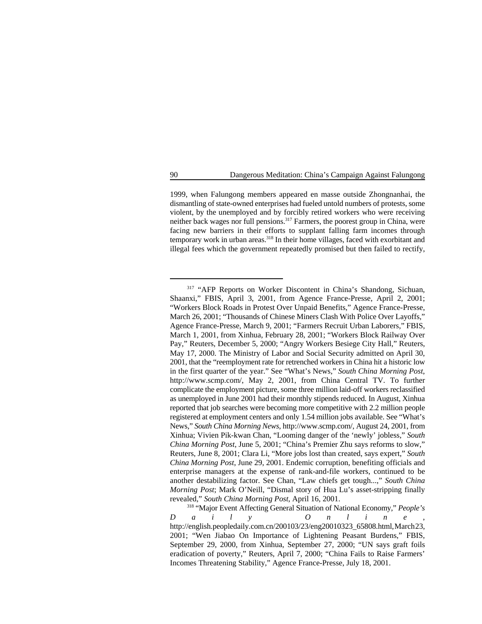1999, when Falungong members appeared en masse outside Zhongnanhai, the dismantling of state-owned enterprises had fueled untold numbers of protests, some violent, by the unemployed and by forcibly retired workers who were receiving neither back wages nor full pensions.  $317$  Farmers, the poorest group in China, were facing new barriers in their efforts to supplant falling farm incomes through temporary work in urban areas.<sup>318</sup> In their home villages, faced with exorbitant and illegal fees which the government repeatedly promised but then failed to rectify,

<sup>&</sup>lt;sup>317</sup> "AFP Reports on Worker Discontent in China's Shandong, Sichuan, Shaanxi," FBIS, April 3, 2001, from Agence France-Presse, April 2, 2001; "Workers Block Roads in Protest Over Unpaid Benefits," Agence France-Presse, March 26, 2001; "Thousands of Chinese Miners Clash With Police Over Layoffs," Agence France-Presse, March 9, 2001; "Farmers Recruit Urban Laborers," FBIS, March 1, 2001, from Xinhua, February 28, 2001; "Workers Block Railway Over Pay," Reuters, December 5, 2000; "Angry Workers Besiege City Hall," Reuters, May 17, 2000. The Ministry of Labor and Social Security admitted on April 30, 2001, that the "reemployment rate for retrenched workers in China hit a historic low in the first quarter of the year." See "What's News," *South China Morning Post*, http://www.scmp.com/, May 2, 2001, from China Central TV. To further complicate the employment picture, some three million laid-off workers reclassified as unemployed in June 2001 had their monthly stipends reduced. In August, Xinhua reported that job searches were becoming more competitive with 2.2 million people registered at employment centers and only 1.54 million jobs available. See "What's News," *South China Morning News*, http://www.scmp.com/, August 24, 2001, from Xinhua; Vivien Pik-kwan Chan, "Looming danger of the 'newly' jobless," *South China Morning Post*, June 5, 2001; "China's Premier Zhu says reforms to slow," Reuters, June 8, 2001; Clara Li, "More jobs lost than created, says expert," *South China Morning Post*, June 29, 2001. Endemic corruption, benefiting officials and enterprise managers at the expense of rank-and-file workers, continued to be another destabilizing factor. See Chan, "Law chiefs get tough...," *South China Morning Post*; Mark O'Neill, "Dismal story of Hua Lu's asset-stripping finally revealed," *South China Morning Post*, April 16, 2001.

<sup>&</sup>lt;sup>318</sup> "Major Event Affecting General Situation of National Economy," *People's Daily Online* , http://english.peopledaily.com.cn/200103/23/eng20010323\_65808.html, March 23, 2001; "Wen Jiabao On Importance of Lightening Peasant Burdens," FBIS, September 29, 2000, from Xinhua, September 27, 2000; "UN says graft foils eradication of poverty," Reuters, April 7, 2000; "China Fails to Raise Farmers' Incomes Threatening Stability," Agence France-Presse, July 18, 2001.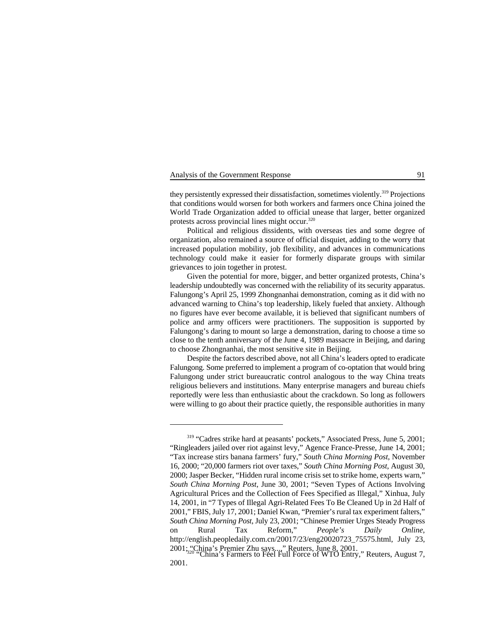# Analysis of the Government Response 91

they persistently expressed their dissatisfaction, sometimes violently.<sup>319</sup> Projections that conditions would worsen for both workers and farmers once China joined the World Trade Organization added to official unease that larger, better organized protests across provincial lines might occur. 320

Political and religious dissidents, with overseas ties and some degree of organization, also remained a source of official disquiet, adding to the worry that increased population mobility, job flexibility, and advances in communications technology could make it easier for formerly disparate groups with similar grievances to join together in protest.

Given the potential for more, bigger, and better organized protests, China's leadership undoubtedly was concerned with the reliability of its security apparatus. Falungong's April 25, 1999 Zhongnanhai demonstration, coming as it did with no advanced warning to China's top leadership, likely fueled that anxiety. Although no figures have ever become available, it is believed that significant numbers of police and army officers were practitioners. The supposition is supported by Falungong's daring to mount so large a demonstration, daring to choose a time so close to the tenth anniversary of the June 4, 1989 massacre in Beijing, and daring to choose Zhongnanhai, the most sensitive site in Beijing.

Despite the factors described above, not all China's leaders opted to eradicate Falungong. Some preferred to implement a program of co-optation that would bring Falungong under strict bureaucratic control analogous to the way China treats religious believers and institutions. Many enterprise managers and bureau chiefs reportedly were less than enthusiastic about the crackdown. So long as followers were willing to go about their practice quietly, the responsible authorities in many

 $319$  "Cadres strike hard at peasants' pockets," Associated Press, June 5, 2001; "Ringleaders jailed over riot against levy," Agence France-Presse, June 14, 2001; "Tax increase stirs banana farmers' fury," *South China Morning Post*, November 16, 2000; "20,000 farmers riot over taxes," *South China Morning Post*, August 30, 2000; Jasper Becker, "Hidden rural income crisis set to strike home, experts warn," *South China Morning Post*, June 30, 2001; "Seven Types of Actions Involving Agricultural Prices and the Collection of Fees Specified as Illegal," Xinhua, July 14, 2001, in "7 Types of Illegal Agri-Related Fees To Be Cleaned Up in 2d Half of 2001," FBIS, July 17, 2001; Daniel Kwan, "Premier's rural tax experiment falters," *South China Morning Post*, July 23, 2001; "Chinese Premier Urges Steady Progress on Rural Tax Reform," *People's Daily Online*, http://english.peopledaily.com.cn/20017/23/eng20020723\_75575.html, July 23, 2001; ... [July 23, 2001.

<sup>2011;</sup> Separator Line 8, 2001; "China's Farmers to Feel Full Force of WTO Entry," Reuters, August 7, 2001.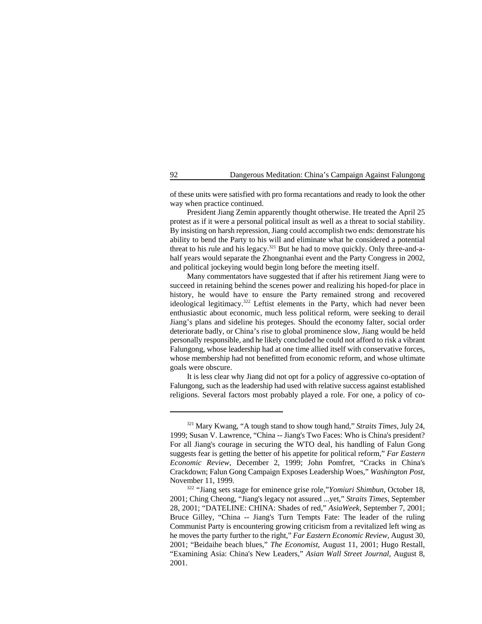of these units were satisfied with pro forma recantations and ready to look the other way when practice continued.

President Jiang Zemin apparently thought otherwise. He treated the April 25 protest as if it were a personal political insult as well as a threat to social stability. By insisting on harsh repression, Jiang could accomplish two ends: demonstrate his ability to bend the Party to his will and eliminate what he considered a potential threat to his rule and his legacy.<sup>321</sup> But he had to move quickly. Only three-and-ahalf years would separate the Zhongnanhai event and the Party Congress in 2002, and political jockeying would begin long before the meeting itself.

Many commentators have suggested that if after his retirement Jiang were to succeed in retaining behind the scenes power and realizing his hoped-for place in history, he would have to ensure the Party remained strong and recovered ideological legitimacy.<sup>322</sup> Leftist elements in the Party, which had never been enthusiastic about economic, much less political reform, were seeking to derail Jiang's plans and sideline his proteges. Should the economy falter, social order deteriorate badly, or China's rise to global prominence slow, Jiang would be held personally responsible, and he likely concluded he could not afford to risk a vibrant Falungong, whose leadership had at one time allied itself with conservative forces, whose membership had not benefitted from economic reform, and whose ultimate goals were obscure.

It is less clear why Jiang did not opt for a policy of aggressive co-optation of Falungong, such as the leadership had used with relative success against established religions. Several factors most probably played a role. For one, a policy of co-

<sup>&</sup>lt;sup>321</sup> Mary Kwang, "A tough stand to show tough hand," *Straits Times*, July 24, 1999; Susan V. Lawrence, "China -- Jiang's Two Faces: Who is China's president? For all Jiang's courage in securing the WTO deal, his handling of Falun Gong suggests fear is getting the better of his appetite for political reform," *Far Eastern Economic Review*, December 2, 1999; John Pomfret, "Cracks in China's Crackdown; Falun Gong Campaign Exposes Leadership Woes," *Washington Post*, November 11, 1999.

<sup>&</sup>lt;sup>322</sup> "Jiang sets stage for eminence grise role,"*Yomiuri Shimbun*, October 18, 2001; Ching Cheong, "Jiang's legacy not assured ...yet," *Straits Times*, September 28, 2001; "DATELINE: CHINA: Shades of red," *AsiaWeek*, September 7, 2001; Bruce Gilley, "China -- Jiang's Turn Tempts Fate: The leader of the ruling Communist Party is encountering growing criticism from a revitalized left wing as he moves the party further to the right," *Far Eastern Economic Review*, August 30, 2001; "Beidaihe beach blues," *The Economist*, August 11, 2001; Hugo Restall, "Examining Asia: China's New Leaders," *Asian Wall Street Journal*, August 8, 2001.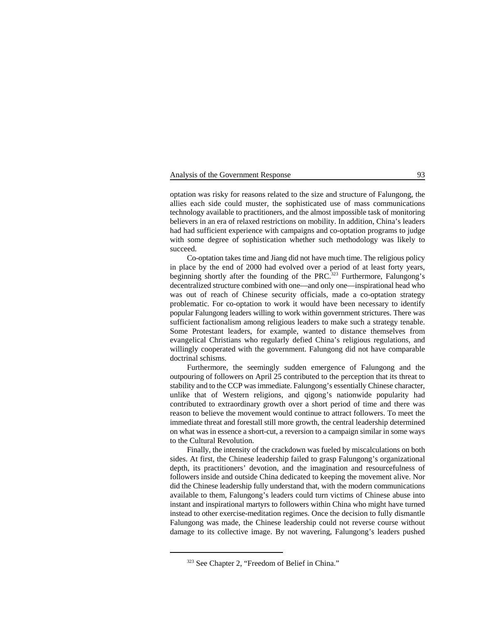# Analysis of the Government Response 93

optation was risky for reasons related to the size and structure of Falungong, the allies each side could muster, the sophisticated use of mass communications technology available to practitioners, and the almost impossible task of monitoring believers in an era of relaxed restrictions on mobility. In addition, China's leaders had had sufficient experience with campaigns and co-optation programs to judge with some degree of sophistication whether such methodology was likely to succeed.

Co-optation takes time and Jiang did not have much time. The religious policy in place by the end of 2000 had evolved over a period of at least forty years, beginning shortly after the founding of the PRC.<sup>323</sup> Furthermore, Falungong's decentralized structure combined with one—and only one—inspirational head who was out of reach of Chinese security officials, made a co-optation strategy problematic. For co-optation to work it would have been necessary to identify popular Falungong leaders willing to work within government strictures. There was sufficient factionalism among religious leaders to make such a strategy tenable. Some Protestant leaders, for example, wanted to distance themselves from evangelical Christians who regularly defied China's religious regulations, and willingly cooperated with the government. Falungong did not have comparable doctrinal schisms.

Furthermore, the seemingly sudden emergence of Falungong and the outpouring of followers on April 25 contributed to the perception that its threat to stability and to the CCP was immediate. Falungong's essentially Chinese character, unlike that of Western religions, and qigong's nationwide popularity had contributed to extraordinary growth over a short period of time and there was reason to believe the movement would continue to attract followers. To meet the immediate threat and forestall still more growth, the central leadership determined on what was in essence a short-cut, a reversion to a campaign similar in some ways to the Cultural Revolution.

Finally, the intensity of the crackdown was fueled by miscalculations on both sides. At first, the Chinese leadership failed to grasp Falungong's organizational depth, its practitioners' devotion, and the imagination and resourcefulness of followers inside and outside China dedicated to keeping the movement alive. Nor did the Chinese leadership fully understand that, with the modern communications available to them, Falungong's leaders could turn victims of Chinese abuse into instant and inspirational martyrs to followers within China who might have turned instead to other exercise-meditation regimes. Once the decision to fully dismantle Falungong was made, the Chinese leadership could not reverse course without damage to its collective image. By not wavering, Falungong's leaders pushed

<sup>323</sup> See Chapter 2, "Freedom of Belief in China."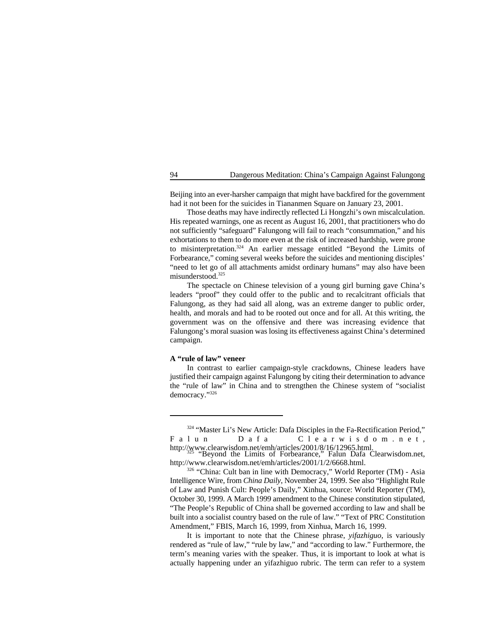Beijing into an ever-harsher campaign that might have backfired for the government had it not been for the suicides in Tiananmen Square on January 23, 2001.

Those deaths may have indirectly reflected Li Hongzhi's own miscalculation. His repeated warnings, one as recent as August 16, 2001, that practitioners who do not sufficiently "safeguard" Falungong will fail to reach "consummation," and his exhortations to them to do more even at the risk of increased hardship, were prone to misinterpretation.<sup>324</sup> An earlier message entitled "Beyond the Limits of Forbearance," coming several weeks before the suicides and mentioning disciples' "need to let go of all attachments amidst ordinary humans" may also have been misunderstood. $325$ 

The spectacle on Chinese television of a young girl burning gave China's leaders "proof" they could offer to the public and to recalcitrant officials that Falungong, as they had said all along, was an extreme danger to public order, health, and morals and had to be rooted out once and for all. At this writing, the government was on the offensive and there was increasing evidence that Falungong's moral suasion was losing its effectiveness against China's determined campaign.

# **A "rule of law" veneer**

In contrast to earlier campaign-style crackdowns, Chinese leaders have justified their campaign against Falungong by citing their determination to advance the "rule of law" in China and to strengthen the Chinese system of "socialist democracy."326

It is important to note that the Chinese phrase, *yifazhiguo*, is variously rendered as "rule of law," "rule by law," and "according to law." Furthermore, the term's meaning varies with the speaker. Thus, it is important to look at what is actually happening under an yifazhiguo rubric. The term can refer to a system

<sup>&</sup>lt;sup>324</sup> "Master Li's New Article: Dafa Disciples in the Fa-Rectification Period," Falun Dafa Clearwisdom.net, http://www.clearwisdom.net/emh/articles/2001/8/16/12965.html.<br>"Beyond the Limits of Forbearance," Falun Dafa Clearwisdom.net,

http://www.clearwisdom.net/emh/articles/2001/1/2/6668.html.

<sup>326 &</sup>quot;China: Cult ban in line with Democracy," World Reporter (TM) - Asia Intelligence Wire, from *China Daily*, November 24, 1999. See also "Highlight Rule of Law and Punish Cult: People's Daily," Xinhua, source: World Reporter (TM), October 30, 1999. A March 1999 amendment to the Chinese constitution stipulated, "The People's Republic of China shall be governed according to law and shall be built into a socialist country based on the rule of law." "Text of PRC Constitution Amendment," FBIS, March 16, 1999, from Xinhua, March 16, 1999.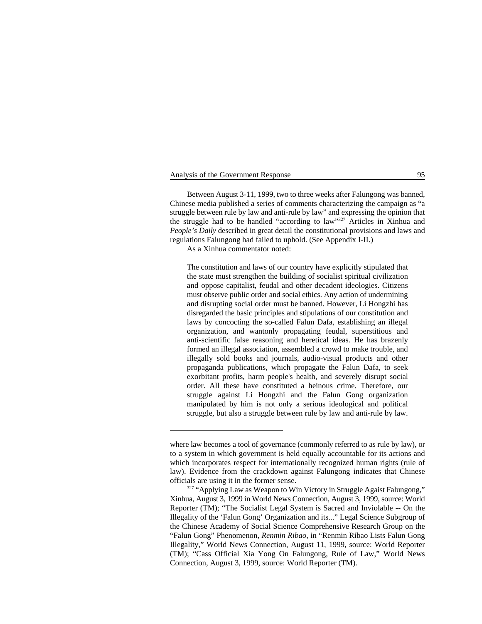Analysis of the Government Response 95

Between August 3-11, 1999, two to three weeks after Falungong was banned, Chinese media published a series of comments characterizing the campaign as "a struggle between rule by law and anti-rule by law" and expressing the opinion that the struggle had to be handled "according to law"  $327$  Articles in Xinhua and *People's Daily* described in great detail the constitutional provisions and laws and regulations Falungong had failed to uphold. (See Appendix I-II.)

As a Xinhua commentator noted:

The constitution and laws of our country have explicitly stipulated that the state must strengthen the building of socialist spiritual civilization and oppose capitalist, feudal and other decadent ideologies. Citizens must observe public order and social ethics. Any action of undermining and disrupting social order must be banned. However, Li Hongzhi has disregarded the basic principles and stipulations of our constitution and laws by concocting the so-called Falun Dafa, establishing an illegal organization, and wantonly propagating feudal, superstitious and anti-scientific false reasoning and heretical ideas. He has brazenly formed an illegal association, assembled a crowd to make trouble, and illegally sold books and journals, audio-visual products and other propaganda publications, which propagate the Falun Dafa, to seek exorbitant profits, harm people's health, and severely disrupt social order. All these have constituted a heinous crime. Therefore, our struggle against Li Hongzhi and the Falun Gong organization manipulated by him is not only a serious ideological and political struggle, but also a struggle between rule by law and anti-rule by law.

where law becomes a tool of governance (commonly referred to as rule by law), or to a system in which government is held equally accountable for its actions and which incorporates respect for internationally recognized human rights (rule of law). Evidence from the crackdown against Falungong indicates that Chinese officials are using it in the former sense.

<sup>&</sup>lt;sup>327</sup> "Applying Law as Weapon to Win Victory in Struggle Agaist Falungong," Xinhua, August 3, 1999 in World News Connection, August 3, 1999, source: World Reporter (TM); "The Socialist Legal System is Sacred and Inviolable -- On the Illegality of the 'Falun Gong' Organization and its..." Legal Science Subgroup of the Chinese Academy of Social Science Comprehensive Research Group on the "Falun Gong" Phenomenon, *Renmin Ribao*, in "Renmin Ribao Lists Falun Gong Illegality," World News Connection, August 11, 1999, source: World Reporter (TM); "Cass Official Xia Yong On Falungong, Rule of Law," World News Connection, August 3, 1999, source: World Reporter (TM).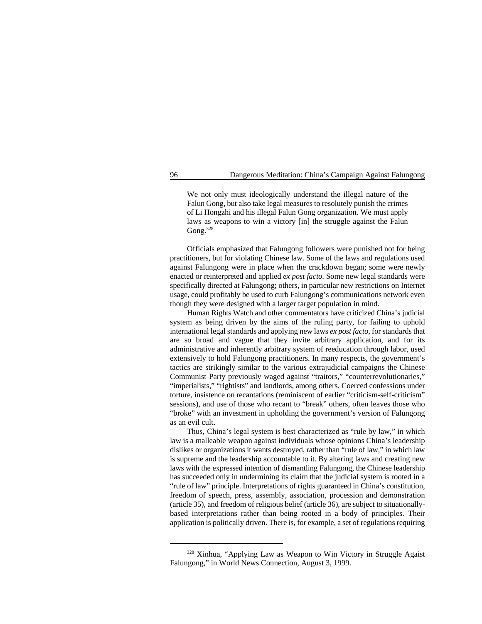We not only must ideologically understand the illegal nature of the Falun Gong, but also take legal measures to resolutely punish the crimes of Li Hongzhi and his illegal Falun Gong organization. We must apply laws as weapons to win a victory [in] the struggle against the Falun Gong.<sup>328</sup>

Officials emphasized that Falungong followers were punished not for being practitioners, but for violating Chinese law. Some of the laws and regulations used against Falungong were in place when the crackdown began; some were newly enacted or reinterpreted and applied *ex post facto*. Some new legal standards were specifically directed at Falungong; others, in particular new restrictions on Internet usage, could profitably be used to curb Falungong's communications network even though they were designed with a larger target population in mind.

Human Rights Watch and other commentators have criticized China's judicial system as being driven by the aims of the ruling party, for failing to uphold international legal standards and applying new laws *ex post facto*, for standards that are so broad and vague that they invite arbitrary application, and for its administrative and inherently arbitrary system of reeducation through labor, used extensively to hold Falungong practitioners. In many respects, the government's tactics are strikingly similar to the various extrajudicial campaigns the Chinese Communist Party previously waged against "traitors," "counterrevolutionaries," "imperialists," "rightists" and landlords, among others. Coerced confessions under torture, insistence on recantations (reminiscent of earlier "criticism-self-criticism" sessions), and use of those who recant to "break" others, often leaves those who "broke" with an investment in upholding the government's version of Falungong as an evil cult.

Thus, China's legal system is best characterized as "rule by law," in which law is a malleable weapon against individuals whose opinions China's leadership dislikes or organizations it wants destroyed, rather than "rule of law," in which law is supreme and the leadership accountable to it. By altering laws and creating new laws with the expressed intention of dismantling Falungong, the Chinese leadership has succeeded only in undermining its claim that the judicial system is rooted in a "rule of law" principle. Interpretations of rights guaranteed in China's constitution, freedom of speech, press, assembly, association, procession and demonstration (article 35), and freedom of religious belief (article 36), are subject to situationallybased interpretations rather than being rooted in a body of principles. Their application is politically driven. There is, for example, a set of regulations requiring

<sup>&</sup>lt;sup>328</sup> Xinhua, "Applying Law as Weapon to Win Victory in Struggle Agaist Falungong," in World News Connection, August 3, 1999.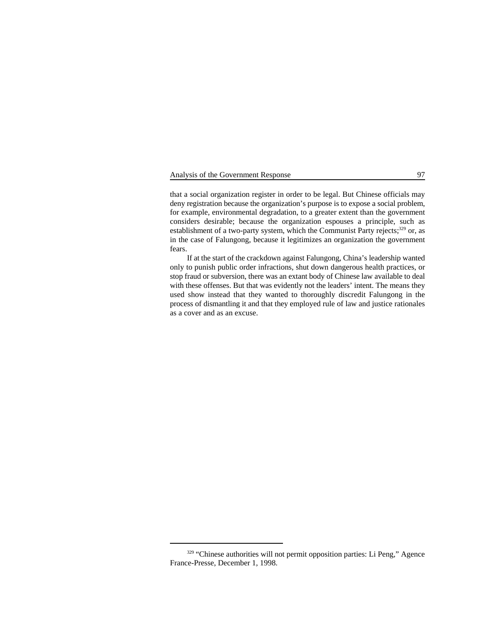# Analysis of the Government Response 97

that a social organization register in order to be legal. But Chinese officials may deny registration because the organization's purpose is to expose a social problem, for example, environmental degradation, to a greater extent than the government considers desirable; because the organization espouses a principle, such as establishment of a two-party system, which the Communist Party rejects;  $^{329}$  or, as in the case of Falungong, because it legitimizes an organization the government fears.

If at the start of the crackdown against Falungong, China's leadership wanted only to punish public order infractions, shut down dangerous health practices, or stop fraud or subversion, there was an extant body of Chinese law available to deal with these offenses. But that was evidently not the leaders' intent. The means they used show instead that they wanted to thoroughly discredit Falungong in the process of dismantling it and that they employed rule of law and justice rationales as a cover and as an excuse.

<sup>&</sup>lt;sup>329</sup> "Chinese authorities will not permit opposition parties: Li Peng," Agence France-Presse, December 1, 1998.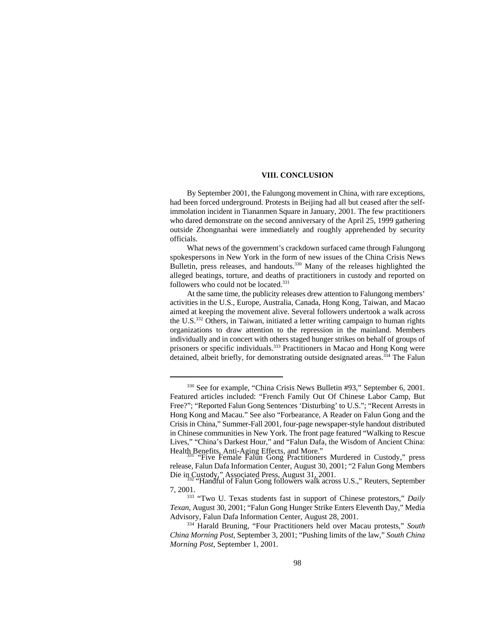# **VIII. CONCLUSION**

By September 2001, the Falungong movement in China, with rare exceptions, had been forced underground. Protests in Beijing had all but ceased after the selfimmolation incident in Tiananmen Square in January, 2001. The few practitioners who dared demonstrate on the second anniversary of the April 25, 1999 gathering outside Zhongnanhai were immediately and roughly apprehended by security officials.

What news of the government's crackdown surfaced came through Falungong spokespersons in New York in the form of new issues of the China Crisis News Bulletin, press releases, and handouts.<sup>330</sup> Many of the releases highlighted the alleged beatings, torture, and deaths of practitioners in custody and reported on followers who could not be located.<sup>331</sup>

At the same time, the publicity releases drew attention to Falungong members' activities in the U.S., Europe, Australia, Canada, Hong Kong, Taiwan, and Macao aimed at keeping the movement alive. Several followers undertook a walk across the U.S. $^{332}$  Others, in Taiwan, initiated a letter writing campaign to human rights organizations to draw attention to the repression in the mainland. Members individually and in concert with others staged hunger strikes on behalf of groups of prisoners or specific individuals.<sup>333</sup> Practitioners in Macao and Hong Kong were detained, albeit briefly, for demonstrating outside designated areas.<sup> $334$ </sup> The Falun

<sup>&</sup>lt;sup>330</sup> See for example, "China Crisis News Bulletin #93," September 6, 2001. Featured articles included: "French Family Out Of Chinese Labor Camp, But Free?"; "Reported Falun Gong Sentences 'Disturbing' to U.S."; "Recent Arrests in Hong Kong and Macau." See also "Forbearance, A Reader on Falun Gong and the Crisis in China," Summer-Fall 2001, four-page newspaper-style handout distributed in Chinese communities in New York. The front page featured "Walking to Rescue Lives," "China's Darkest Hour," and "Falun Dafa, the Wisdom of Ancient China: Health Benefits, Anti-Aging Effects, and More."<br>"Five Female Falun Gong Practitioners Murdered in Custody," press

release, Falun Dafa Information Center, August 30, 2001; "2 Falun Gong Members Die in Custody," Associated Press, August 31, 2001.<br>"Handful of Falun Gong followers walk across U.S.," Reuters, September

<sup>7, 2001.</sup>

<sup>&</sup>lt;sup>333</sup> "Two U. Texas students fast in support of Chinese protestors," Daily *Texan*, August 30, 2001; "Falun Gong Hunger Strike Enters Eleventh Day," Media Advisory, Falun Dafa Information Center, August 28, 2001.

<sup>&</sup>lt;sup>334</sup> Harald Bruning, "Four Practitioners held over Macau protests," South *China Morning Post*, September 3, 2001; "Pushing limits of the law," *South China Morning Post*, September 1, 2001.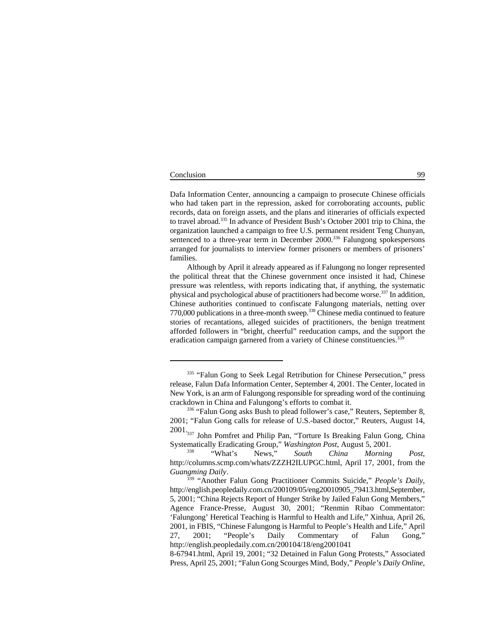#### Conclusion 99

Dafa Information Center, announcing a campaign to prosecute Chinese officials who had taken part in the repression, asked for corroborating accounts, public records, data on foreign assets, and the plans and itineraries of officials expected to travel abroad.<sup>335</sup> In advance of President Bush's October 2001 trip to China, the organization launched a campaign to free U.S. permanent resident Teng Chunyan, sentenced to a three-year term in December  $2000$ .<sup>336</sup> Falungong spokespersons arranged for journalists to interview former prisoners or members of prisoners' families.

Although by April it already appeared as if Falungong no longer represented the political threat that the Chinese government once insisted it had, Chinese pressure was relentless, with reports indicating that, if anything, the systematic physical and psychological abuse of practitioners had become worse.<sup>337</sup> In addition, Chinese authorities continued to confiscate Falungong materials, netting over  $770,000$  publications in a three-month sweep.<sup>338</sup> Chinese media continued to feature stories of recantations, alleged suicides of practitioners, the benign treatment afforded followers in "bright, cheerful" reeducation camps, and the support the eradication campaign garnered from a variety of Chinese constituencies.<sup>339</sup>

 $335$  "Falun Gong to Seek Legal Retribution for Chinese Persecution," press release, Falun Dafa Information Center, September 4, 2001. The Center, located in New York, is an arm of Falungong responsible for spreading word of the continuing crackdown in China and Falungong's efforts to combat it.

<sup>336 &</sup>quot;Falun Gong asks Bush to plead follower's case," Reuters, September 8, 2001; "Falun Gong calls for release of U.S.-based doctor," Reuters, August 14,

<sup>2001&</sup>lt;sub>337</sub> John Pomfret and Philip Pan, "Torture Is Breaking Falun Gong, China Systematically Eradicating Group," *Washington Post*, August 5, 2001.

<sup>&</sup>lt;sup>338</sup> "What's News," *South China Morning Post*, http://columns.scmp.com/whats/ZZZH2ILUPGC.html, April 17, 2001, from the *Guangming Daily*.

<sup>&</sup>lt;sup>339</sup> "Another Falun Gong Practitioner Commits Suicide," *People's Daily*, http://english.peopledaily.com.cn/200109/05/eng20010905\_79413.html, September, 5, 2001; "China Rejects Report of Hunger Strike by Jailed Falun Gong Members," Agence France-Presse, August 30, 2001; "Renmin Ribao Commentator: 'Falungong' Heretical Teaching is Harmful to Health and Life," Xinhua, April 26, 2001, in FBIS, "Chinese Falungong is Harmful to People's Health and Life," April 27, 2001; "People's Daily Commentary of Falun Gong," http://english.peopledaily.com.cn/200104/18/eng2001041

<sup>8-67941.</sup>html, April 19, 2001; "32 Detained in Falun Gong Protests," Associated Press, April 25, 2001; "Falun Gong Scourges Mind, Body," *People's Daily Online*,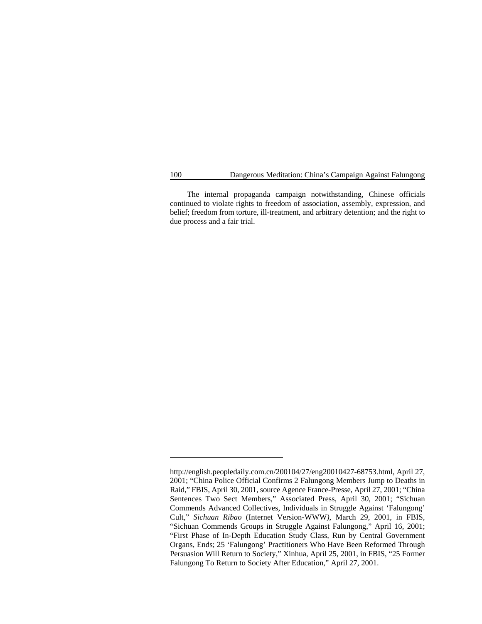The internal propaganda campaign notwithstanding, Chinese officials continued to violate rights to freedom of association, assembly, expression, and belief; freedom from torture, ill-treatment, and arbitrary detention; and the right to due process and a fair trial.

http://english.peopledaily.com.cn/200104/27/eng20010427-68753.html, April 27, 2001; "China Police Official Confirms 2 Falungong Members Jump to Deaths in Raid," FBIS, April 30, 2001, source Agence France-Presse, April 27, 2001; "China Sentences Two Sect Members," Associated Press, April 30, 2001; "Sichuan Commends Advanced Collectives, Individuals in Struggle Against 'Falungong' Cult," *Sichuan Ribao* (Internet Version-WWW*)*, March 29, 2001, in FBIS, "Sichuan Commends Groups in Struggle Against Falungong," April 16, 2001; "First Phase of In-Depth Education Study Class, Run by Central Government Organs, Ends; 25 'Falungong' Practitioners Who Have Been Reformed Through Persuasion Will Return to Society," Xinhua, April 25, 2001, in FBIS, "25 Former Falungong To Return to Society After Education," April 27, 2001.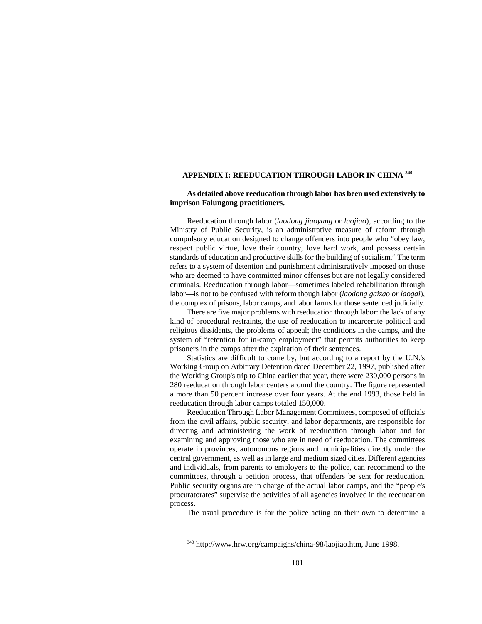# **APPENDIX I: REEDUCATION THROUGH LABOR IN CHINA 340**

## **As detailed above reeducation through labor has been used extensively to imprison Falungong practitioners.**

Reeducation through labor (*laodong jiaoyang* or *laojiao*), according to the Ministry of Public Security, is an administrative measure of reform through compulsory education designed to change offenders into people who "obey law, respect public virtue, love their country, love hard work, and possess certain standards of education and productive skills for the building of socialism." The term refers to a system of detention and punishment administratively imposed on those who are deemed to have committed minor offenses but are not legally considered criminals. Reeducation through labor—sometimes labeled rehabilitation through labor—is not to be confused with reform though labor (*laodong gaizao or laogai*), the complex of prisons, labor camps, and labor farms for those sentenced judicially.

There are five major problems with reeducation through labor: the lack of any kind of procedural restraints, the use of reeducation to incarcerate political and religious dissidents, the problems of appeal; the conditions in the camps, and the system of "retention for in-camp employment" that permits authorities to keep prisoners in the camps after the expiration of their sentences.

Statistics are difficult to come by, but according to a report by the U.N.'s Working Group on Arbitrary Detention dated December 22, 1997, published after the Working Group's trip to China earlier that year, there were 230,000 persons in 280 reeducation through labor centers around the country. The figure represented a more than 50 percent increase over four years. At the end 1993, those held in reeducation through labor camps totaled 150,000.

Reeducation Through Labor Management Committees, composed of officials from the civil affairs, public security, and labor departments, are responsible for directing and administering the work of reeducation through labor and for examining and approving those who are in need of reeducation. The committees operate in provinces, autonomous regions and municipalities directly under the central government, as well as in large and medium sized cities. Different agencies and individuals, from parents to employers to the police, can recommend to the committees, through a petition process, that offenders be sent for reeducation. Public security organs are in charge of the actual labor camps, and the "people's procuratorates" supervise the activities of all agencies involved in the reeducation process.

The usual procedure is for the police acting on their own to determine a

<sup>&</sup>lt;sup>340</sup> http://www.hrw.org/campaigns/china-98/laojiao.htm, June 1998.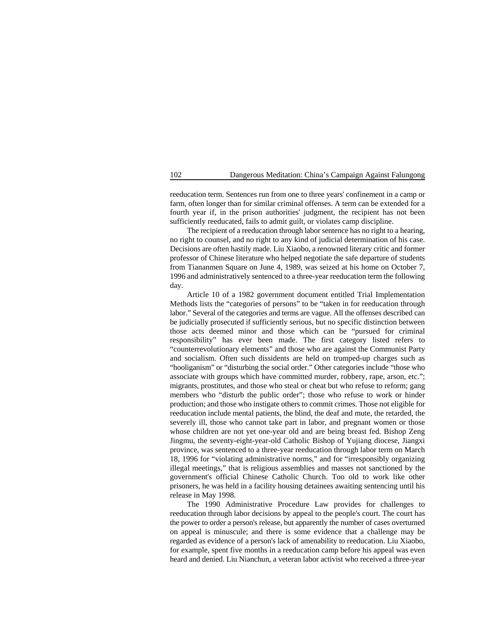reeducation term. Sentences run from one to three years' confinement in a camp or farm, often longer than for similar criminal offenses. A term can be extended for a fourth year if, in the prison authorities' judgment, the recipient has not been sufficiently reeducated, fails to admit guilt, or violates camp discipline.

The recipient of a reeducation through labor sentence has no right to a hearing, no right to counsel, and no right to any kind of judicial determination of his case. Decisions are often hastily made. Liu Xiaobo, a renowned literary critic and former professor of Chinese literature who helped negotiate the safe departure of students from Tiananmen Square on June 4, 1989, was seized at his home on October 7, 1996 and administratively sentenced to a three-year reeducation term the following day.

Article 10 of a 1982 government document entitled Trial Implementation Methods lists the "categories of persons" to be "taken in for reeducation through labor." Several of the categories and terms are vague. All the offenses described can be judicially prosecuted if sufficiently serious, but no specific distinction between those acts deemed minor and those which can be "pursued for criminal responsibility" has ever been made. The first category listed refers to "counterrevolutionary elements" and those who are against the Communist Party and socialism. Often such dissidents are held on trumped-up charges such as "hooliganism" or "disturbing the social order." Other categories include "those who associate with groups which have committed murder, robbery, rape, arson, etc."; migrants, prostitutes, and those who steal or cheat but who refuse to reform; gang members who "disturb the public order"; those who refuse to work or hinder production; and those who instigate others to commit crimes. Those not eligible for reeducation include mental patients, the blind, the deaf and mute, the retarded, the severely ill, those who cannot take part in labor, and pregnant women or those whose children are not yet one-year old and are being breast fed. Bishop Zeng Jingmu, the seventy-eight-year-old Catholic Bishop of Yujiang diocese, Jiangxi province, was sentenced to a three-year reeducation through labor term on March 18, 1996 for "violating administrative norms," and for "irresponsibly organizing illegal meetings," that is religious assemblies and masses not sanctioned by the government's official Chinese Catholic Church. Too old to work like other prisoners, he was held in a facility housing detainees awaiting sentencing until his release in May 1998.

The 1990 Administrative Procedure Law provides for challenges to reeducation through labor decisions by appeal to the people's court. The court has the power to order a person's release, but apparently the number of cases overturned on appeal is minuscule; and there is some evidence that a challenge may be regarded as evidence of a person's lack of amenability to reeducation. Liu Xiaobo, for example, spent five months in a reeducation camp before his appeal was even heard and denied. Liu Nianchun, a veteran labor activist who received a three-year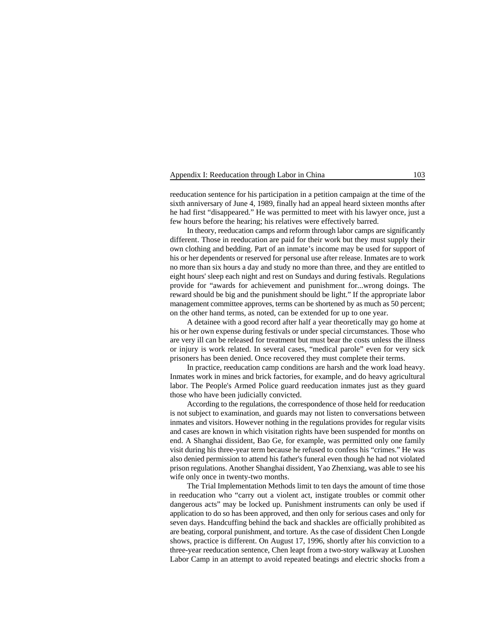## Appendix I: Reeducation through Labor in China 103

reeducation sentence for his participation in a petition campaign at the time of the sixth anniversary of June 4, 1989, finally had an appeal heard sixteen months after he had first "disappeared." He was permitted to meet with his lawyer once, just a few hours before the hearing; his relatives were effectively barred.

In theory, reeducation camps and reform through labor camps are significantly different. Those in reeducation are paid for their work but they must supply their own clothing and bedding. Part of an inmate's income may be used for support of his or her dependents or reserved for personal use after release. Inmates are to work no more than six hours a day and study no more than three, and they are entitled to eight hours' sleep each night and rest on Sundays and during festivals. Regulations provide for "awards for achievement and punishment for...wrong doings. The reward should be big and the punishment should be light." If the appropriate labor management committee approves, terms can be shortened by as much as 50 percent; on the other hand terms, as noted, can be extended for up to one year.

A detainee with a good record after half a year theoretically may go home at his or her own expense during festivals or under special circumstances. Those who are very ill can be released for treatment but must bear the costs unless the illness or injury is work related. In several cases, "medical parole" even for very sick prisoners has been denied. Once recovered they must complete their terms.

In practice, reeducation camp conditions are harsh and the work load heavy. Inmates work in mines and brick factories, for example, and do heavy agricultural labor. The People's Armed Police guard reeducation inmates just as they guard those who have been judicially convicted.

According to the regulations, the correspondence of those held for reeducation is not subject to examination, and guards may not listen to conversations between inmates and visitors. However nothing in the regulations provides for regular visits and cases are known in which visitation rights have been suspended for months on end. A Shanghai dissident, Bao Ge, for example, was permitted only one family visit during his three-year term because he refused to confess his "crimes." He was also denied permission to attend his father's funeral even though he had not violated prison regulations. Another Shanghai dissident, Yao Zhenxiang, was able to see his wife only once in twenty-two months.

The Trial Implementation Methods limit to ten days the amount of time those in reeducation who "carry out a violent act, instigate troubles or commit other dangerous acts" may be locked up. Punishment instruments can only be used if application to do so has been approved, and then only for serious cases and only for seven days. Handcuffing behind the back and shackles are officially prohibited as are beating, corporal punishment, and torture. As the case of dissident Chen Longde shows, practice is different. On August 17, 1996, shortly after his conviction to a three-year reeducation sentence, Chen leapt from a two-story walkway at Luoshen Labor Camp in an attempt to avoid repeated beatings and electric shocks from a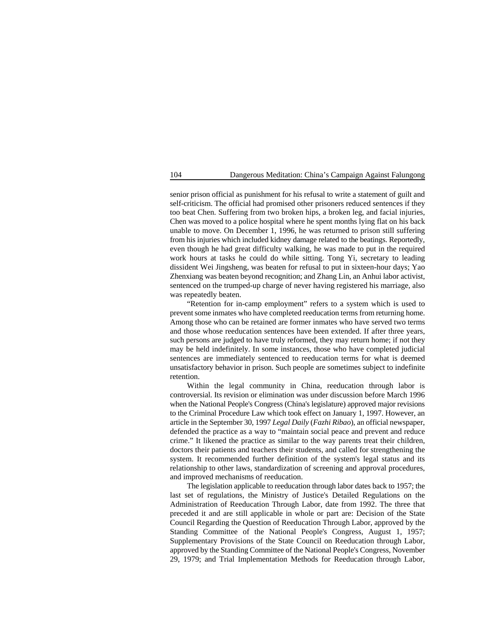senior prison official as punishment for his refusal to write a statement of guilt and self-criticism. The official had promised other prisoners reduced sentences if they too beat Chen. Suffering from two broken hips, a broken leg, and facial injuries, Chen was moved to a police hospital where he spent months lying flat on his back unable to move. On December 1, 1996, he was returned to prison still suffering from his injuries which included kidney damage related to the beatings. Reportedly, even though he had great difficulty walking, he was made to put in the required work hours at tasks he could do while sitting. Tong Yi, secretary to leading dissident Wei Jingsheng, was beaten for refusal to put in sixteen-hour days; Yao Zhenxiang was beaten beyond recognition; and Zhang Lin, an Anhui labor activist, sentenced on the trumped-up charge of never having registered his marriage, also was repeatedly beaten.

"Retention for in-camp employment" refers to a system which is used to prevent some inmates who have completed reeducation terms from returning home. Among those who can be retained are former inmates who have served two terms and those whose reeducation sentences have been extended. If after three years, such persons are judged to have truly reformed, they may return home; if not they may be held indefinitely. In some instances, those who have completed judicial sentences are immediately sentenced to reeducation terms for what is deemed unsatisfactory behavior in prison. Such people are sometimes subject to indefinite retention.

Within the legal community in China, reeducation through labor is controversial. Its revision or elimination was under discussion before March 1996 when the National People's Congress (China's legislature) approved major revisions to the Criminal Procedure Law which took effect on January 1, 1997. However, an article in the September 30, 1997 *Legal Daily* (*Fazhi Ribao*), an official newspaper, defended the practice as a way to "maintain social peace and prevent and reduce crime." It likened the practice as similar to the way parents treat their children, doctors their patients and teachers their students, and called for strengthening the system. It recommended further definition of the system's legal status and its relationship to other laws, standardization of screening and approval procedures, and improved mechanisms of reeducation.

The legislation applicable to reeducation through labor dates back to 1957; the last set of regulations, the Ministry of Justice's Detailed Regulations on the Administration of Reeducation Through Labor, date from 1992. The three that preceded it and are still applicable in whole or part are: Decision of the State Council Regarding the Question of Reeducation Through Labor, approved by the Standing Committee of the National People's Congress, August 1, 1957; Supplementary Provisions of the State Council on Reeducation through Labor, approved by the Standing Committee of the National People's Congress, November 29, 1979; and Trial Implementation Methods for Reeducation through Labor,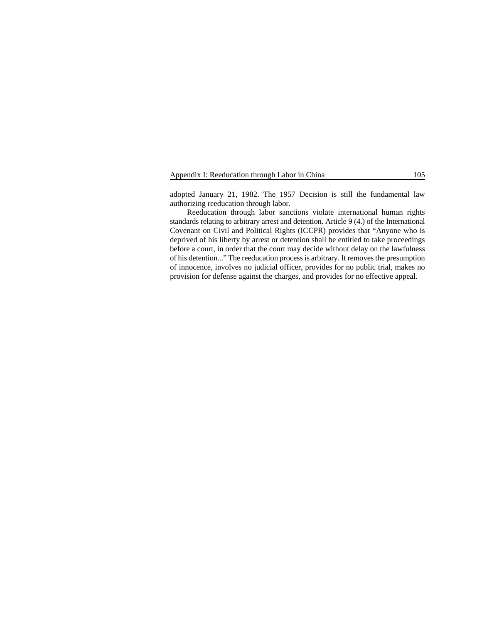|  | Appendix I: Reeducation through Labor in China |  |  | 105 |
|--|------------------------------------------------|--|--|-----|
|  |                                                |  |  |     |

adopted January 21, 1982. The 1957 Decision is still the fundamental law authorizing reeducation through labor.

Reeducation through labor sanctions violate international human rights standards relating to arbitrary arrest and detention. Article 9 (4.) of the International Covenant on Civil and Political Rights (ICCPR) provides that "Anyone who is deprived of his liberty by arrest or detention shall be entitled to take proceedings before a court, in order that the court may decide without delay on the lawfulness of his detention..." The reeducation process is arbitrary. It removes the presumption of innocence, involves no judicial officer, provides for no public trial, makes no provision for defense against the charges, and provides for no effective appeal.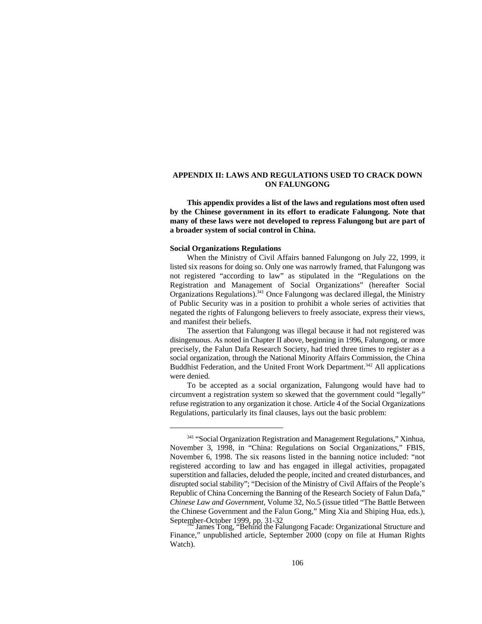## **APPENDIX II: LAWS AND REGULATIONS USED TO CRACK DOWN ON FALUNGONG**

**This appendix provides a list of the laws and regulations most often used by the Chinese government in its effort to eradicate Falungong. Note that many of these laws were not developed to repress Falungong but are part of a broader system of social control in China.** 

#### **Social Organizations Regulations**

When the Ministry of Civil Affairs banned Falungong on July 22, 1999, it listed six reasons for doing so. Only one was narrowly framed, that Falungong was not registered "according to law" as stipulated in the "Regulations on the Registration and Management of Social Organizations" (hereafter Social Organizations Regulations).<sup>341</sup> Once Falungong was declared illegal, the Ministry of Public Security was in a position to prohibit a whole series of activities that negated the rights of Falungong believers to freely associate, express their views, and manifest their beliefs.

The assertion that Falungong was illegal because it had not registered was disingenuous. As noted in Chapter II above, beginning in 1996, Falungong, or more precisely, the Falun Dafa Research Society, had tried three times to register as a social organization, through the National Minority Affairs Commission, the China Buddhist Federation, and the United Front Work Department.<sup>342</sup> All applications were denied.

To be accepted as a social organization, Falungong would have had to circumvent a registration system so skewed that the government could "legally" refuse registration to any organization it chose. Article 4 of the Social Organizations Regulations, particularly its final clauses, lays out the basic problem:

<sup>&</sup>lt;sup>341</sup> "Social Organization Registration and Management Regulations," Xinhua, November 3, 1998, in "China: Regulations on Social Organizations," FBIS, November 6, 1998. The six reasons listed in the banning notice included: "not registered according to law and has engaged in illegal activities, propagated superstition and fallacies, deluded the people, incited and created disturbances, and disrupted social stability"; "Decision of the Ministry of Civil Affairs of the People's Republic of China Concerning the Banning of the Research Society of Falun Dafa," *Chinese Law and Government*, Volume 32, No.5 (issue titled "The Battle Between the Chinese Government and the Falun Gong," Ming Xia and Shiping Hua, eds.), September-October 1999, pp. 31-32<br>James Tong, "Behind the Falungong Facade: Organizational Structure and

Finance," unpublished article, September 2000 (copy on file at Human Rights Watch).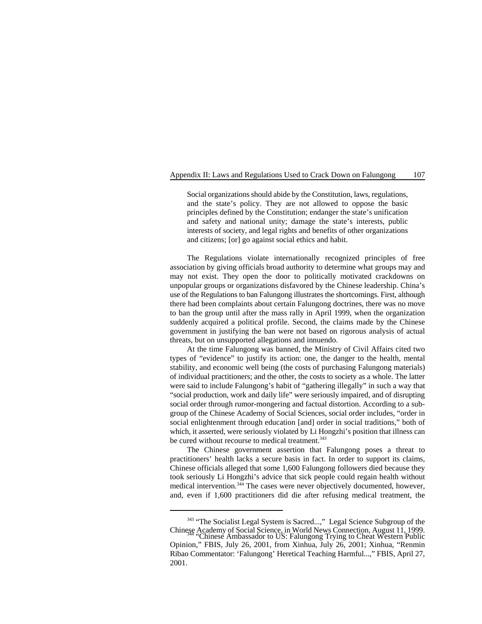Social organizations should abide by the Constitution, laws, regulations, and the state's policy. They are not allowed to oppose the basic principles defined by the Constitution; endanger the state's unification and safety and national unity; damage the state's interests, public interests of society, and legal rights and benefits of other organizations and citizens; [or] go against social ethics and habit.

The Regulations violate internationally recognized principles of free association by giving officials broad authority to determine what groups may and may not exist. They open the door to politically motivated crackdowns on unpopular groups or organizations disfavored by the Chinese leadership. China's use of the Regulations to ban Falungong illustrates the shortcomings. First, although there had been complaints about certain Falungong doctrines, there was no move to ban the group until after the mass rally in April 1999, when the organization suddenly acquired a political profile. Second, the claims made by the Chinese government in justifying the ban were not based on rigorous analysis of actual threats, but on unsupported allegations and innuendo.

At the time Falungong was banned, the Ministry of Civil Affairs cited two types of "evidence" to justify its action: one, the danger to the health, mental stability, and economic well being (the costs of purchasing Falungong materials) of individual practitioners; and the other, the costs to society as a whole. The latter were said to include Falungong's habit of "gathering illegally" in such a way that "social production, work and daily life" were seriously impaired, and of disrupting social order through rumor-mongering and factual distortion. According to a subgroup of the Chinese Academy of Social Sciences, social order includes, "order in social enlightenment through education [and] order in social traditions," both of which, it asserted, were seriously violated by Li Hongzhi's position that illness can be cured without recourse to medical treatment.<sup>343</sup>

The Chinese government assertion that Falungong poses a threat to practitioners' health lacks a secure basis in fact. In order to support its claims, Chinese officials alleged that some 1,600 Falungong followers died because they took seriously Li Hongzhi's advice that sick people could regain health without medical intervention.  $344$  The cases were never objectively documented, however, and, even if 1,600 practitioners did die after refusing medical treatment, the

<sup>&</sup>lt;sup>343</sup> "The Socialist Legal System is Sacred...," Legal Science Subgroup of the Chinese Academy of Social Science, in World News Connection, August 11, 1999. "Chinese Ambassador to US: Falungong Trying to Cheat Western Public <sup>344</sup>

Opinion," FBIS, July 26, 2001, from Xinhua, July 26, 2001; Xinhua, "Renmin Ribao Commentator: 'Falungong' Heretical Teaching Harmful...," FBIS, April 27, 2001.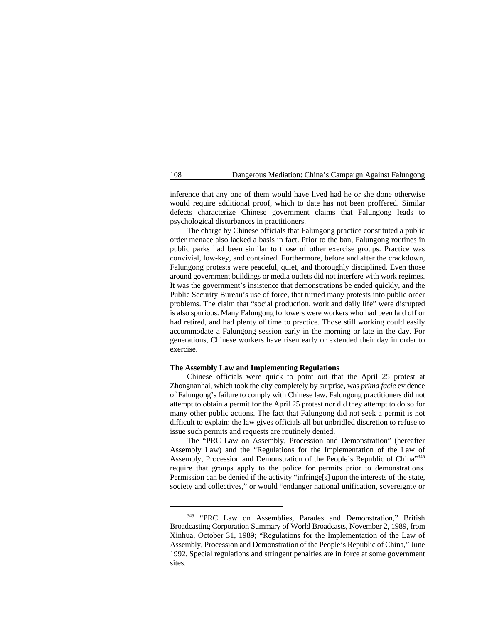inference that any one of them would have lived had he or she done otherwise would require additional proof, which to date has not been proffered. Similar defects characterize Chinese government claims that Falungong leads to psychological disturbances in practitioners.

The charge by Chinese officials that Falungong practice constituted a public order menace also lacked a basis in fact. Prior to the ban, Falungong routines in public parks had been similar to those of other exercise groups. Practice was convivial, low-key, and contained. Furthermore, before and after the crackdown, Falungong protests were peaceful, quiet, and thoroughly disciplined. Even those around government buildings or media outlets did not interfere with work regimes. It was the government's insistence that demonstrations be ended quickly, and the Public Security Bureau's use of force, that turned many protests into public order problems. The claim that "social production, work and daily life" were disrupted is also spurious. Many Falungong followers were workers who had been laid off or had retired, and had plenty of time to practice. Those still working could easily accommodate a Falungong session early in the morning or late in the day. For generations, Chinese workers have risen early or extended their day in order to exercise.

## **The Assembly Law and Implementing Regulations**

Chinese officials were quick to point out that the April 25 protest at Zhongnanhai, which took the city completely by surprise, was *prima facie* evidence of Falungong's failure to comply with Chinese law. Falungong practitioners did not attempt to obtain a permit for the April 25 protest nor did they attempt to do so for many other public actions. The fact that Falungong did not seek a permit is not difficult to explain: the law gives officials all but unbridled discretion to refuse to issue such permits and requests are routinely denied.

The "PRC Law on Assembly, Procession and Demonstration" (hereafter Assembly Law) and the "Regulations for the Implementation of the Law of Assembly, Procession and Demonstration of the People's Republic of China"<sup>345</sup> require that groups apply to the police for permits prior to demonstrations. Permission can be denied if the activity "infringe[s] upon the interests of the state, society and collectives," or would "endanger national unification, sovereignty or

<sup>&</sup>lt;sup>345</sup> "PRC Law on Assemblies, Parades and Demonstration," British Broadcasting Corporation Summary of World Broadcasts, November 2, 1989, from Xinhua, October 31, 1989; "Regulations for the Implementation of the Law of Assembly, Procession and Demonstration of the People's Republic of China," June 1992. Special regulations and stringent penalties are in force at some government sites.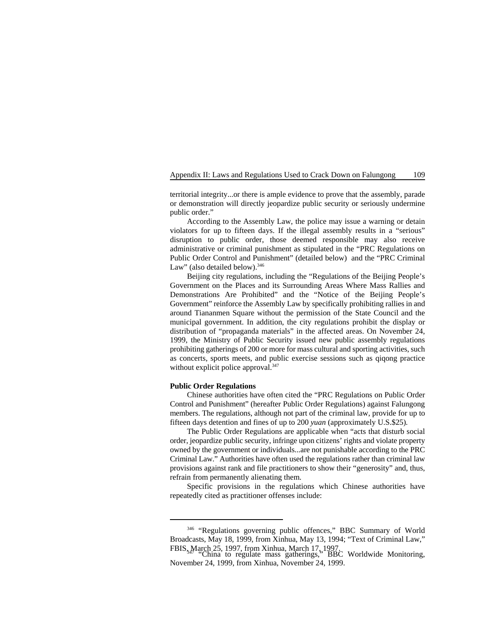territorial integrity...or there is ample evidence to prove that the assembly, parade or demonstration will directly jeopardize public security or seriously undermine public order."

According to the Assembly Law, the police may issue a warning or detain violators for up to fifteen days. If the illegal assembly results in a "serious" disruption to public order, those deemed responsible may also receive administrative or criminal punishment as stipulated in the "PRC Regulations on Public Order Control and Punishment" (detailed below) and the "PRC Criminal Law" (also detailed below).<sup>346</sup>

Beijing city regulations, including the "Regulations of the Beijing People's Government on the Places and its Surrounding Areas Where Mass Rallies and Demonstrations Are Prohibited" and the "Notice of the Beijing People's Government" reinforce the Assembly Law by specifically prohibiting rallies in and around Tiananmen Square without the permission of the State Council and the municipal government. In addition, the city regulations prohibit the display or distribution of "propaganda materials" in the affected areas. On November 24, 1999, the Ministry of Public Security issued new public assembly regulations prohibiting gatherings of 200 or more for mass cultural and sporting activities, such as concerts, sports meets, and public exercise sessions such as qiqong practice without explicit police approval.<sup>347</sup>

### **Public Order Regulations**

Chinese authorities have often cited the "PRC Regulations on Public Order Control and Punishment" (hereafter Public Order Regulations) against Falungong members. The regulations, although not part of the criminal law, provide for up to fifteen days detention and fines of up to 200 *yuan* (approximately U.S.\$25)*.*

The Public Order Regulations are applicable when "acts that disturb social order, jeopardize public security, infringe upon citizens' rights and violate property owned by the government or individuals...are not punishable according to the PRC Criminal Law." Authorities have often used the regulations rather than criminal law provisions against rank and file practitioners to show their "generosity" and, thus, refrain from permanently alienating them.

Specific provisions in the regulations which Chinese authorities have repeatedly cited as practitioner offenses include:

<sup>346 &</sup>quot;Regulations governing public offences," BBC Summary of World Broadcasts, May 18, 1999, from Xinhua, May 13, 1994; "Text of Criminal Law," FBIS, March 25, 1997, from Xinhua, March 17, 1997.<br>"China to regulate mass gatherings," BBC Worldwide Monitoring,

November 24, 1999, from Xinhua, November 24, 1999.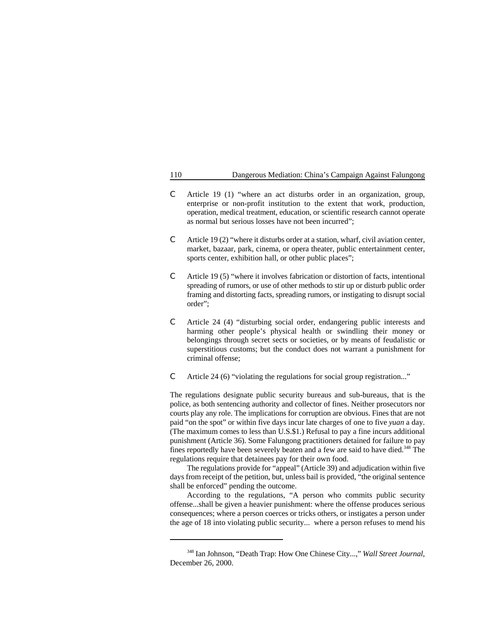- C Article 19 (1) "where an act disturbs order in an organization, group, enterprise or non-profit institution to the extent that work, production, operation, medical treatment, education, or scientific research cannot operate as normal but serious losses have not been incurred";
- C Article 19 (2) "where it disturbs order at a station, wharf, civil aviation center, market, bazaar, park, cinema, or opera theater, public entertainment center, sports center, exhibition hall, or other public places";
- C Article 19 (5) "where it involves fabrication or distortion of facts, intentional spreading of rumors, or use of other methods to stir up or disturb public order framing and distorting facts, spreading rumors, or instigating to disrupt social order";
- C Article 24 (4) "disturbing social order, endangering public interests and harming other people's physical health or swindling their money or belongings through secret sects or societies, or by means of feudalistic or superstitious customs; but the conduct does not warrant a punishment for criminal offense;
- C Article 24 (6) "violating the regulations for social group registration..."

The regulations designate public security bureaus and sub-bureaus, that is the police, as both sentencing authority and collector of fines. Neither prosecutors nor courts play any role. The implications for corruption are obvious. Fines that are not paid "on the spot" or within five days incur late charges of one to five *yuan* a day. (The maximum comes to less than U.S.\$1.) Refusal to pay a fine incurs additional punishment (Article 36). Some Falungong practitioners detained for failure to pay fines reportedly have been severely beaten and a few are said to have died.<sup>348</sup> The regulations require that detainees pay for their own food.

The regulations provide for "appeal" (Article 39) and adjudication within five days from receipt of the petition, but, unless bail is provided, "the original sentence shall be enforced" pending the outcome.

According to the regulations, "A person who commits public security offense...shall be given a heavier punishment: where the offense produces serious consequences; where a person coerces or tricks others, or instigates a person under the age of 18 into violating public security... where a person refuses to mend his

<sup>&</sup>lt;sup>348</sup> Ian Johnson, "Death Trap: How One Chinese City...," *Wall Street Journal*, December 26, 2000.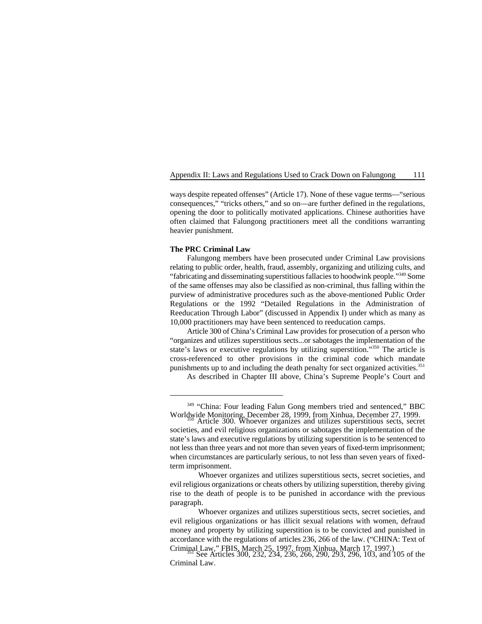ways despite repeated offenses" (Article 17). None of these vague terms—"serious consequences," "tricks others," and so on—are further defined in the regulations, opening the door to politically motivated applications. Chinese authorities have often claimed that Falungong practitioners meet all the conditions warranting heavier punishment.

### **The PRC Criminal Law**

Falungong members have been prosecuted under Criminal Law provisions relating to public order, health, fraud, assembly, organizing and utilizing cults, and "fabricating and disseminating superstitious fallacies to hoodwink people."<sup>349</sup> Some of the same offenses may also be classified as non-criminal, thus falling within the purview of administrative procedures such as the above-mentioned Public Order Regulations or the 1992 "Detailed Regulations in the Administration of Reeducation Through Labor" (discussed in Appendix I) under which as many as 10,000 practitioners may have been sentenced to reeducation camps.

Article 300 of China's Criminal Law provides for prosecution of a person who "organizes and utilizes superstitious sects...or sabotages the implementation of the state's laws or executive regulations by utilizing superstition."<sup>350</sup> The article is cross-referenced to other provisions in the criminal code which mandate punishments up to and including the death penalty for sect organized activities.<sup>351</sup>

As described in Chapter III above, China's Supreme People's Court and

<sup>&</sup>lt;sup>349</sup> "China: Four leading Falun Gong members tried and sentenced," BBC Worldwide Monitoring, December 28, 1999, from Xinhua, December 27, 1999. Article 300. Whoever organizes and utilizes superstitious sects, secret <sup>350</sup>

societies, and evil religious organizations or sabotages the implementation of the state's laws and executive regulations by utilizing superstition is to be sentenced to not less than three years and not more than seven years of fixed-term imprisonment; when circumstances are particularly serious, to not less than seven years of fixedterm imprisonment.

Whoever organizes and utilizes superstitious sects, secret societies, and evil religious organizations or cheats others by utilizing superstition, thereby giving rise to the death of people is to be punished in accordance with the previous paragraph.

Whoever organizes and utilizes superstitious sects, secret societies, and evil religious organizations or has illicit sexual relations with women, defraud money and property by utilizing superstition is to be convicted and punished in accordance with the regulations of articles 236, 266 of the law. ("CHINA: Text of Criminal Law," FBIS, March 25, 1997, from Xinhua, March 17, 1997.)<br>See Articles 300, 232, 234, 236, 266, 290, 293, 296, 103, and 105 of the

Criminal Law.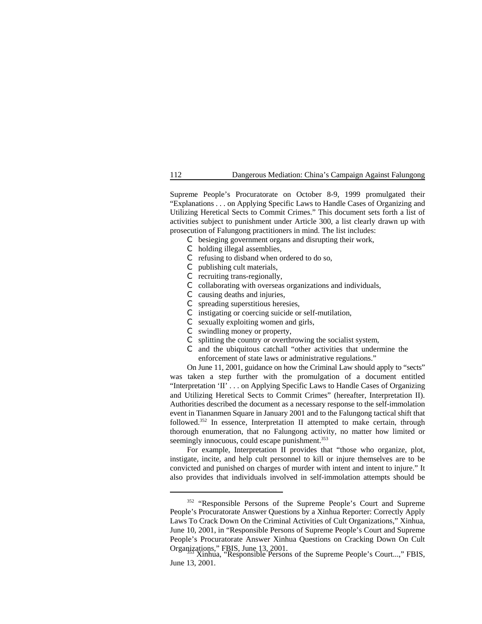Supreme People's Procuratorate on October 8-9, 1999 promulgated their "Explanations . . . on Applying Specific Laws to Handle Cases of Organizing and Utilizing Heretical Sects to Commit Crimes." This document sets forth a list of activities subject to punishment under Article 300, a list clearly drawn up with prosecution of Falungong practitioners in mind. The list includes:

- C besieging government organs and disrupting their work,
- C holding illegal assemblies,
- C refusing to disband when ordered to do so,
- C publishing cult materials,
- C recruiting trans-regionally,
- C collaborating with overseas organizations and individuals,
- C causing deaths and injuries,
- C spreading superstitious heresies,
- C instigating or coercing suicide or self-mutilation,
- C sexually exploiting women and girls,
- C swindling money or property,
- C splitting the country or overthrowing the socialist system,
- and the ubiquitous catchall "other activities that undermine the enforcement of state laws or administrative regulations."

On June 11, 2001, guidance on how the Criminal Law should apply to "sects" was taken a step further with the promulgation of a document entitled "Interpretation 'II' . . . on Applying Specific Laws to Handle Cases of Organizing and Utilizing Heretical Sects to Commit Crimes" (hereafter, Interpretation II). Authorities described the document as a necessary response to the self-immolation event in Tiananmen Square in January 2001 and to the Falungong tactical shift that followed.<sup>352</sup> In essence, Interpretation II attempted to make certain, through thorough enumeration, that no Falungong activity, no matter how limited or seemingly innocuous, could escape punishment.<sup>353</sup>

For example, Interpretation II provides that "those who organize, plot, instigate, incite, and help cult personnel to kill or injure themselves are to be convicted and punished on charges of murder with intent and intent to injure." It also provides that individuals involved in self-immolation attempts should be

<sup>&</sup>lt;sup>352</sup> "Responsible Persons of the Supreme People's Court and Supreme People's Procuratorate Answer Questions by a Xinhua Reporter: Correctly Apply Laws To Crack Down On the Criminal Activities of Cult Organizations," Xinhua, June 10, 2001, in "Responsible Persons of Supreme People's Court and Supreme People's Procuratorate Answer Xinhua Questions on Cracking Down On Cult Organizations," FBIS, June 13, 2001.

Xinhua, "Responsible Persons of the Supreme People's Court...," FBIS, June 13, 2001.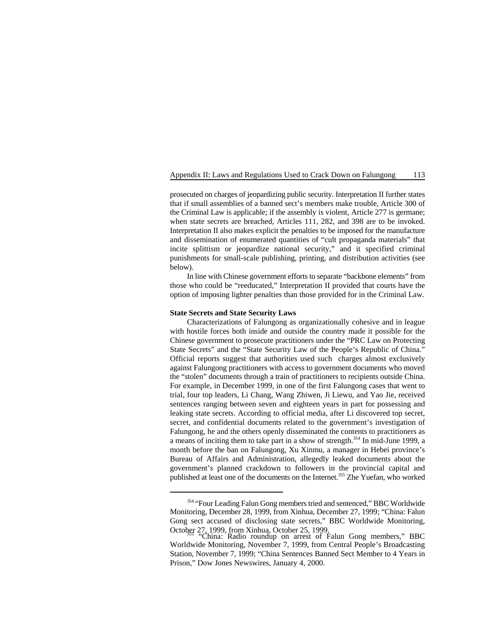prosecuted on charges of jeopardizing public security. Interpretation II further states that if small assemblies of a banned sect's members make trouble, Article 300 of the Criminal Law is applicable; if the assembly is violent, Article 277 is germane; when state secrets are breached, Articles 111, 282, and 398 are to be invoked. Interpretation II also makes explicit the penalties to be imposed for the manufacture and dissemination of enumerated quantities of "cult propaganda materials" that incite splittism or jeopardize national security," and it specified criminal punishments for small-scale publishing, printing, and distribution activities (see below).

In line with Chinese government efforts to separate "backbone elements" from those who could be "reeducated," Interpretation II provided that courts have the option of imposing lighter penalties than those provided for in the Criminal Law.

## **State Secrets and State Security Laws**

Characterizations of Falungong as organizationally cohesive and in league with hostile forces both inside and outside the country made it possible for the Chinese government to prosecute practitioners under the "PRC Law on Protecting State Secrets" and the "State Security Law of the People's Republic of China." Official reports suggest that authorities used such charges almost exclusively against Falungong practitioners with access to government documents who moved the "stolen" documents through a train of practitioners to recipients outside China. For example, in December 1999, in one of the first Falungong cases that went to trial, four top leaders, Li Chang, Wang Zhiwen, Ji Liewu, and Yao Jie, received sentences ranging between seven and eighteen years in part for possessing and leaking state secrets. According to official media, after Li discovered top secret, secret, and confidential documents related to the government's investigation of Falungong, he and the others openly disseminated the contents to practitioners as a means of inciting them to take part in a show of strength.<sup>354</sup> In mid-June 1999, a month before the ban on Falungong, Xu Xinmu, a manager in Hebei province's Bureau of Affairs and Administration, allegedly leaked documents about the government's planned crackdown to followers in the provincial capital and published at least one of the documents on the Internet.<sup>355</sup> Zhe Yuefan, who worked

<sup>&</sup>lt;sup>354</sup> "Four Leading Falun Gong members tried and sentenced," BBC Worldwide Monitoring, December 28, 1999, from Xinhua, December 27, 1999; "China: Falun Gong sect accused of disclosing state secrets," BBC Worldwide Monitoring, October 27, 1999, from Xinhua, October 25, 1999.<br>
"China: Radio roundup on arrest of Falun Gong members," BBC

Worldwide Monitoring, November 7, 1999, from Central People's Broadcasting Station, November 7, 1999; "China Sentences Banned Sect Member to 4 Years in Prison," Dow Jones Newswires, January 4, 2000.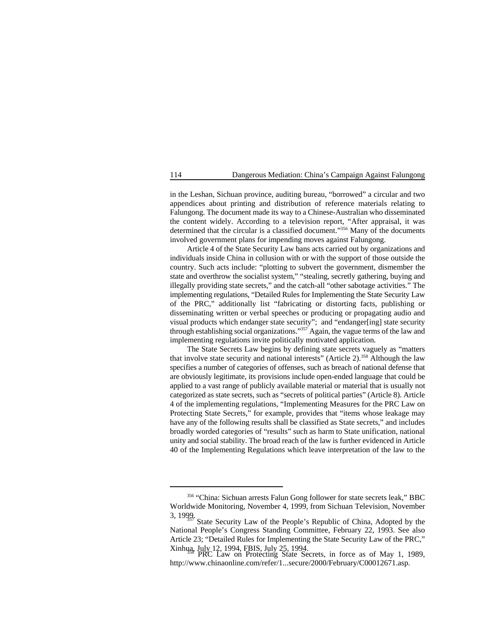in the Leshan, Sichuan province, auditing bureau, "borrowed" a circular and two appendices about printing and distribution of reference materials relating to Falungong. The document made its way to a Chinese-Australian who disseminated the content widely. According to a television report, "After appraisal, it was determined that the circular is a classified document."<sup>356</sup> Many of the documents involved government plans for impending moves against Falungong.

Article 4 of the State Security Law bans acts carried out by organizations and individuals inside China in collusion with or with the support of those outside the country. Such acts include: "plotting to subvert the government, dismember the state and overthrow the socialist system," "stealing, secretly gathering, buying and illegally providing state secrets," and the catch-all "other sabotage activities." The implementing regulations, "Detailed Rules for Implementing the State Security Law of the PRC," additionally list "fabricating or distorting facts, publishing or disseminating written or verbal speeches or producing or propagating audio and visual products which endanger state security"; and "endanger[ing] state security through establishing social organizations."<sup>357</sup> Again, the vague terms of the law and implementing regulations invite politically motivated application.

The State Secrets Law begins by defining state secrets vaguely as "matters that involve state security and national interests" (Article  $2$ ).<sup>358</sup> Although the law specifies a number of categories of offenses, such as breach of national defense that are obviously legitimate, its provisions include open-ended language that could be applied to a vast range of publicly available material or material that is usually not categorized as state secrets, such as "secrets of political parties" (Article 8). Article 4 of the implementing regulations, "Implementing Measures for the PRC Law on Protecting State Secrets," for example, provides that "items whose leakage may have any of the following results shall be classified as State secrets," and includes broadly worded categories of "results" such as harm to State unification, national unity and social stability. The broad reach of the law is further evidenced in Article 40 of the Implementing Regulations which leave interpretation of the law to the

<sup>&</sup>lt;sup>356</sup> "China: Sichuan arrests Falun Gong follower for state secrets leak," BBC Worldwide Monitoring, November 4, 1999, from Sichuan Television, November

<sup>3, 1999.</sup> State Security Law of the People's Republic of China, Adopted by the  $357$  State Security Law of the People's Republic of China, Adopted by the National People's Congress Standing Committee, February 22, 1993. See also Article 23; "Detailed Rules for Implementing the State Security Law of the PRC," Xinhua, July 12, 1994, FBIS, July 25, 1994.<br>PRC Law on Protecting State Secrets, in force as of May 1, 1989,

http://www.chinaonline.com/refer/1...secure/2000/February/C00012671.asp.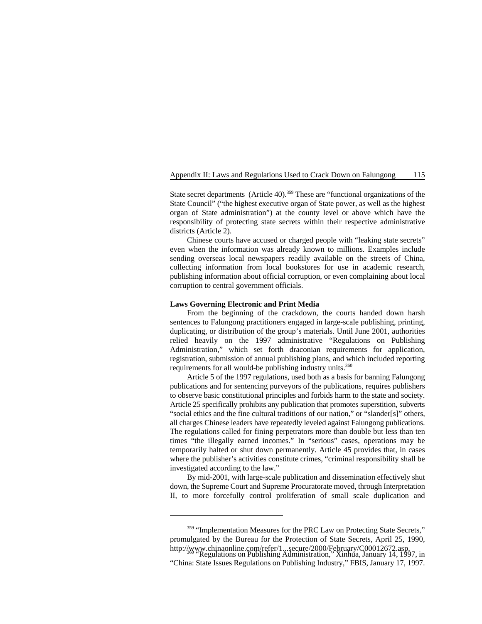State secret departments (Article 40).<sup>359</sup> These are "functional organizations of the State Council" ("the highest executive organ of State power, as well as the highest organ of State administration") at the county level or above which have the responsibility of protecting state secrets within their respective administrative districts (Article 2).

Chinese courts have accused or charged people with "leaking state secrets" even when the information was already known to millions. Examples include sending overseas local newspapers readily available on the streets of China, collecting information from local bookstores for use in academic research, publishing information about official corruption, or even complaining about local corruption to central government officials.

### **Laws Governing Electronic and Print Media**

From the beginning of the crackdown, the courts handed down harsh sentences to Falungong practitioners engaged in large-scale publishing, printing, duplicating, or distribution of the group's materials. Until June 2001, authorities relied heavily on the 1997 administrative "Regulations on Publishing Administration," which set forth draconian requirements for application, registration, submission of annual publishing plans, and which included reporting requirements for all would-be publishing industry units.<sup>360</sup>

Article 5 of the 1997 regulations, used both as a basis for banning Falungong publications and for sentencing purveyors of the publications, requires publishers to observe basic constitutional principles and forbids harm to the state and society. Article 25 specifically prohibits any publication that promotes superstition, subverts "social ethics and the fine cultural traditions of our nation," or "slander[s]" others, all charges Chinese leaders have repeatedly leveled against Falungong publications. The regulations called for fining perpetrators more than double but less than ten times "the illegally earned incomes." In "serious" cases, operations may be temporarily halted or shut down permanently. Article 45 provides that, in cases where the publisher's activities constitute crimes, "criminal responsibility shall be investigated according to the law."

By mid-2001, with large-scale publication and dissemination effectively shut down, the Supreme Court and Supreme Procuratorate moved, through Interpretation II, to more forcefully control proliferation of small scale duplication and

<sup>&</sup>lt;sup>359</sup> "Implementation Measures for the PRC Law on Protecting State Secrets," promulgated by the Bureau for the Protection of State Secrets, April 25, 1990, http://www.chinaonline.com/refer/1...secure/2000/February/C00012672.asp.<br>"Regulations on Publishing Administration," Xinhua, January 14, 1997, in

<sup>&</sup>quot;China: State Issues Regulations on Publishing Industry," FBIS, January 17, 1997.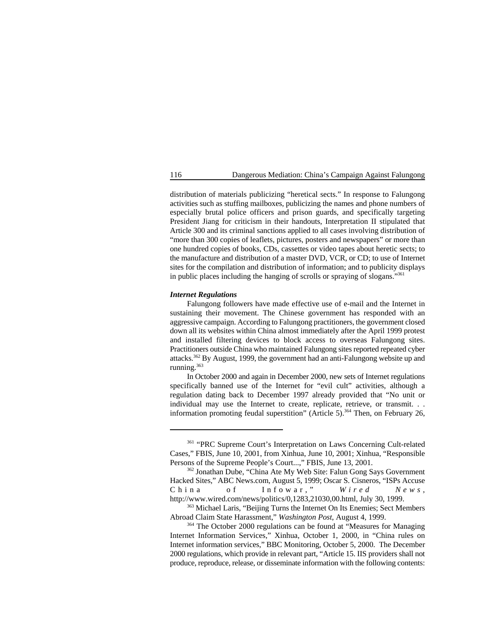distribution of materials publicizing "heretical sects." In response to Falungong activities such as stuffing mailboxes, publicizing the names and phone numbers of especially brutal police officers and prison guards, and specifically targeting President Jiang for criticism in their handouts, Interpretation II stipulated that Article 300 and its criminal sanctions applied to all cases involving distribution of "more than 300 copies of leaflets, pictures, posters and newspapers" or more than one hundred copies of books, CDs, cassettes or video tapes about heretic sects; to the manufacture and distribution of a master DVD, VCR, or CD; to use of Internet sites for the compilation and distribution of information; and to publicity displays in public places including the hanging of scrolls or spraying of slogans."<sup>361</sup>

### *Internet Regulations*

Falungong followers have made effective use of e-mail and the Internet in sustaining their movement. The Chinese government has responded with an aggressive campaign. According to Falungong practitioners, the government closed down all its websites within China almost immediately after the April 1999 protest and installed filtering devices to block access to overseas Falungong sites. Practitioners outside China who maintained Falungong sites reported repeated cyber attacks.  $362$  By August, 1999, the government had an anti-Falungong website up and running. 363

In October 2000 and again in December 2000, new sets of Internet regulations specifically banned use of the Internet for "evil cult" activities, although a regulation dating back to December 1997 already provided that "No unit or individual may use the Internet to create, replicate, retrieve, or transmit. . . information promoting feudal superstition" (Article 5).<sup>364</sup> Then, on February 26,

<sup>&</sup>lt;sup>361</sup> "PRC Supreme Court's Interpretation on Laws Concerning Cult-related Cases," FBIS, June 10, 2001, from Xinhua, June 10, 2001; Xinhua, "Responsible Persons of the Supreme People's Court...," FBIS, June 13, 2001.

<sup>&</sup>lt;sup>362</sup> Jonathan Dube, "China Ate My Web Site: Falun Gong Says Government Hacked Sites," ABC News.com, August 5, 1999; Oscar S. Cisneros, "ISPs Accuse<br>C h i n a o f I n f o w a r, " W i r e d N e w s. of Infowar," *Wired News*, http://www.wired.com/news/politics/0,1283,21030,00.html, July 30, 1999.

<sup>&</sup>lt;sup>363</sup> Michael Laris, "Beijing Turns the Internet On Its Enemies; Sect Members Abroad Claim State Harassment," *Washington Post*, August 4, 1999.

<sup>&</sup>lt;sup>364</sup> The October 2000 regulations can be found at "Measures for Managing" Internet Information Services," Xinhua, October 1, 2000, in "China rules on Internet information services," BBC Monitoring, October 5, 2000. The December 2000 regulations, which provide in relevant part, "Article 15. IIS providers shall not produce, reproduce, release, or disseminate information with the following contents: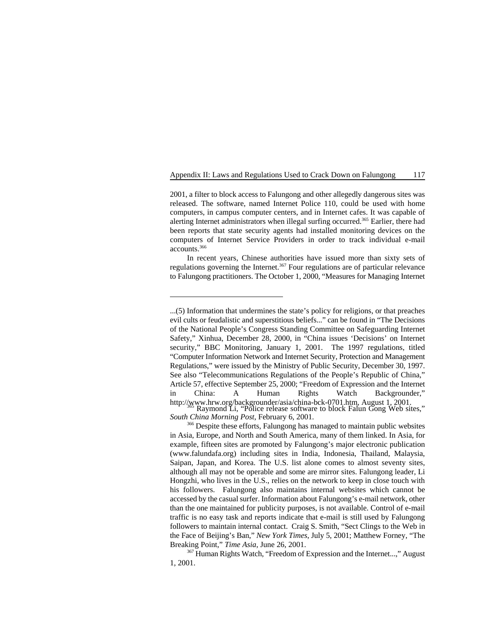2001, a filter to block access to Falungong and other allegedly dangerous sites was released. The software, named Internet Police 110, could be used with home computers, in campus computer centers, and in Internet cafes. It was capable of alerting Internet administrators when illegal surfing occurred.<sup>365</sup> Earlier, there had been reports that state security agents had installed monitoring devices on the computers of Internet Service Providers in order to track individual e-mail accounts.366

In recent years, Chinese authorities have issued more than sixty sets of regulations governing the Internet.<sup>367</sup> Four regulations are of particular relevance to Falungong practitioners. The October 1, 2000, "Measures for Managing Internet

<sup>367</sup> Human Rights Watch, "Freedom of Expression and the Internet...," August 1, 2001.

<sup>...(5)</sup> Information that undermines the state's policy for religions, or that preaches evil cults or feudalistic and superstitious beliefs..." can be found in "The Decisions of the National People's Congress Standing Committee on Safeguarding Internet Safety," Xinhua, December 28, 2000, in "China issues 'Decisions' on Internet security," BBC Monitoring, January 1, 2001. The 1997 regulations, titled "Computer Information Network and Internet Security, Protection and Management Regulations," were issued by the Ministry of Public Security, December 30, 1997. See also "Telecommunications Regulations of the People's Republic of China," Article 57, effective September 25, 2000; "Freedom of Expression and the Internet in China: A Human Rights Watch Backgrounder," http://www.hrw.org/backgrounder/asia/china-bck-0701.htm, August 1, 2001.<br>Raymond Li, "Police release software to block Falun Gong Web sites,"

*South China Morning Post*, February 6, 2001.

<sup>&</sup>lt;sup>366</sup> Despite these efforts, Falungong has managed to maintain public websites in Asia, Europe, and North and South America, many of them linked. In Asia, for example, fifteen sites are promoted by Falungong's major electronic publication (www.falundafa.org) including sites in India, Indonesia, Thailand, Malaysia, Saipan, Japan, and Korea. The U.S. list alone comes to almost seventy sites, although all may not be operable and some are mirror sites. Falungong leader, Li Hongzhi, who lives in the U.S., relies on the network to keep in close touch with his followers. Falungong also maintains internal websites which cannot be accessed by the casual surfer. Information about Falungong's e-mail network, other than the one maintained for publicity purposes, is not available. Control of e-mail traffic is no easy task and reports indicate that e-mail is still used by Falungong followers to maintain internal contact. Craig S. Smith, "Sect Clings to the Web in the Face of Beijing's Ban," *New York Times*, July 5, 2001; Matthew Forney, "The Breaking Point," *Time Asia*, June 26, 2001.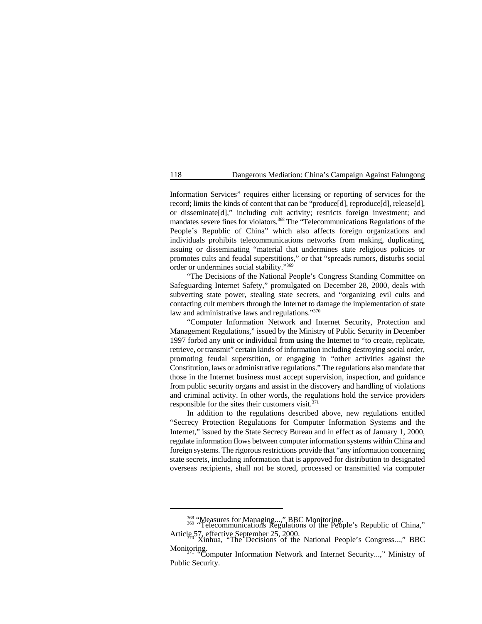Information Services" requires either licensing or reporting of services for the record; limits the kinds of content that can be "produce[d], reproduce[d], release[d], or disseminate[d]," including cult activity; restricts foreign investment; and mandates severe fines for violators.<sup>368</sup> The "Telecommunications Regulations of the People's Republic of China" which also affects foreign organizations and individuals prohibits telecommunications networks from making, duplicating, issuing or disseminating "material that undermines state religious policies or promotes cults and feudal superstitions," or that "spreads rumors, disturbs social order or undermines social stability."369

"The Decisions of the National People's Congress Standing Committee on Safeguarding Internet Safety," promulgated on December 28, 2000, deals with subverting state power, stealing state secrets, and "organizing evil cults and contacting cult members through the Internet to damage the implementation of state law and administrative laws and regulations."370

"Computer Information Network and Internet Security, Protection and Management Regulations," issued by the Ministry of Public Security in December 1997 forbid any unit or individual from using the Internet to "to create, replicate, retrieve, or transmit" certain kinds of information including destroying social order, promoting feudal superstition, or engaging in "other activities against the Constitution, laws or administrative regulations." The regulations also mandate that those in the Internet business must accept supervision, inspection, and guidance from public security organs and assist in the discovery and handling of violations and criminal activity. In other words, the regulations hold the service providers responsible for the sites their customers visit.  $371$ 

In addition to the regulations described above, new regulations entitled "Secrecy Protection Regulations for Computer Information Systems and the Internet," issued by the State Secrecy Bureau and in effect as of January 1, 2000, regulate information flows between computer information systems within China and foreign systems. The rigorous restrictions provide that "any information concerning state secrets, including information that is approved for distribution to designated overseas recipients, shall not be stored, processed or transmitted via computer

<sup>&</sup>lt;sup>368</sup> "Measures for Managing...," BBC Monitoring.<br><sup>369</sup> "Telecommunications Regulations of the People's Republic of China," Article 57, effective September 25, 2000.<br>Xinhua, "The Decisions of the National People's Congress...," BBC

Monitoring. "Computer Information Network and Internet Security...," Ministry of Public Security.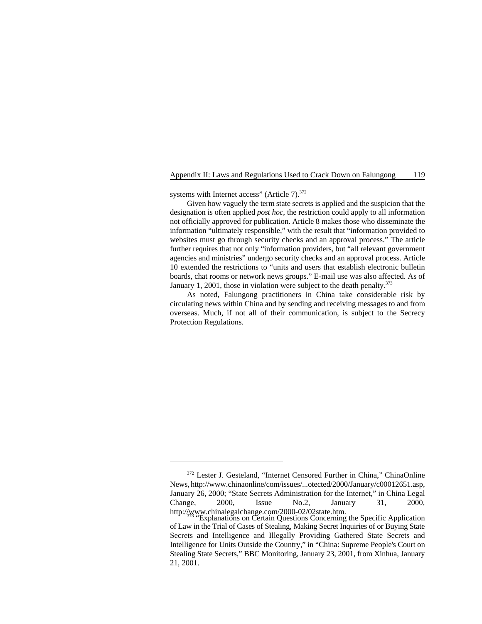systems with Internet access" (Article 7).<sup>372</sup>

Given how vaguely the term state secrets is applied and the suspicion that the designation is often applied *post hoc*, the restriction could apply to all information not officially approved for publication. Article 8 makes those who disseminate the information "ultimately responsible," with the result that "information provided to websites must go through security checks and an approval process." The article further requires that not only "information providers, but "all relevant government agencies and ministries" undergo security checks and an approval process. Article 10 extended the restrictions to "units and users that establish electronic bulletin boards, chat rooms or network news groups." E-mail use was also affected. As of January 1, 2001, those in violation were subject to the death penalty. $373$ 

As noted, Falungong practitioners in China take considerable risk by circulating news within China and by sending and receiving messages to and from overseas. Much, if not all of their communication, is subject to the Secrecy Protection Regulations.

<sup>&</sup>lt;sup>372</sup> Lester J. Gesteland, "Internet Censored Further in China," ChinaOnline News, http://www.chinaonline/com/issues/...otected/2000/January/c00012651.asp, January 26, 2000; "State Secrets Administration for the Internet," in China Legal Change, 2000, Issue No.2, January 31, 2000,

http://www.chinalegalchange.com/2000-02/02state.htm.<br>"Explanations on Certain Questions Concerning the Specific Application of Law in the Trial of Cases of Stealing, Making Secret Inquiries of or Buying State Secrets and Intelligence and Illegally Providing Gathered State Secrets and Intelligence for Units Outside the Country," in "China: Supreme People's Court on Stealing State Secrets," BBC Monitoring, January 23, 2001, from Xinhua, January 21, 2001.